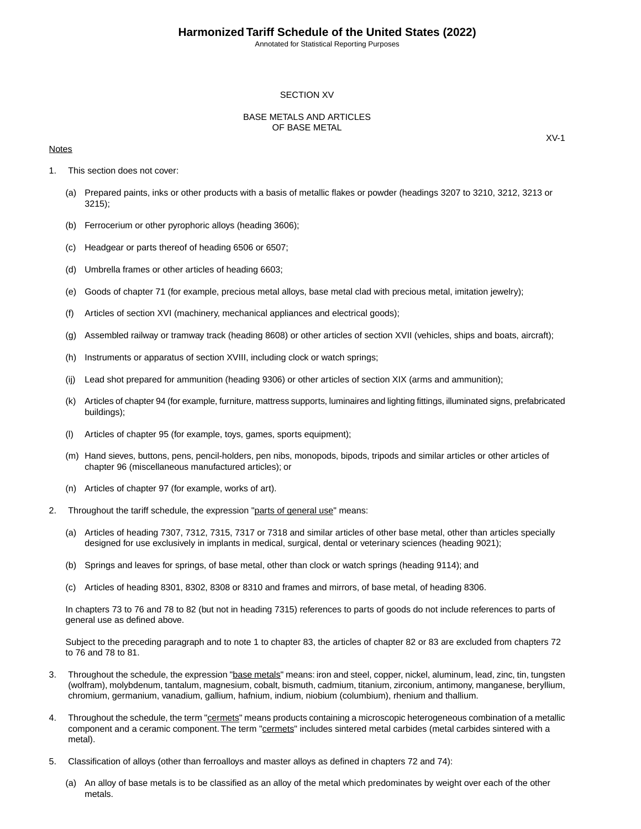Annotated for Statistical Reporting Purposes

#### SECTION XV

#### BASE METALS AND ARTICLES OF BASE METAL

#### **Notes**

- 1. This section does not cover:
	- (a) Prepared paints, inks or other products with a basis of metallic flakes or powder (headings 3207 to 3210, 3212, 3213 or 3215);
	- (b) Ferrocerium or other pyrophoric alloys (heading 3606);
	- (c) Headgear or parts thereof of heading 6506 or 6507;
	- (d) Umbrella frames or other articles of heading 6603;
	- (e) Goods of chapter 71 (for example, precious metal alloys, base metal clad with precious metal, imitation jewelry);
	- (f) Articles of section XVI (machinery, mechanical appliances and electrical goods);
	- (g) Assembled railway or tramway track (heading 8608) or other articles of section XVII (vehicles, ships and boats, aircraft);
	- (h) Instruments or apparatus of section XVIII, including clock or watch springs;
	- (ij) Lead shot prepared for ammunition (heading 9306) or other articles of section XIX (arms and ammunition);
	- (k) Articles of chapter 94 (for example, furniture, mattress supports, luminaires and lighting fittings, illuminated signs, prefabricated buildings);
	- (l) Articles of chapter 95 (for example, toys, games, sports equipment);
	- (m) Hand sieves, buttons, pens, pencil-holders, pen nibs, monopods, bipods, tripods and similar articles or other articles of chapter 96 (miscellaneous manufactured articles); or
	- (n) Articles of chapter 97 (for example, works of art).
- 2. Throughout the tariff schedule, the expression "parts of general use" means:
	- (a) Articles of heading 7307, 7312, 7315, 7317 or 7318 and similar articles of other base metal, other than articles specially designed for use exclusively in implants in medical, surgical, dental or veterinary sciences (heading 9021);
	- (b) Springs and leaves for springs, of base metal, other than clock or watch springs (heading 9114); and
	- (c) Articles of heading 8301, 8302, 8308 or 8310 and frames and mirrors, of base metal, of heading 8306.

In chapters 73 to 76 and 78 to 82 (but not in heading 7315) references to parts of goods do not include references to parts of general use as defined above.

Subject to the preceding paragraph and to note 1 to chapter 83, the articles of chapter 82 or 83 are excluded from chapters 72 to 76 and 78 to 81.

- 3. Throughout the schedule, the expression "base metals" means: iron and steel, copper, nickel, aluminum, lead, zinc, tin, tungsten (wolfram), molybdenum, tantalum, magnesium, cobalt, bismuth, cadmium, titanium, zirconium, antimony, manganese, beryllium, chromium, germanium, vanadium, gallium, hafnium, indium, niobium (columbium), rhenium and thallium.
- 4. Throughout the schedule, the term "cermets" means products containing a microscopic heterogeneous combination of a metallic component and a ceramic component. The term "cermets" includes sintered metal carbides (metal carbides sintered with a metal).
- 5. Classification of alloys (other than ferroalloys and master alloys as defined in chapters 72 and 74):
	- (a) An alloy of base metals is to be classified as an alloy of the metal which predominates by weight over each of the other metals.

XV-1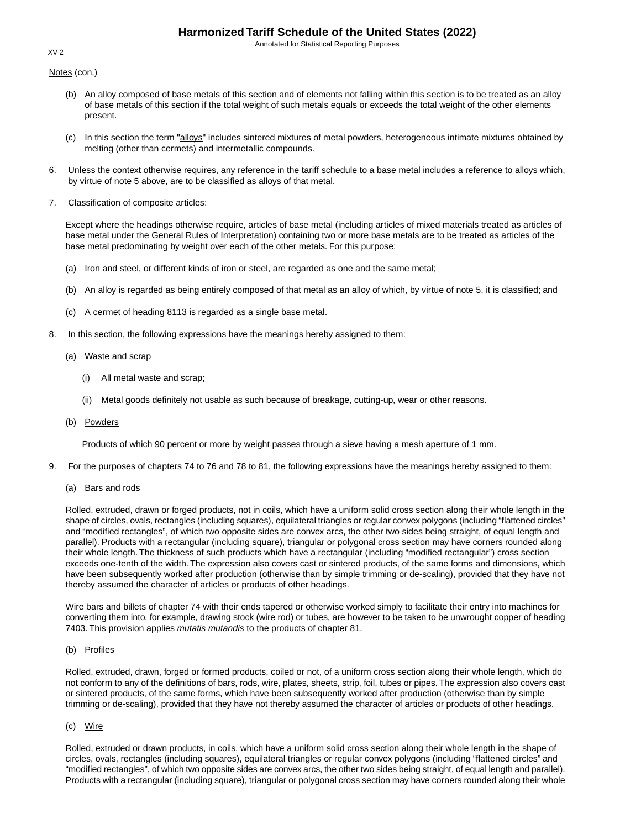Annotated for Statistical Reporting Purposes

#### Notes (con.)

- (b) An alloy composed of base metals of this section and of elements not falling within this section is to be treated as an alloy of base metals of this section if the total weight of such metals equals or exceeds the total weight of the other elements present.
- (c) In this section the term "alloys" includes sintered mixtures of metal powders, heterogeneous intimate mixtures obtained by melting (other than cermets) and intermetallic compounds.
- 6. Unless the context otherwise requires, any reference in the tariff schedule to a base metal includes a reference to alloys which, by virtue of note 5 above, are to be classified as alloys of that metal.
- 7. Classification of composite articles:

Except where the headings otherwise require, articles of base metal (including articles of mixed materials treated as articles of base metal under the General Rules of Interpretation) containing two or more base metals are to be treated as articles of the base metal predominating by weight over each of the other metals. For this purpose:

- (a) Iron and steel, or different kinds of iron or steel, are regarded as one and the same metal;
- (b) An alloy is regarded as being entirely composed of that metal as an alloy of which, by virtue of note 5, it is classified; and
- (c) A cermet of heading 8113 is regarded as a single base metal.
- 8. In this section, the following expressions have the meanings hereby assigned to them:
	- (a) Waste and scrap
		- (i) All metal waste and scrap;
		- (ii) Metal goods definitely not usable as such because of breakage, cutting-up, wear or other reasons.
	- (b) Powders

Products of which 90 percent or more by weight passes through a sieve having a mesh aperture of 1 mm.

- 9. For the purposes of chapters 74 to 76 and 78 to 81, the following expressions have the meanings hereby assigned to them:
	- (a) Bars and rods

Rolled, extruded, drawn or forged products, not in coils, which have a uniform solid cross section along their whole length in the shape of circles, ovals, rectangles (including squares), equilateral triangles or regular convex polygons (including "flattened circles" and "modified rectangles", of which two opposite sides are convex arcs, the other two sides being straight, of equal length and parallel). Products with a rectangular (including square), triangular or polygonal cross section may have corners rounded along their whole length. The thickness of such products which have a rectangular (including "modified rectangular") cross section exceeds one-tenth of the width. The expression also covers cast or sintered products, of the same forms and dimensions, which have been subsequently worked after production (otherwise than by simple trimming or de-scaling), provided that they have not thereby assumed the character of articles or products of other headings.

Wire bars and billets of chapter 74 with their ends tapered or otherwise worked simply to facilitate their entry into machines for converting them into, for example, drawing stock (wire rod) or tubes, are however to be taken to be unwrought copper of heading 7403. This provision applies *mutatis mutandis* to the products of chapter 81.

#### (b) Profiles

Rolled, extruded, drawn, forged or formed products, coiled or not, of a uniform cross section along their whole length, which do not conform to any of the definitions of bars, rods, wire, plates, sheets, strip, foil, tubes or pipes. The expression also covers cast or sintered products, of the same forms, which have been subsequently worked after production (otherwise than by simple trimming or de-scaling), provided that they have not thereby assumed the character of articles or products of other headings.

#### (c) Wire

Rolled, extruded or drawn products, in coils, which have a uniform solid cross section along their whole length in the shape of circles, ovals, rectangles (including squares), equilateral triangles or regular convex polygons (including "flattened circles" and "modified rectangles", of which two opposite sides are convex arcs, the other two sides being straight, of equal length and parallel). Products with a rectangular (including square), triangular or polygonal cross section may have corners rounded along their whole

#### XV-2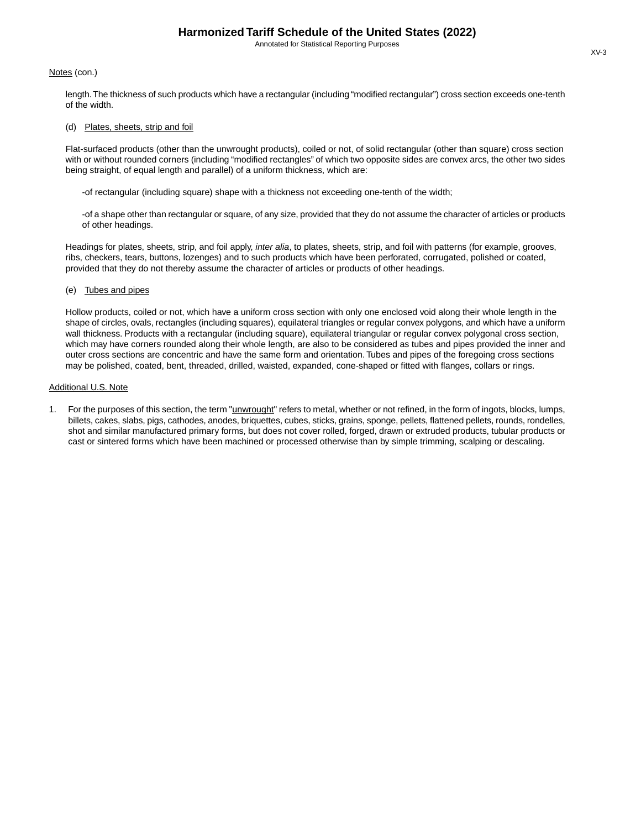Annotated for Statistical Reporting Purposes

#### Notes (con.)

length.The thickness of such products which have a rectangular (including "modified rectangular") cross section exceeds one-tenth of the width.

#### (d) Plates, sheets, strip and foil

Flat-surfaced products (other than the unwrought products), coiled or not, of solid rectangular (other than square) cross section with or without rounded corners (including "modified rectangles" of which two opposite sides are convex arcs, the other two sides being straight, of equal length and parallel) of a uniform thickness, which are:

-of rectangular (including square) shape with a thickness not exceeding one-tenth of the width;

-of a shape other than rectangular or square, of any size, provided that they do not assume the character of articles or products of other headings.

Headings for plates, sheets, strip, and foil apply, *inter alia*, to plates, sheets, strip, and foil with patterns (for example, grooves, ribs, checkers, tears, buttons, lozenges) and to such products which have been perforated, corrugated, polished or coated, provided that they do not thereby assume the character of articles or products of other headings.

#### (e) Tubes and pipes

Hollow products, coiled or not, which have a uniform cross section with only one enclosed void along their whole length in the shape of circles, ovals, rectangles (including squares), equilateral triangles or regular convex polygons, and which have a uniform wall thickness. Products with a rectangular (including square), equilateral triangular or regular convex polygonal cross section, which may have corners rounded along their whole length, are also to be considered as tubes and pipes provided the inner and outer cross sections are concentric and have the same form and orientation. Tubes and pipes of the foregoing cross sections may be polished, coated, bent, threaded, drilled, waisted, expanded, cone-shaped or fitted with flanges, collars or rings.

#### Additional U.S. Note

1. For the purposes of this section, the term "*unwrought*" refers to metal, whether or not refined, in the form of ingots, blocks, lumps, billets, cakes, slabs, pigs, cathodes, anodes, briquettes, cubes, sticks, grains, sponge, pellets, flattened pellets, rounds, rondelles, shot and similar manufactured primary forms, but does not cover rolled, forged, drawn or extruded products, tubular products or cast or sintered forms which have been machined or processed otherwise than by simple trimming, scalping or descaling.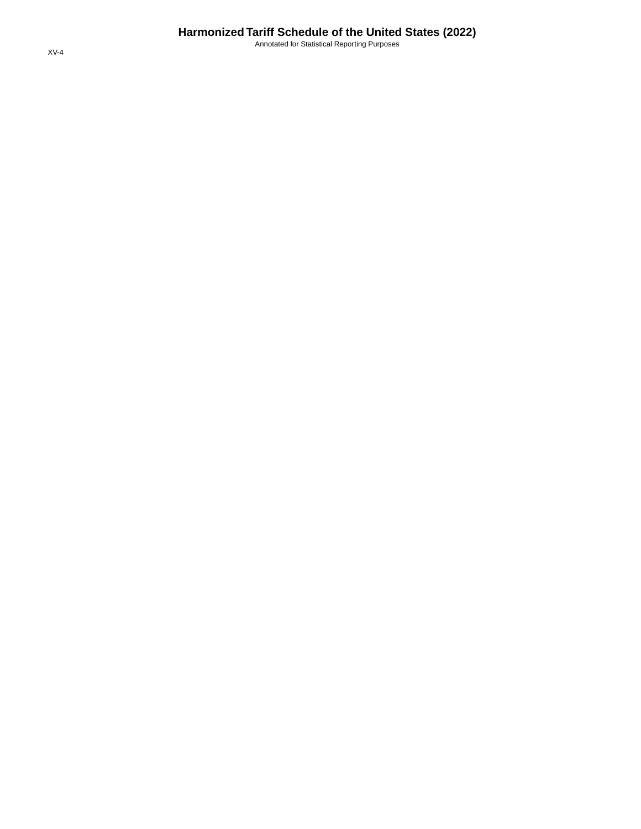Annotated for Statistical Reporting Purposes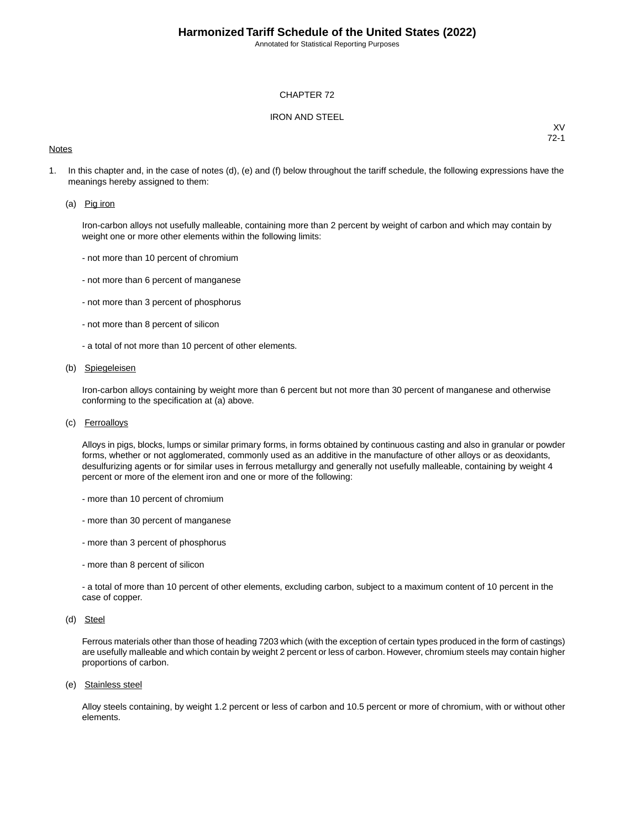Annotated for Statistical Reporting Purposes

#### CHAPTER 72

#### IRON AND STEEL

#### **Notes**

XV 72-1

1. In this chapter and, in the case of notes (d), (e) and (f) below throughout the tariff schedule, the following expressions have the meanings hereby assigned to them:

#### (a) Pig iron

Iron-carbon alloys not usefully malleable, containing more than 2 percent by weight of carbon and which may contain by weight one or more other elements within the following limits:

- not more than 10 percent of chromium
- not more than 6 percent of manganese
- not more than 3 percent of phosphorus
- not more than 8 percent of silicon
- a total of not more than 10 percent of other elements.

#### (b) Spiegeleisen

Iron-carbon alloys containing by weight more than 6 percent but not more than 30 percent of manganese and otherwise conforming to the specification at (a) above.

(c) Ferroalloys

Alloys in pigs, blocks, lumps or similar primary forms, in forms obtained by continuous casting and also in granular or powder forms, whether or not agglomerated, commonly used as an additive in the manufacture of other alloys or as deoxidants, desulfurizing agents or for similar uses in ferrous metallurgy and generally not usefully malleable, containing by weight 4 percent or more of the element iron and one or more of the following:

- more than 10 percent of chromium
- more than 30 percent of manganese
- more than 3 percent of phosphorus
- more than 8 percent of silicon

- a total of more than 10 percent of other elements, excluding carbon, subject to a maximum content of 10 percent in the case of copper.

(d) Steel

Ferrous materials other than those of heading 7203 which (with the exception of certain types produced in the form of castings) are usefully malleable and which contain by weight 2 percent or less of carbon. However, chromium steels may contain higher proportions of carbon.

(e) Stainless steel

Alloy steels containing, by weight 1.2 percent or less of carbon and 10.5 percent or more of chromium, with or without other elements.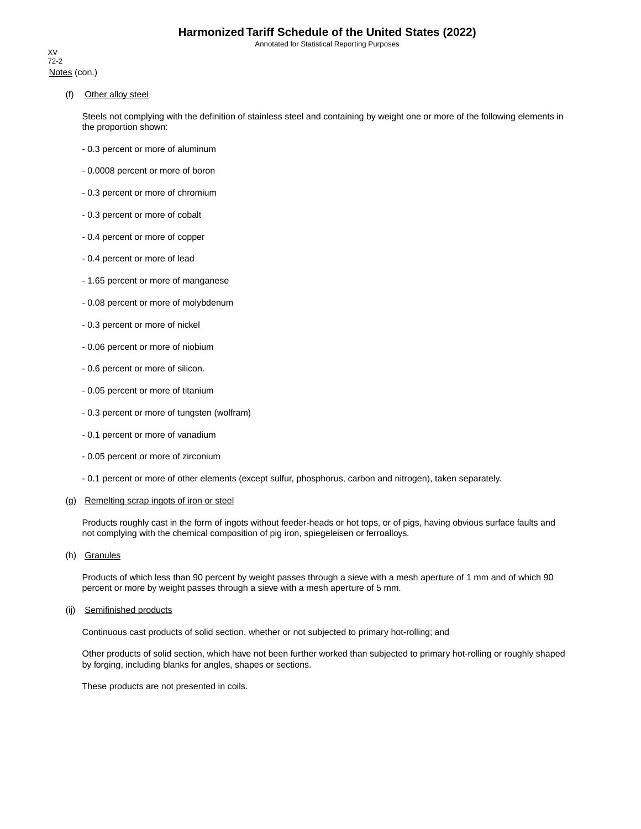Annotated for Statistical Reporting Purposes

Notes (con.) XV 72-2

(f) Other alloy steel

Steels not complying with the definition of stainless steel and containing by weight one or more of the following elements in the proportion shown:

- 0.3 percent or more of aluminum
- 0.0008 percent or more of boron
- 0.3 percent or more of chromium
- 0.3 percent or more of cobalt
- 0.4 percent or more of copper
- 0.4 percent or more of lead
- 1.65 percent or more of manganese
- 0.08 percent or more of molybdenum
- 0.3 percent or more of nickel
- 0.06 percent or more of niobium
- 0.6 percent or more of silicon.
- 0.05 percent or more of titanium
- 0.3 percent or more of tungsten (wolfram)
- 0.1 percent or more of vanadium
- 0.05 percent or more of zirconium
- 0.1 percent or more of other elements (except sulfur, phosphorus, carbon and nitrogen), taken separately.

#### (g) Remelting scrap ingots of iron or steel

Products roughly cast in the form of ingots without feeder-heads or hot tops, or of pigs, having obvious surface faults and not complying with the chemical composition of pig iron, spiegeleisen or ferroalloys.

(h) Granules

Products of which less than 90 percent by weight passes through a sieve with a mesh aperture of 1 mm and of which 90 percent or more by weight passes through a sieve with a mesh aperture of 5 mm.

#### (ij) Semifinished products

Continuous cast products of solid section, whether or not subjected to primary hot-rolling; and

Other products of solid section, which have not been further worked than subjected to primary hot-rolling or roughly shaped by forging, including blanks for angles, shapes or sections.

These products are not presented in coils.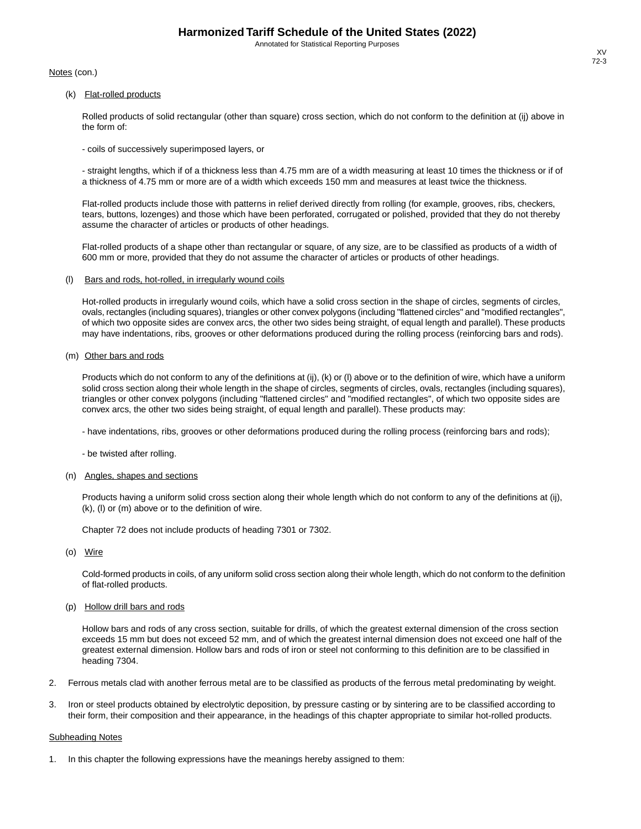Annotated for Statistical Reporting Purposes

#### Notes (con.)

(k) Flat-rolled products

Rolled products of solid rectangular (other than square) cross section, which do not conform to the definition at (ij) above in the form of:

- coils of successively superimposed layers, or

- straight lengths, which if of a thickness less than 4.75 mm are of a width measuring at least 10 times the thickness or if of a thickness of 4.75 mm or more are of a width which exceeds 150 mm and measures at least twice the thickness.

Flat-rolled products include those with patterns in relief derived directly from rolling (for example, grooves, ribs, checkers, tears, buttons, lozenges) and those which have been perforated, corrugated or polished, provided that they do not thereby assume the character of articles or products of other headings.

Flat-rolled products of a shape other than rectangular or square, of any size, are to be classified as products of a width of 600 mm or more, provided that they do not assume the character of articles or products of other headings.

#### (l) Bars and rods, hot-rolled, in irregularly wound coils

Hot-rolled products in irregularly wound coils, which have a solid cross section in the shape of circles, segments of circles, ovals, rectangles (including squares), triangles or other convex polygons (including "flattened circles" and "modified rectangles", of which two opposite sides are convex arcs, the other two sides being straight, of equal length and parallel).These products may have indentations, ribs, grooves or other deformations produced during the rolling process (reinforcing bars and rods).

#### (m) Other bars and rods

Products which do not conform to any of the definitions at (ij), (k) or (l) above or to the definition of wire, which have a uniform solid cross section along their whole length in the shape of circles, segments of circles, ovals, rectangles (including squares), triangles or other convex polygons (including "flattened circles" and "modified rectangles", of which two opposite sides are convex arcs, the other two sides being straight, of equal length and parallel). These products may:

- have indentations, ribs, grooves or other deformations produced during the rolling process (reinforcing bars and rods);

- be twisted after rolling.

#### (n) Angles, shapes and sections

Products having a uniform solid cross section along their whole length which do not conform to any of the definitions at (ij), (k), (l) or (m) above or to the definition of wire.

Chapter 72 does not include products of heading 7301 or 7302.

(o) Wire

Cold-formed products in coils, of any uniform solid cross section along their whole length, which do not conform to the definition of flat-rolled products.

(p) Hollow drill bars and rods

Hollow bars and rods of any cross section, suitable for drills, of which the greatest external dimension of the cross section exceeds 15 mm but does not exceed 52 mm, and of which the greatest internal dimension does not exceed one half of the greatest external dimension. Hollow bars and rods of iron or steel not conforming to this definition are to be classified in heading 7304.

- 2. Ferrous metals clad with another ferrous metal are to be classified as products of the ferrous metal predominating by weight.
- 3. Iron or steel products obtained by electrolytic deposition, by pressure casting or by sintering are to be classified according to their form, their composition and their appearance, in the headings of this chapter appropriate to similar hot-rolled products.

#### Subheading Notes

1. In this chapter the following expressions have the meanings hereby assigned to them: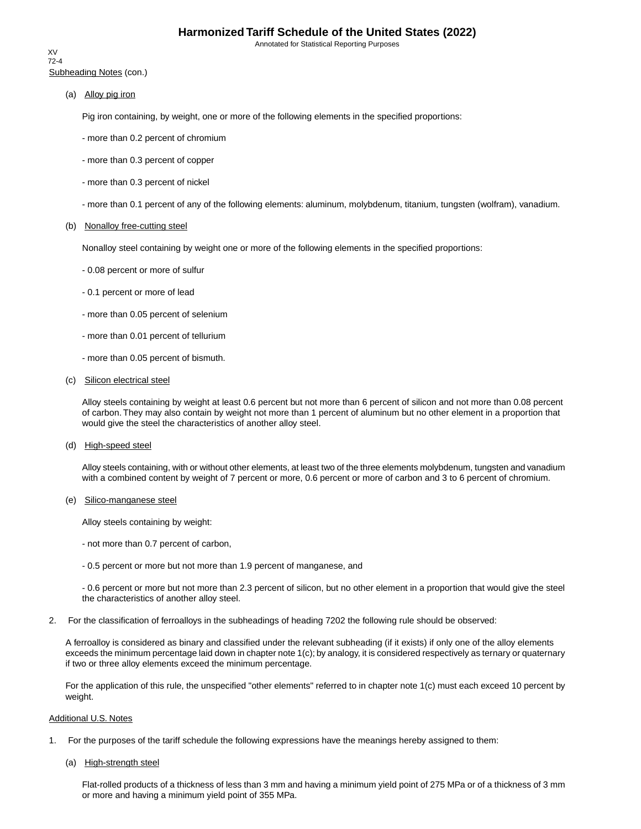Annotated for Statistical Reporting Purposes

Subheading Notes (con.) XV 72-4

(a) Alloy pig iron

Pig iron containing, by weight, one or more of the following elements in the specified proportions:

- more than 0.2 percent of chromium
- more than 0.3 percent of copper
- more than 0.3 percent of nickel
- more than 0.1 percent of any of the following elements: aluminum, molybdenum, titanium, tungsten (wolfram), vanadium.

#### (b) Nonalloy free-cutting steel

Nonalloy steel containing by weight one or more of the following elements in the specified proportions:

- 0.08 percent or more of sulfur
- 0.1 percent or more of lead
- more than 0.05 percent of selenium
- more than 0.01 percent of tellurium
- more than 0.05 percent of bismuth.
- (c) Silicon electrical steel

Alloy steels containing by weight at least 0.6 percent but not more than 6 percent of silicon and not more than 0.08 percent of carbon. They may also contain by weight not more than 1 percent of aluminum but no other element in a proportion that would give the steel the characteristics of another alloy steel.

(d) High-speed steel

Alloy steels containing, with or without other elements, at least two of the three elements molybdenum, tungsten and vanadium with a combined content by weight of 7 percent or more, 0.6 percent or more of carbon and 3 to 6 percent of chromium.

(e) Silico-manganese steel

Alloy steels containing by weight:

- not more than 0.7 percent of carbon,
- 0.5 percent or more but not more than 1.9 percent of manganese, and

- 0.6 percent or more but not more than 2.3 percent of silicon, but no other element in a proportion that would give the steel the characteristics of another alloy steel.

2. For the classification of ferroalloys in the subheadings of heading 7202 the following rule should be observed:

A ferroalloy is considered as binary and classified under the relevant subheading (if it exists) if only one of the alloy elements exceeds the minimum percentage laid down in chapter note 1(c); by analogy, it is considered respectively as ternary or quaternary if two or three alloy elements exceed the minimum percentage.

For the application of this rule, the unspecified "other elements" referred to in chapter note 1(c) must each exceed 10 percent by weight.

#### Additional U.S. Notes

- 1. For the purposes of the tariff schedule the following expressions have the meanings hereby assigned to them:
	- (a) High-strength steel

Flat-rolled products of a thickness of less than 3 mm and having a minimum yield point of 275 MPa or of a thickness of 3 mm or more and having a minimum yield point of 355 MPa.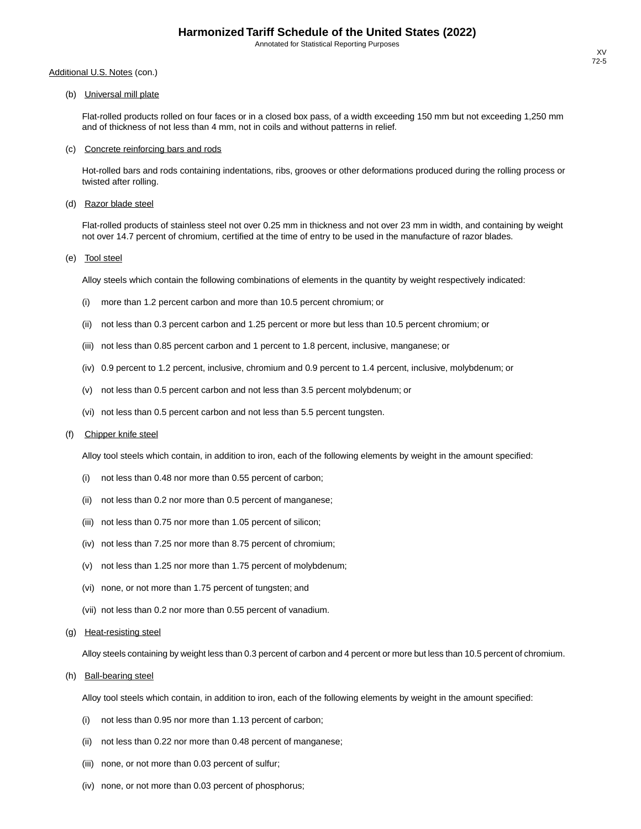Annotated for Statistical Reporting Purposes

#### Additional U.S. Notes (con.)

(b) Universal mill plate

Flat-rolled products rolled on four faces or in a closed box pass, of a width exceeding 150 mm but not exceeding 1,250 mm and of thickness of not less than 4 mm, not in coils and without patterns in relief.

#### (c) Concrete reinforcing bars and rods

Hot-rolled bars and rods containing indentations, ribs, grooves or other deformations produced during the rolling process or twisted after rolling.

(d) Razor blade steel

Flat-rolled products of stainless steel not over 0.25 mm in thickness and not over 23 mm in width, and containing by weight not over 14.7 percent of chromium, certified at the time of entry to be used in the manufacture of razor blades.

(e) Tool steel

Alloy steels which contain the following combinations of elements in the quantity by weight respectively indicated:

- (i) more than 1.2 percent carbon and more than 10.5 percent chromium; or
- (ii) not less than 0.3 percent carbon and 1.25 percent or more but less than 10.5 percent chromium; or
- (iii) not less than 0.85 percent carbon and 1 percent to 1.8 percent, inclusive, manganese; or
- (iv) 0.9 percent to 1.2 percent, inclusive, chromium and 0.9 percent to 1.4 percent, inclusive, molybdenum; or
- (v) not less than 0.5 percent carbon and not less than 3.5 percent molybdenum; or
- (vi) not less than 0.5 percent carbon and not less than 5.5 percent tungsten.

#### (f) Chipper knife steel

Alloy tool steels which contain, in addition to iron, each of the following elements by weight in the amount specified:

- (i) not less than 0.48 nor more than 0.55 percent of carbon;
- (ii) not less than 0.2 nor more than 0.5 percent of manganese;
- (iii) not less than 0.75 nor more than 1.05 percent of silicon;
- (iv) not less than 7.25 nor more than 8.75 percent of chromium;
- (v) not less than 1.25 nor more than 1.75 percent of molybdenum;
- (vi) none, or not more than 1.75 percent of tungsten; and
- (vii) not less than 0.2 nor more than 0.55 percent of vanadium.
- (g) Heat-resisting steel

Alloy steels containing by weight less than 0.3 percent of carbon and 4 percent or more but less than 10.5 percent of chromium.

(h) Ball-bearing steel

Alloy tool steels which contain, in addition to iron, each of the following elements by weight in the amount specified:

- (i) not less than 0.95 nor more than 1.13 percent of carbon;
- (ii) not less than 0.22 nor more than 0.48 percent of manganese;
- (iii) none, or not more than 0.03 percent of sulfur;
- (iv) none, or not more than 0.03 percent of phosphorus;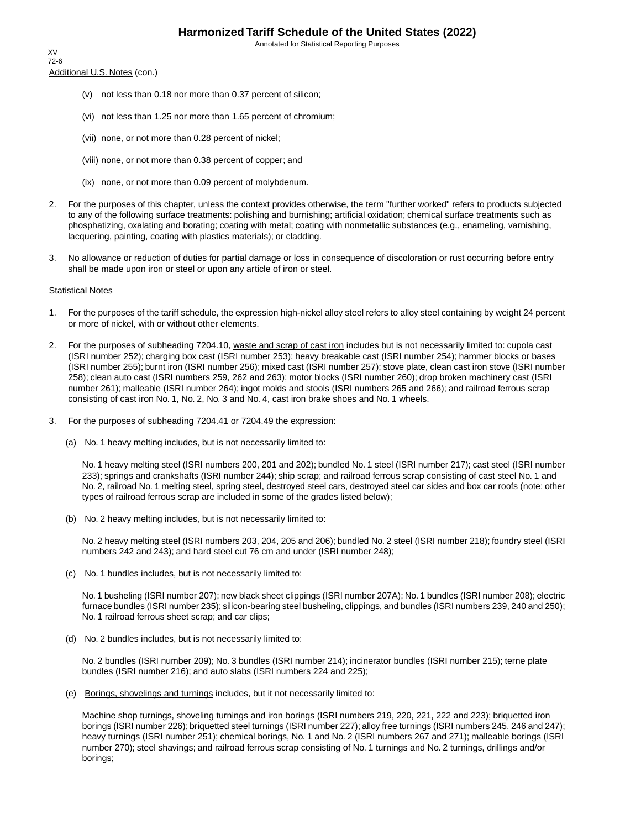Annotated for Statistical Reporting Purposes

Additional U.S. Notes (con.) XV 72-6

- (v) not less than 0.18 nor more than 0.37 percent of silicon;
- (vi) not less than 1.25 nor more than 1.65 percent of chromium;
- (vii) none, or not more than 0.28 percent of nickel;
- (viii) none, or not more than 0.38 percent of copper; and
- (ix) none, or not more than 0.09 percent of molybdenum.
- 2. For the purposes of this chapter, unless the context provides otherwise, the term "further worked" refers to products subjected to any of the following surface treatments: polishing and burnishing; artificial oxidation; chemical surface treatments such as phosphatizing, oxalating and borating; coating with metal; coating with nonmetallic substances (e.g., enameling, varnishing, lacquering, painting, coating with plastics materials); or cladding.
- 3. No allowance or reduction of duties for partial damage or loss in consequence of discoloration or rust occurring before entry shall be made upon iron or steel or upon any article of iron or steel.

#### Statistical Notes

- 1. For the purposes of the tariff schedule, the expression high-nickel alloy steel refers to alloy steel containing by weight 24 percent or more of nickel, with or without other elements.
- 2. For the purposes of subheading 7204.10, waste and scrap of cast iron includes but is not necessarily limited to: cupola cast (ISRI number 252); charging box cast (ISRI number 253); heavy breakable cast (ISRI number 254); hammer blocks or bases (ISRI number 255); burnt iron (ISRI number 256); mixed cast (ISRI number 257); stove plate, clean cast iron stove (ISRI number 258); clean auto cast (ISRI numbers 259, 262 and 263); motor blocks (ISRI number 260); drop broken machinery cast (ISRI number 261); malleable (ISRI number 264); ingot molds and stools (ISRI numbers 265 and 266); and railroad ferrous scrap consisting of cast iron No. 1, No. 2, No. 3 and No. 4, cast iron brake shoes and No. 1 wheels.
- 3. For the purposes of subheading 7204.41 or 7204.49 the expression:
	- (a) No. 1 heavy melting includes, but is not necessarily limited to:

No. 1 heavy melting steel (ISRI numbers 200, 201 and 202); bundled No. 1 steel (ISRI number 217); cast steel (ISRI number 233); springs and crankshafts (ISRI number 244); ship scrap; and railroad ferrous scrap consisting of cast steel No. 1 and No. 2, railroad No. 1 melting steel, spring steel, destroyed steel cars, destroyed steel car sides and box car roofs (note: other types of railroad ferrous scrap are included in some of the grades listed below);

(b) No. 2 heavy melting includes, but is not necessarily limited to:

No. 2 heavy melting steel (ISRI numbers 203, 204, 205 and 206); bundled No. 2 steel (ISRI number 218); foundry steel (ISRI numbers 242 and 243); and hard steel cut 76 cm and under (ISRI number 248);

(c) No. 1 bundles includes, but is not necessarily limited to:

No. 1 busheling (ISRI number 207); new black sheet clippings (ISRI number 207A); No. 1 bundles (ISRI number 208); electric furnace bundles (ISRI number 235); silicon-bearing steel busheling, clippings, and bundles (ISRI numbers 239, 240 and 250); No. 1 railroad ferrous sheet scrap; and car clips;

(d) No. 2 bundles includes, but is not necessarily limited to:

No. 2 bundles (ISRI number 209); No. 3 bundles (ISRI number 214); incinerator bundles (ISRI number 215); terne plate bundles (ISRI number 216); and auto slabs (ISRI numbers 224 and 225);

(e) Borings, shovelings and turnings includes, but it not necessarily limited to:

Machine shop turnings, shoveling turnings and iron borings (ISRI numbers 219, 220, 221, 222 and 223); briquetted iron borings (ISRI number 226); briquetted steel turnings (ISRI number 227); alloy free turnings (ISRI numbers 245, 246 and 247); heavy turnings (ISRI number 251); chemical borings, No. 1 and No. 2 (ISRI numbers 267 and 271); malleable borings (ISRI number 270); steel shavings; and railroad ferrous scrap consisting of No. 1 turnings and No. 2 turnings, drillings and/or borings;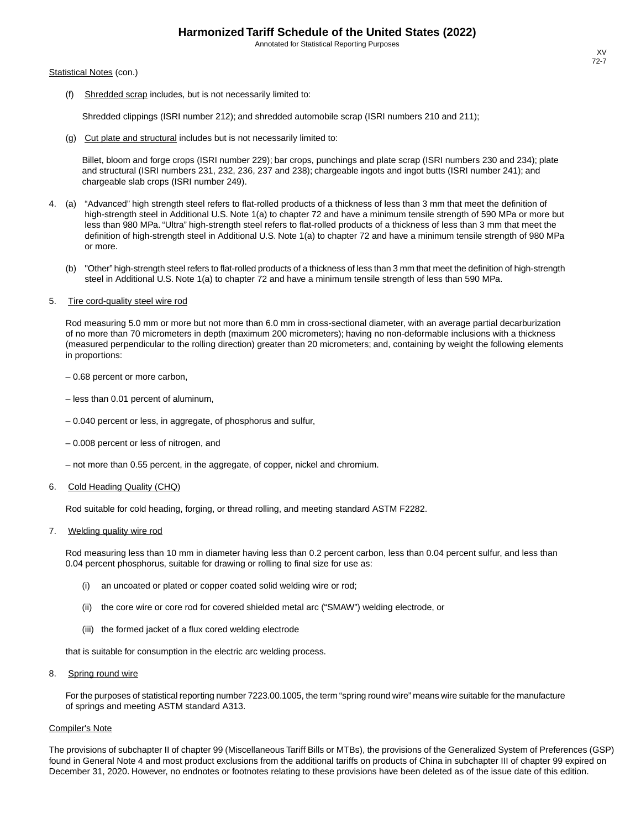Annotated for Statistical Reporting Purposes

#### Statistical Notes (con.)

(f) Shredded scrap includes, but is not necessarily limited to:

Shredded clippings (ISRI number 212); and shredded automobile scrap (ISRI numbers 210 and 211);

(g) Cut plate and structural includes but is not necessarily limited to:

Billet, bloom and forge crops (ISRI number 229); bar crops, punchings and plate scrap (ISRI numbers 230 and 234); plate and structural (ISRI numbers 231, 232, 236, 237 and 238); chargeable ingots and ingot butts (ISRI number 241); and chargeable slab crops (ISRI number 249).

- 4. (a) "Advanced" high strength steel refers to flat-rolled products of a thickness of less than 3 mm that meet the definition of high-strength steel in Additional U.S. Note 1(a) to chapter 72 and have a minimum tensile strength of 590 MPa or more but less than 980 MPa. "Ultra" high-strength steel refers to flat-rolled products of a thickness of less than 3 mm that meet the definition of high-strength steel in Additional U.S. Note 1(a) to chapter 72 and have a minimum tensile strength of 980 MPa or more.
	- (b) "Other" high-strength steel refers to flat-rolled products of a thickness of less than 3 mm that meet the definition of high-strength steel in Additional U.S. Note 1(a) to chapter 72 and have a minimum tensile strength of less than 590 MPa.

#### 5. Tire cord-quality steel wire rod

Rod measuring 5.0 mm or more but not more than 6.0 mm in cross-sectional diameter, with an average partial decarburization of no more than 70 micrometers in depth (maximum 200 micrometers); having no non-deformable inclusions with a thickness (measured perpendicular to the rolling direction) greater than 20 micrometers; and, containing by weight the following elements in proportions:

– 0.68 percent or more carbon,

- less than 0.01 percent of aluminum,
- 0.040 percent or less, in aggregate, of phosphorus and sulfur,
- 0.008 percent or less of nitrogen, and
- not more than 0.55 percent, in the aggregate, of copper, nickel and chromium.

#### 6. Cold Heading Quality (CHQ)

Rod suitable for cold heading, forging, or thread rolling, and meeting standard ASTM F2282.

#### 7. Welding quality wire rod

Rod measuring less than 10 mm in diameter having less than 0.2 percent carbon, less than 0.04 percent sulfur, and less than 0.04 percent phosphorus, suitable for drawing or rolling to final size for use as:

- (i) an uncoated or plated or copper coated solid welding wire or rod;
- (ii) the core wire or core rod for covered shielded metal arc ("SMAW") welding electrode, or
- (iii) the formed jacket of a flux cored welding electrode

that is suitable for consumption in the electric arc welding process.

8. Spring round wire

For the purposes of statistical reporting number 7223.00.1005, the term "spring round wire" means wire suitable for the manufacture of springs and meeting ASTM standard A313.

#### Compiler's Note

The provisions of subchapter II of chapter 99 (Miscellaneous Tariff Bills or MTBs), the provisions of the Generalized System of Preferences (GSP) found in General Note 4 and most product exclusions from the additional tariffs on products of China in subchapter III of chapter 99 expired on December 31, 2020. However, no endnotes or footnotes relating to these provisions have been deleted as of the issue date of this edition.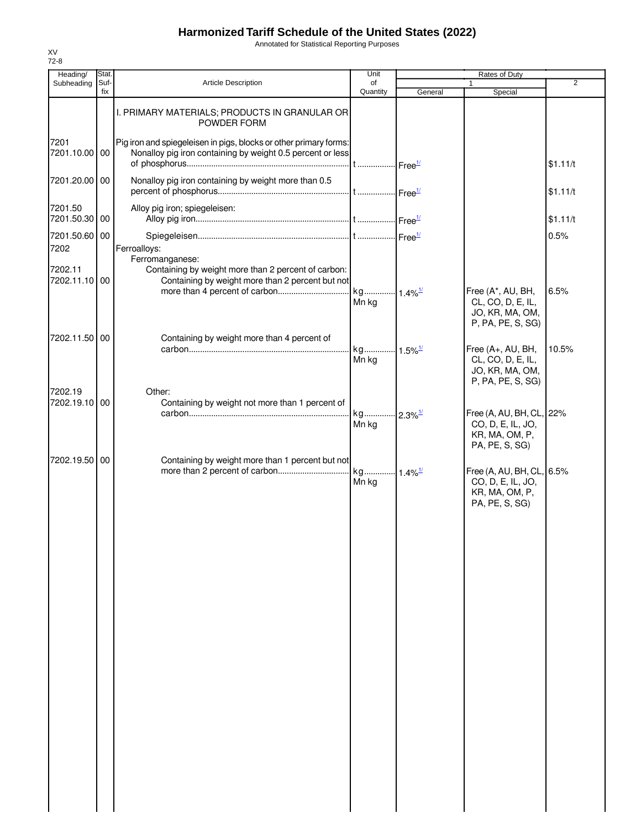Annotated for Statistical Reporting Purposes

| Heading/                 | Stat.       |                                                                                                                                 | Unit                           |         | <b>Rates of Duty</b>                                                              |          |
|--------------------------|-------------|---------------------------------------------------------------------------------------------------------------------------------|--------------------------------|---------|-----------------------------------------------------------------------------------|----------|
| Subheading               | Suf-<br>fix | <b>Article Description</b>                                                                                                      | of<br>Quantity                 | General | $\mathbf{1}$<br>Special                                                           | 2        |
|                          |             | I. PRIMARY MATERIALS; PRODUCTS IN GRANULAR OR<br>POWDER FORM                                                                    |                                |         |                                                                                   |          |
| 7201<br>7201.10.00 00    |             | Pig iron and spiegeleisen in pigs, blocks or other primary forms:<br>Nonalloy pig iron containing by weight 0.5 percent or less |                                |         |                                                                                   | \$1.11/t |
| 7201.20.00 00            |             | Nonalloy pig iron containing by weight more than 0.5                                                                            |                                |         |                                                                                   | \$1.11/t |
| 7201.50<br>7201.50.30 00 |             | Alloy pig iron; spiegeleisen:                                                                                                   |                                |         |                                                                                   | \$1.11/t |
| 7201.50.60 00<br>7202    |             | Ferroalloys:                                                                                                                    |                                |         |                                                                                   | 0.5%     |
| 7202.11<br>7202.11.10 00 |             | Ferromanganese:<br>Containing by weight more than 2 percent of carbon:<br>Containing by weight more than 2 percent but not      |                                |         | Free (A*, AU, BH,                                                                 | 6.5%     |
|                          |             |                                                                                                                                 | Mn kg                          |         | CL, CO, D, E, IL,<br>JO, KR, MA, OM,<br>P, PA, PE, S, SG)                         |          |
| 7202.11.50 00            |             | Containing by weight more than 4 percent of                                                                                     |                                |         |                                                                                   |          |
|                          |             |                                                                                                                                 | kg 1.5% <sup>1/</sup>          |         | Free (A+, AU, BH,                                                                 | 10.5%    |
|                          |             |                                                                                                                                 | Mn kg                          |         | CL, CO, D, E, IL,<br>JO, KR, MA, OM,<br>P, PA, PE, S, SG)                         |          |
| 7202.19                  |             | Other:                                                                                                                          |                                |         |                                                                                   |          |
| 7202.19.10 00            |             | Containing by weight not more than 1 percent of                                                                                 |                                |         |                                                                                   |          |
|                          |             |                                                                                                                                 | kg 2.3% <sup>1/</sup><br>Mn kg |         | Free (A, AU, BH, CL, 22%<br>CO, D, E, IL, JO,<br>KR, MA, OM, P,<br>PA, PE, S, SG) |          |
| 7202.19.50 00            |             | Containing by weight more than 1 percent but not                                                                                |                                |         | Free (A, AU, BH, CL, 6.5%                                                         |          |
|                          |             |                                                                                                                                 | Mn kg                          |         | CO, D, E, IL, JO,<br>KR, MA, OM, P,<br>PA, PE, S, SG)                             |          |
|                          |             |                                                                                                                                 |                                |         |                                                                                   |          |
|                          |             |                                                                                                                                 |                                |         |                                                                                   |          |
|                          |             |                                                                                                                                 |                                |         |                                                                                   |          |
|                          |             |                                                                                                                                 |                                |         |                                                                                   |          |
|                          |             |                                                                                                                                 |                                |         |                                                                                   |          |
|                          |             |                                                                                                                                 |                                |         |                                                                                   |          |
|                          |             |                                                                                                                                 |                                |         |                                                                                   |          |
|                          |             |                                                                                                                                 |                                |         |                                                                                   |          |
|                          |             |                                                                                                                                 |                                |         |                                                                                   |          |
|                          |             |                                                                                                                                 |                                |         |                                                                                   |          |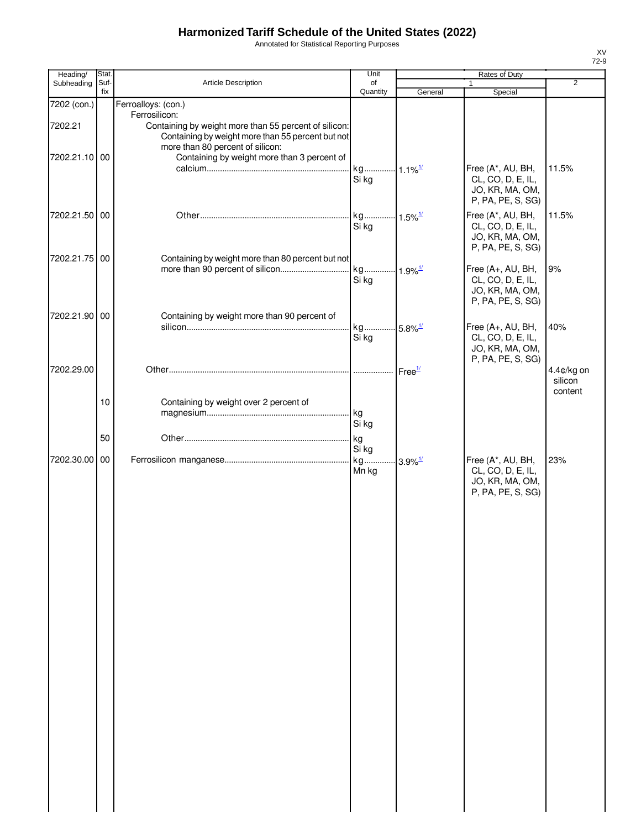Annotated for Statistical Reporting Purposes

| Heading/      | Stat.       |                                                                                                                                                                 | Unit                           |                       | Rates of Duty                                                                  |                    |
|---------------|-------------|-----------------------------------------------------------------------------------------------------------------------------------------------------------------|--------------------------------|-----------------------|--------------------------------------------------------------------------------|--------------------|
| Subheading    | Suf-<br>fix | Article Description                                                                                                                                             | of<br>Quantity                 | General               | 1<br>Special                                                                   | $\overline{2}$     |
| 7202 (con.)   |             | Ferroalloys: (con.)                                                                                                                                             |                                |                       |                                                                                |                    |
| 7202.21       |             | Ferrosilicon:<br>Containing by weight more than 55 percent of silicon:<br>Containing by weight more than 55 percent but not<br>more than 80 percent of silicon: |                                |                       |                                                                                |                    |
| 7202.21.10 00 |             | Containing by weight more than 3 percent of                                                                                                                     | kg 1.1% <sup>1/</sup><br>Si kg |                       | Free (A*, AU, BH,<br>CL, CO, D, E, IL,<br>JO, KR, MA, OM,<br>P, PA, PE, S, SG) | 11.5%              |
| 7202.21.50 00 |             |                                                                                                                                                                 | kg 1.5% <sup>1/</sup><br>Si kg |                       | Free (A*, AU, BH,<br>CL, CO, D, E, IL,<br>JO, KR, MA, OM,<br>P, PA, PE, S, SG) | 11.5%              |
| 7202.21.75 00 |             | Containing by weight more than 80 percent but not                                                                                                               | Si kg                          | $1.9\%$ <sup>1/</sup> | Free (A+, AU, BH,<br>CL, CO, D, E, IL,<br>JO, KR, MA, OM,                      | 9%                 |
| 7202.21.90 00 |             | Containing by weight more than 90 percent of                                                                                                                    | kg 5.8% <sup>1/</sup>          |                       | P, PA, PE, S, SG)<br>Free (A+, AU, BH,                                         | 40%                |
| 7202.29.00    |             |                                                                                                                                                                 | Si kg                          | Free <sup>1/</sup>    | CL, CO, D, E, IL,<br>JO, KR, MA, OM,<br>P, PA, PE, S, SG)                      | 4.4¢/kg on         |
|               | 10          | Containing by weight over 2 percent of                                                                                                                          | Si kg                          |                       |                                                                                | silicon<br>content |
|               | 50          |                                                                                                                                                                 | kg<br>Si kg                    |                       |                                                                                |                    |
| 7202.30.00 00 |             |                                                                                                                                                                 | kg 3.9% <sup>1/</sup><br>Mn kg |                       | Free (A*, AU, BH,<br>CL, CO, D, E, IL,<br>JO, KR, MA, OM,<br>P, PA, PE, S, SG) | 23%                |
|               |             |                                                                                                                                                                 |                                |                       |                                                                                |                    |
|               |             |                                                                                                                                                                 |                                |                       |                                                                                |                    |
|               |             |                                                                                                                                                                 |                                |                       |                                                                                |                    |
|               |             |                                                                                                                                                                 |                                |                       |                                                                                |                    |
|               |             |                                                                                                                                                                 |                                |                       |                                                                                |                    |
|               |             |                                                                                                                                                                 |                                |                       |                                                                                |                    |
|               |             |                                                                                                                                                                 |                                |                       |                                                                                |                    |
|               |             |                                                                                                                                                                 |                                |                       |                                                                                |                    |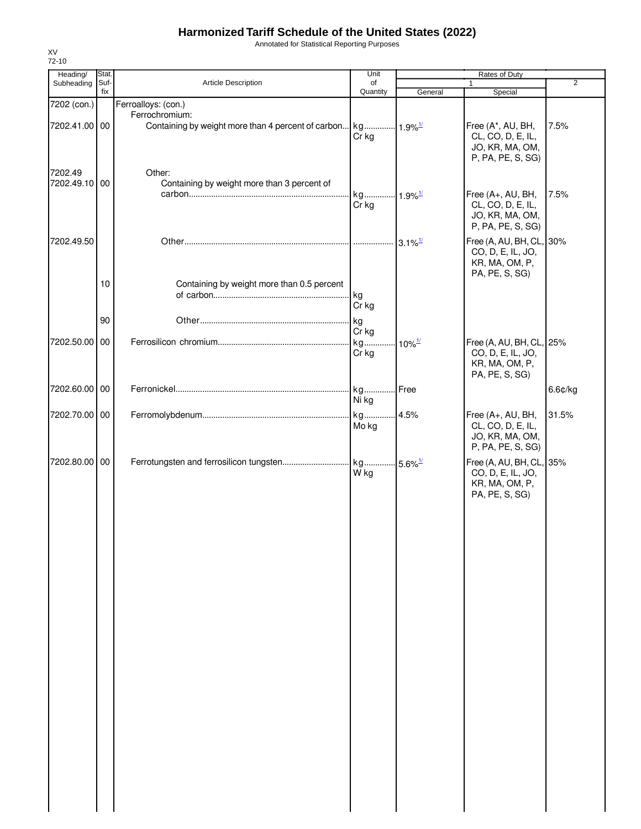Annotated for Statistical Reporting Purposes

| Heading/                     | Stat.       |                                                                                                                   | Unit                           |                      | Rates of Duty                                                                     |            |
|------------------------------|-------------|-------------------------------------------------------------------------------------------------------------------|--------------------------------|----------------------|-----------------------------------------------------------------------------------|------------|
| Subheading                   | Suf-<br>fix | Article Description                                                                                               | of<br>Quantity                 | General              | $\mathbf{1}$<br>Special                                                           | 2          |
| 7202 (con.)<br>7202.41.00 00 |             | Ferroalloys: (con.)<br>Ferrochromium:<br>Containing by weight more than 4 percent of carbon kg 1.9% <sup>1/</sup> | Cr kg                          |                      | Free (A*, AU, BH,<br>CL, CO, D, E, IL,<br>JO, KR, MA, OM,<br>P, PA, PE, S, SG)    | 7.5%       |
| 7202.49<br>7202.49.10 00     |             | Other:<br>Containing by weight more than 3 percent of                                                             | kg 1.9% <sup>1/</sup><br>Cr kg |                      | Free (A+, AU, BH,<br>CL, CO, D, E, IL,<br>JO, KR, MA, OM,<br>P, PA, PE, S, SG)    | 7.5%       |
| 7202.49.50                   |             |                                                                                                                   |                                |                      | Free (A, AU, BH, CL, 30%<br>CO, D, E, IL, JO,<br>KR, MA, OM, P,<br>PA, PE, S, SG) |            |
|                              | 10          | Containing by weight more than 0.5 percent                                                                        | kg<br>Cr kg                    |                      |                                                                                   |            |
|                              | 90          |                                                                                                                   | kg<br>Cr kg                    |                      |                                                                                   |            |
| 7202.50.00 00                |             |                                                                                                                   | Cr kg                          | $10\%$ <sup>1/</sup> | Free (A, AU, BH, CL, 25%<br>CO, D, E, IL, JO,<br>KR, MA, OM, P,<br>PA, PE, S, SG) |            |
| 7202.60.00 00                |             |                                                                                                                   | kg<br>Ni kg                    | Free                 |                                                                                   | $6.6$ ¢/kg |
| 7202.70.00 00                |             |                                                                                                                   | Mo kg                          |                      | Free (A+, AU, BH,<br>CL, CO, D, E, IL,<br>JO, KR, MA, OM,<br>P, PA, PE, S, SG)    | 31.5%      |
| 7202.80.00 00                |             |                                                                                                                   | W kg                           |                      | Free (A, AU, BH, CL, 35%<br>CO, D, E, IL, JO,<br>KR, MA, OM, P,<br>PA, PE, S, SG) |            |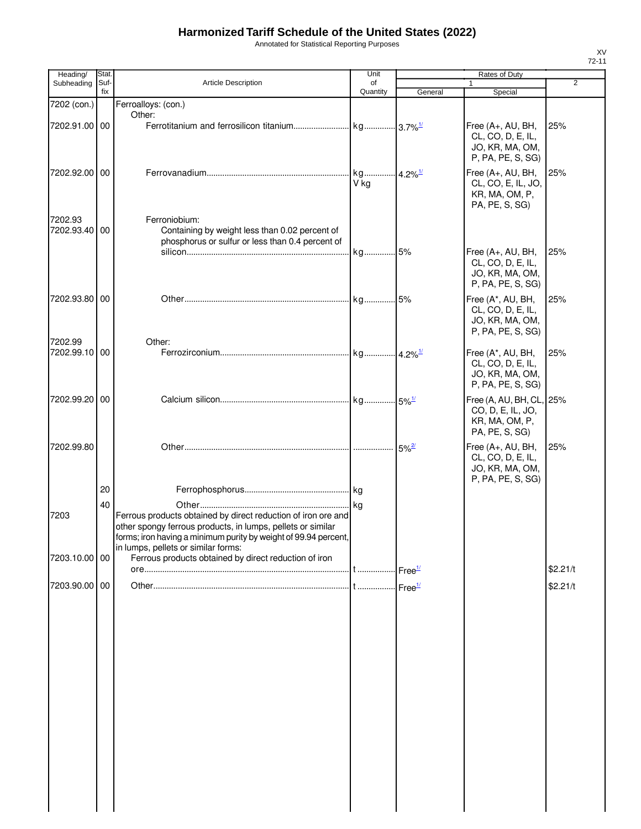Annotated for Statistical Reporting Purposes

| Heading/                 | <b>Stat</b> |                                                                                                                                                                                                                                        | Unit           |                       | Rates of Duty                                                                     |                |
|--------------------------|-------------|----------------------------------------------------------------------------------------------------------------------------------------------------------------------------------------------------------------------------------------|----------------|-----------------------|-----------------------------------------------------------------------------------|----------------|
| Subheading               | Suf-<br>fix | <b>Article Description</b>                                                                                                                                                                                                             | of<br>Quantity |                       | 1                                                                                 | $\overline{2}$ |
| 7202 (con.)              |             | Ferroalloys: (con.)                                                                                                                                                                                                                    |                | General               | Special                                                                           |                |
|                          |             | Other:                                                                                                                                                                                                                                 |                |                       |                                                                                   |                |
| 7202.91.00 00            |             |                                                                                                                                                                                                                                        |                |                       | Free (A+, AU, BH,<br>CL, CO, D, E, IL,<br>JO, KR, MA, OM,<br>P, PA, PE, S, SG)    | 25%            |
| 7202.92.00 00            |             |                                                                                                                                                                                                                                        | kg<br>V kg     | $4.2\%$ <sup>1/</sup> | Free (A+, AU, BH,<br>CL, CO, E, IL, JO,<br>KR, MA, OM, P,<br>PA, PE, S, SG)       | 25%            |
| 7202.93<br>7202.93.40 00 |             | Ferroniobium:<br>Containing by weight less than 0.02 percent of<br>phosphorus or sulfur or less than 0.4 percent of                                                                                                                    | kg             | 5%                    | Free (A+, AU, BH,<br>CL, CO, D, E, IL,<br>JO, KR, MA, OM,                         | 25%            |
|                          |             |                                                                                                                                                                                                                                        |                |                       | P, PA, PE, S, SG)                                                                 |                |
| 7202.93.80 00            |             |                                                                                                                                                                                                                                        | kg             | 5%                    | Free (A*, AU, BH,<br>CL, CO, D, E, IL,<br>JO, KR, MA, OM,<br>P, PA, PE, S, SG)    | 25%            |
| 7202.99<br>7202.99.10 00 |             | Other:                                                                                                                                                                                                                                 |                | $4.2\%$ <sup>1/</sup> | Free (A*, AU, BH,<br>CL, CO, D, E, IL,<br>JO, KR, MA, OM,<br>P, PA, PE, S, SG)    | 25%            |
| 7202.99.20 00            |             |                                                                                                                                                                                                                                        |                |                       | Free (A, AU, BH, CL, 25%<br>CO, D, E, IL, JO,<br>KR, MA, OM, P,<br>PA, PE, S, SG) |                |
| 7202.99.80               |             |                                                                                                                                                                                                                                        |                | $5%^{2/2}$            | Free (A+, AU, BH,<br>CL, CO, D, E, IL,<br>JO, KR, MA, OM,<br>P, PA, PE, S, SG)    | 25%            |
|                          | 20          |                                                                                                                                                                                                                                        |                |                       |                                                                                   |                |
| 7203                     | 40          | Ferrous products obtained by direct reduction of iron ore and<br>other spongy ferrous products, in lumps, pellets or similar<br>forms; iron having a minimum purity by weight of 99.94 percent,<br>in lumps, pellets or similar forms: |                |                       |                                                                                   |                |
| 7203.10.00 00            |             | Ferrous products obtained by direct reduction of iron                                                                                                                                                                                  |                |                       |                                                                                   |                |
|                          |             |                                                                                                                                                                                                                                        |                | Free <sup>1/</sup>    |                                                                                   | \$2.21/t       |
| 7203.90.00 00            |             |                                                                                                                                                                                                                                        |                | Free <sup>1/</sup>    |                                                                                   | \$2.21/t       |
|                          |             |                                                                                                                                                                                                                                        |                |                       |                                                                                   |                |
|                          |             |                                                                                                                                                                                                                                        |                |                       |                                                                                   |                |
|                          |             |                                                                                                                                                                                                                                        |                |                       |                                                                                   |                |
|                          |             |                                                                                                                                                                                                                                        |                |                       |                                                                                   |                |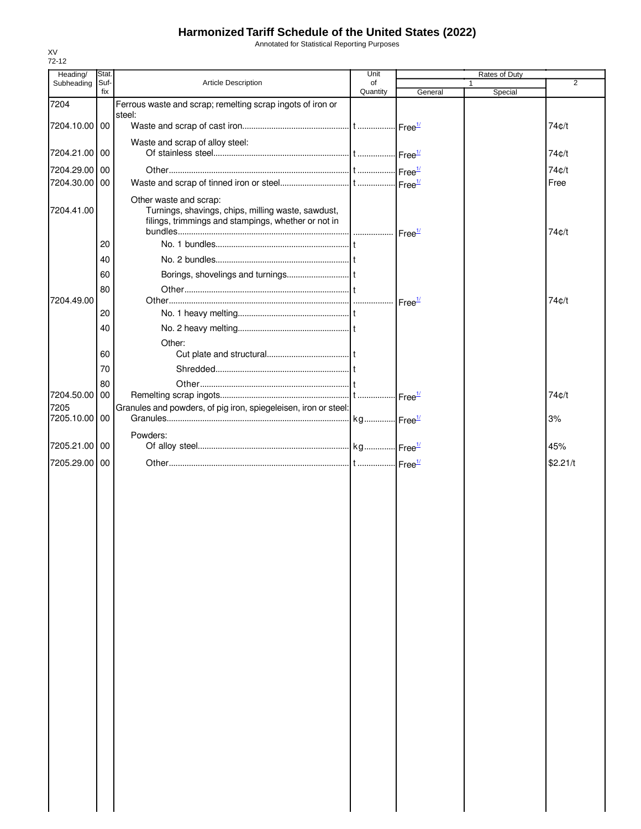Annotated for Statistical Reporting Purposes

| $\overline{2}$ |
|----------------|
|                |
|                |
| 74¢/t          |
|                |
| 74¢/t          |
| 74¢/t          |
| Free           |
|                |
|                |
| 74¢/t          |
|                |
|                |
|                |
|                |
| 74¢/t          |
|                |
|                |
|                |
|                |
|                |
| 74¢/t          |
|                |
| 3%             |
|                |
| 45%            |
| \$2.21/t       |
|                |
|                |
|                |
|                |
|                |
|                |
|                |
|                |
|                |
|                |
|                |
|                |
|                |
|                |
|                |
|                |
|                |
|                |
|                |
|                |
|                |
|                |
|                |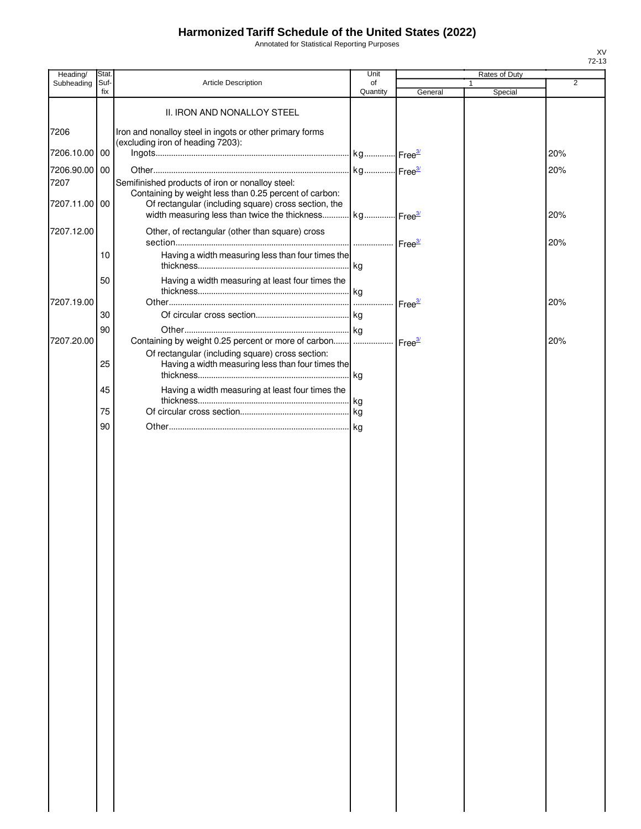Annotated for Statistical Reporting Purposes

| Heading/      | Stat.       |                                                                                                                | Unit           |                    | Rates of Duty |     |
|---------------|-------------|----------------------------------------------------------------------------------------------------------------|----------------|--------------------|---------------|-----|
| Subheading    | Suf-<br>fix | <b>Article Description</b>                                                                                     | of<br>Quantity | General            | 1<br>Special  | 2   |
|               |             | II. IRON AND NONALLOY STEEL                                                                                    |                |                    |               |     |
| 7206          |             | Iron and nonalloy steel in ingots or other primary forms<br>(excluding iron of heading 7203):                  |                |                    |               |     |
| 7206.10.00 00 |             |                                                                                                                |                |                    |               | 20% |
| 7206.90.00    | 00          |                                                                                                                |                |                    |               | 20% |
| 7207          |             | Semifinished products of iron or nonalloy steel:<br>Containing by weight less than 0.25 percent of carbon:     |                |                    |               |     |
| 7207.11.00 00 |             | Of rectangular (including square) cross section, the<br>width measuring less than twice the thickness kg Free3 |                |                    |               | 20% |
| 7207.12.00    |             | Other, of rectangular (other than square) cross                                                                |                |                    |               | 20% |
|               | 10          | Having a width measuring less than four times the                                                              | . kg           |                    |               |     |
|               | 50          | Having a width measuring at least four times the                                                               |                |                    |               |     |
| 7207.19.00    |             |                                                                                                                |                | Free <sup>3/</sup> |               | 20% |
|               | 30          |                                                                                                                |                |                    |               |     |
|               | 90          |                                                                                                                |                |                    |               |     |
| 7207.20.00    |             | Containing by weight 0.25 percent or more of carbon    Free3                                                   |                |                    |               | 20% |
|               | 25          | Of rectangular (including square) cross section:<br>Having a width measuring less than four times the          |                |                    |               |     |
|               | 45          | Having a width measuring at least four times the                                                               | . kg           |                    |               |     |
|               | 75          |                                                                                                                |                |                    |               |     |
|               | 90          |                                                                                                                |                |                    |               |     |
|               |             |                                                                                                                |                |                    |               |     |
|               |             |                                                                                                                |                |                    |               |     |
|               |             |                                                                                                                |                |                    |               |     |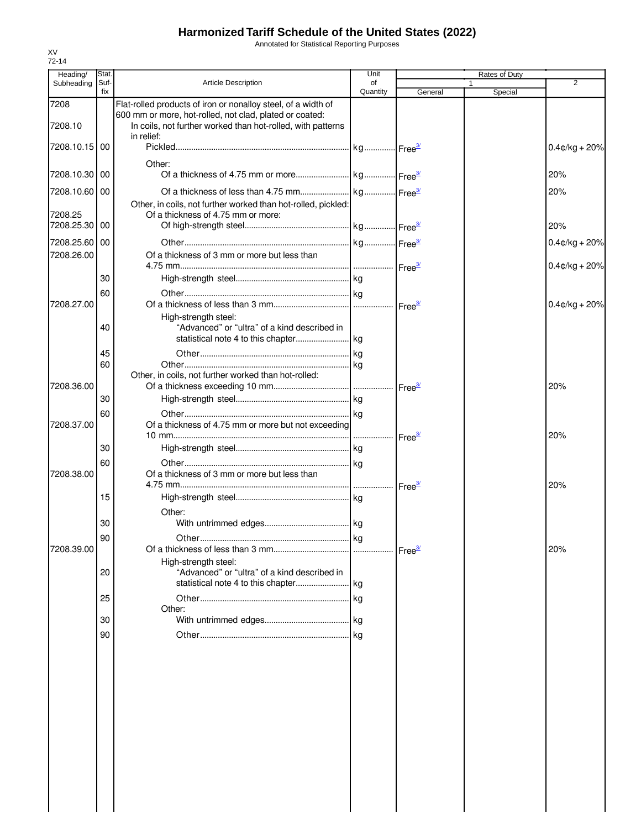Annotated for Statistical Reporting Purposes

| Heading/                 | Stat.       |                                                                                                                                                                                                       | Unit           |                    | Rates of Duty |                  |
|--------------------------|-------------|-------------------------------------------------------------------------------------------------------------------------------------------------------------------------------------------------------|----------------|--------------------|---------------|------------------|
| Subheading               | Suf-<br>fix | <b>Article Description</b>                                                                                                                                                                            | οf<br>Quantity | General            | 1<br>Special  | 2                |
| 7208<br>7208.10          |             | Flat-rolled products of iron or nonalloy steel, of a width of<br>600 mm or more, hot-rolled, not clad, plated or coated:<br>In coils, not further worked than hot-rolled, with patterns<br>in relief: |                |                    |               |                  |
| 7208.10.15   00          |             |                                                                                                                                                                                                       |                |                    |               | $0.4$ ¢/kg + 20% |
| 7208.10.30 00            |             | Other:                                                                                                                                                                                                |                |                    |               | 20%              |
| 7208.10.60 00            |             |                                                                                                                                                                                                       |                |                    |               | 20%              |
| 7208.25<br>7208.25.30 00 |             | Other, in coils, not further worked than hot-rolled, pickled:<br>Of a thickness of 4.75 mm or more:                                                                                                   |                |                    |               | 20%              |
| 7208.25.60 00            |             |                                                                                                                                                                                                       |                |                    |               | $0.4¢/kg + 20%$  |
| 7208.26.00               |             | Of a thickness of 3 mm or more but less than                                                                                                                                                          |                |                    |               | $0.4¢/kg + 20%$  |
|                          | 30          |                                                                                                                                                                                                       |                |                    |               |                  |
|                          | 60          |                                                                                                                                                                                                       |                |                    |               |                  |
| 7208.27.00               |             |                                                                                                                                                                                                       |                |                    |               | $0.4$ ¢/kg + 20% |
|                          | 40          | High-strength steel:<br>"Advanced" or "ultra" of a kind described in                                                                                                                                  |                |                    |               |                  |
|                          | 45          |                                                                                                                                                                                                       |                |                    |               |                  |
|                          | 60          |                                                                                                                                                                                                       |                |                    |               |                  |
| 7208.36.00               |             | Other, in coils, not further worked than hot-rolled:                                                                                                                                                  |                |                    |               | 20%              |
|                          | 30          |                                                                                                                                                                                                       |                |                    |               |                  |
|                          | 60          |                                                                                                                                                                                                       |                |                    |               |                  |
| 7208.37.00               |             | Of a thickness of 4.75 mm or more but not exceeding                                                                                                                                                   |                | Free <sup>3/</sup> |               | 20%              |
|                          | 30          |                                                                                                                                                                                                       |                |                    |               |                  |
| 7208.38.00               | 60          | Of a thickness of 3 mm or more but less than                                                                                                                                                          |                |                    |               | 20%              |
|                          | 15          |                                                                                                                                                                                                       |                |                    |               |                  |
|                          | 30          | Other:                                                                                                                                                                                                |                |                    |               |                  |
|                          | 90          |                                                                                                                                                                                                       |                |                    |               |                  |
| 7208.39.00               |             |                                                                                                                                                                                                       |                | Free <sup>3/</sup> |               | 20%              |
|                          | 20          | High-strength steel:<br>"Advanced" or "ultra" of a kind described in                                                                                                                                  |                |                    |               |                  |
|                          | 25          | Other:                                                                                                                                                                                                |                |                    |               |                  |
|                          | 30          |                                                                                                                                                                                                       |                |                    |               |                  |
|                          | 90          |                                                                                                                                                                                                       |                |                    |               |                  |
|                          |             |                                                                                                                                                                                                       |                |                    |               |                  |
|                          |             |                                                                                                                                                                                                       |                |                    |               |                  |
|                          |             |                                                                                                                                                                                                       |                |                    |               |                  |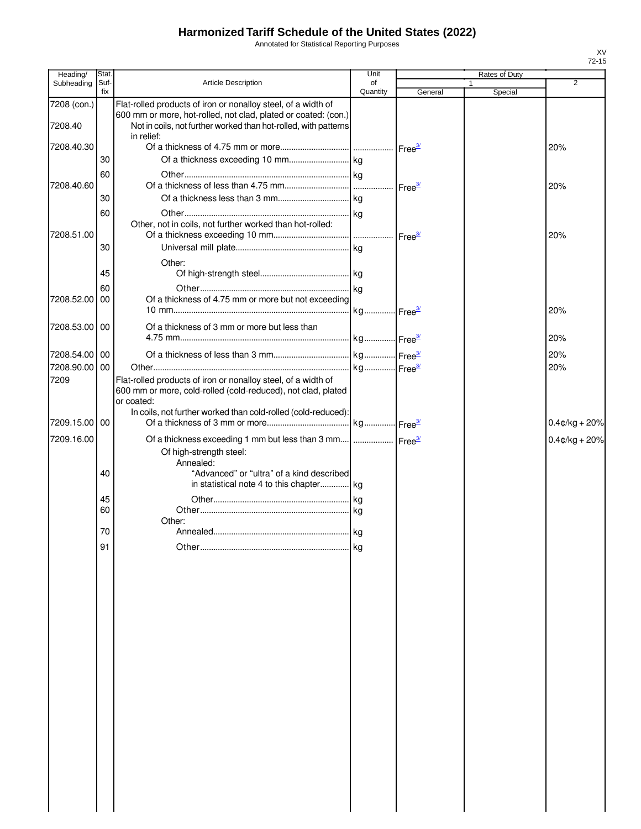Annotated for Statistical Reporting Purposes

| Heading/      | Stat        |                                                                                                                                                 | Unit           |                    |   | Rates of Duty |                  |
|---------------|-------------|-------------------------------------------------------------------------------------------------------------------------------------------------|----------------|--------------------|---|---------------|------------------|
| Subheading    | Suf-<br>fix | <b>Article Description</b>                                                                                                                      | of<br>Quantity | General            | 1 | Special       | $\overline{2}$   |
| 7208 (con.)   |             | Flat-rolled products of iron or nonalloy steel, of a width of                                                                                   |                |                    |   |               |                  |
| 7208.40       |             | 600 mm or more, hot-rolled, not clad, plated or coated: (con.)<br>Not in coils, not further worked than hot-rolled, with patterns<br>in relief: |                |                    |   |               |                  |
| 7208.40.30    |             |                                                                                                                                                 |                |                    |   |               | 20%              |
|               | 30          |                                                                                                                                                 |                |                    |   |               |                  |
|               | 60          |                                                                                                                                                 |                |                    |   |               |                  |
| 7208.40.60    |             |                                                                                                                                                 | .              | Free <sup>3/</sup> |   |               | 20%              |
|               | 30          |                                                                                                                                                 |                |                    |   |               |                  |
|               | 60          |                                                                                                                                                 |                |                    |   |               |                  |
| 7208.51.00    |             | Other, not in coils, not further worked than hot-rolled:                                                                                        |                |                    |   |               | 20%              |
|               | 30          |                                                                                                                                                 |                |                    |   |               |                  |
|               |             | Other:                                                                                                                                          |                |                    |   |               |                  |
|               | 45          |                                                                                                                                                 |                |                    |   |               |                  |
|               | 60          |                                                                                                                                                 |                |                    |   |               |                  |
| 7208.52.00    | 00          | Of a thickness of 4.75 mm or more but not exceeding                                                                                             |                |                    |   |               | 20%              |
| 7208.53.00 00 |             | Of a thickness of 3 mm or more but less than                                                                                                    |                |                    |   |               |                  |
|               |             |                                                                                                                                                 |                |                    |   |               | 20%              |
| 7208.54.00 00 |             |                                                                                                                                                 |                |                    |   |               | 20%              |
| 7208.90.00 00 |             |                                                                                                                                                 |                |                    |   |               | 20%              |
| 7209          |             | Flat-rolled products of iron or nonalloy steel, of a width of                                                                                   |                |                    |   |               |                  |
|               |             | 600 mm or more, cold-rolled (cold-reduced), not clad, plated<br>or coated:                                                                      |                |                    |   |               |                  |
| 7209.15.00 00 |             | In coils, not further worked than cold-rolled (cold-reduced):                                                                                   |                |                    |   |               | $0.4$ ¢/kg + 20% |
|               |             |                                                                                                                                                 |                |                    |   |               |                  |
| 7209.16.00    |             | Of a thickness exceeding 1 mm but less than 3 mm    Free <sup>3/</sup>                                                                          |                |                    |   |               | $0.4$ ¢/kg + 20% |
|               | 40          | Of high-strength steel:<br>Annealed:<br>"Advanced" or "ultra" of a kind described                                                               |                |                    |   |               |                  |
|               | 45          | in statistical note 4 to this chapter kg                                                                                                        |                |                    |   |               |                  |
|               | 60          |                                                                                                                                                 |                |                    |   |               |                  |
|               |             | Other:                                                                                                                                          |                |                    |   |               |                  |
|               | 70          |                                                                                                                                                 |                |                    |   |               |                  |
|               | 91          |                                                                                                                                                 | kg             |                    |   |               |                  |
|               |             |                                                                                                                                                 |                |                    |   |               |                  |
|               |             |                                                                                                                                                 |                |                    |   |               |                  |
|               |             |                                                                                                                                                 |                |                    |   |               |                  |
|               |             |                                                                                                                                                 |                |                    |   |               |                  |
|               |             |                                                                                                                                                 |                |                    |   |               |                  |
|               |             |                                                                                                                                                 |                |                    |   |               |                  |
|               |             |                                                                                                                                                 |                |                    |   |               |                  |
|               |             |                                                                                                                                                 |                |                    |   |               |                  |
|               |             |                                                                                                                                                 |                |                    |   |               |                  |
|               |             |                                                                                                                                                 |                |                    |   |               |                  |
|               |             |                                                                                                                                                 |                |                    |   |               |                  |
|               |             |                                                                                                                                                 |                |                    |   |               |                  |
|               |             |                                                                                                                                                 |                |                    |   |               |                  |
|               |             |                                                                                                                                                 |                |                    |   |               |                  |
|               |             |                                                                                                                                                 |                |                    |   |               |                  |
|               |             |                                                                                                                                                 |                |                    |   |               |                  |
|               |             |                                                                                                                                                 |                |                    |   |               |                  |
|               |             |                                                                                                                                                 |                |                    |   |               |                  |
|               |             |                                                                                                                                                 |                |                    |   |               |                  |
|               |             |                                                                                                                                                 |                |                    |   |               |                  |
|               |             |                                                                                                                                                 |                |                    |   |               |                  |
|               |             |                                                                                                                                                 |                |                    |   |               |                  |
|               |             |                                                                                                                                                 |                |                    |   |               |                  |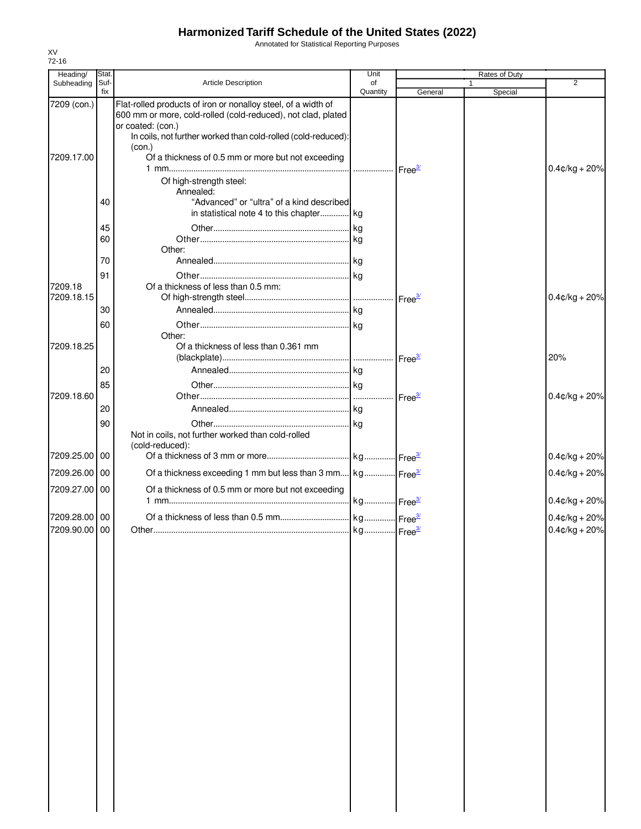Annotated for Statistical Reporting Purposes

| Heading/                       | Stat.       |                                                                                                                                                                                                                               | Unit<br>of |         | Rates of Duty<br>1 | $\overline{2}$                       |
|--------------------------------|-------------|-------------------------------------------------------------------------------------------------------------------------------------------------------------------------------------------------------------------------------|------------|---------|--------------------|--------------------------------------|
| Subheading                     | Suf-<br>fix | <b>Article Description</b>                                                                                                                                                                                                    | Quantity   | General | Special            |                                      |
| 7209 (con.)                    |             | Flat-rolled products of iron or nonalloy steel, of a width of<br>600 mm or more, cold-rolled (cold-reduced), not clad, plated<br>or coated: (con.)<br>In coils, not further worked than cold-rolled (cold-reduced):<br>(con.) |            |         |                    |                                      |
| 7209.17.00                     |             | Of a thickness of 0.5 mm or more but not exceeding                                                                                                                                                                            |            |         |                    | $0.4$ ¢/kg + 20%                     |
|                                |             | Of high-strength steel:<br>Annealed:                                                                                                                                                                                          |            |         |                    |                                      |
|                                | 40          | "Advanced" or "ultra" of a kind described<br>in statistical note 4 to this chapter kg                                                                                                                                         |            |         |                    |                                      |
|                                | 45<br>60    |                                                                                                                                                                                                                               |            |         |                    |                                      |
|                                | 70          | Other:                                                                                                                                                                                                                        |            |         |                    |                                      |
|                                | 91          |                                                                                                                                                                                                                               |            |         |                    |                                      |
| 7209.18<br>7209.18.15          |             | Of a thickness of less than 0.5 mm:                                                                                                                                                                                           |            |         |                    | $0.4$ ¢/kg + 20%                     |
|                                | 30          |                                                                                                                                                                                                                               |            |         |                    |                                      |
|                                | 60          |                                                                                                                                                                                                                               |            |         |                    |                                      |
| 7209.18.25                     |             | Other:<br>Of a thickness of less than 0.361 mm                                                                                                                                                                                |            |         |                    | 20%                                  |
|                                | 20          |                                                                                                                                                                                                                               |            |         |                    |                                      |
| 7209.18.60                     | 85          |                                                                                                                                                                                                                               |            |         |                    | $0.4$ ¢/kg + 20%                     |
|                                | 20          |                                                                                                                                                                                                                               |            |         |                    |                                      |
|                                | 90          | Not in coils, not further worked than cold-rolled                                                                                                                                                                             |            |         |                    |                                      |
|                                |             | (cold-reduced):                                                                                                                                                                                                               |            |         |                    |                                      |
| 7209.25.00 00                  |             |                                                                                                                                                                                                                               |            |         |                    | $0.4$ ¢/kg + 20%                     |
| 7209.26.00 00                  |             | Of a thickness exceeding 1 mm but less than 3 mm kg Free <sup>31</sup>                                                                                                                                                        |            |         |                    | $0.4$ ¢/kg + 20%                     |
| 7209.27.00 00                  |             | Of a thickness of 0.5 mm or more but not exceeding                                                                                                                                                                            |            |         |                    | $0.4$ ¢/kg + 20%                     |
| 7209.28.00 00<br>7209.90.00 00 |             |                                                                                                                                                                                                                               |            |         |                    | $0.4$ ¢/kg + 20%<br>$0.4$ ¢/kg + 20% |
|                                |             |                                                                                                                                                                                                                               |            |         |                    |                                      |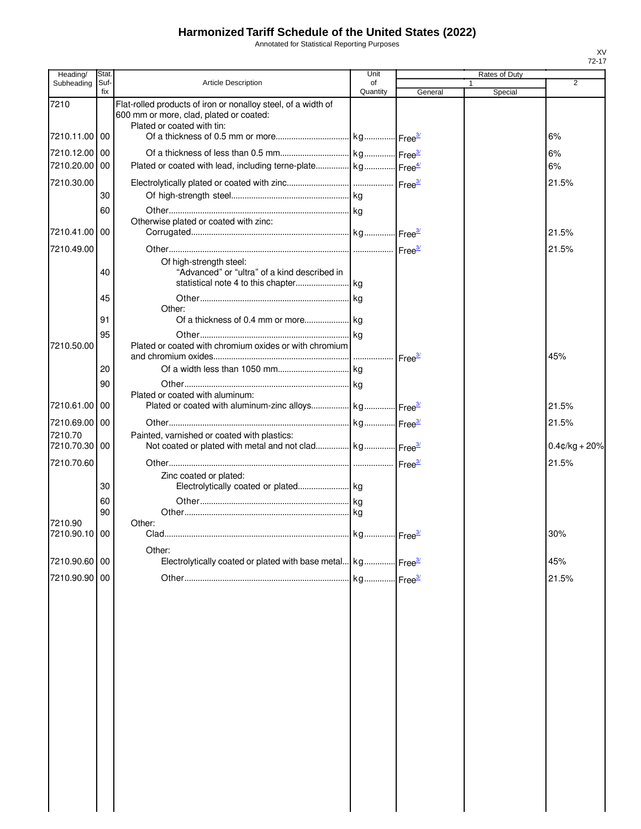Annotated for Statistical Reporting Purposes

| Suf-<br><b>Article Description</b><br>of<br>Subheading<br>Quantity<br>fix<br>General<br>Special<br>7210<br>Flat-rolled products of iron or nonalloy steel, of a width of<br>600 mm or more, clad, plated or coated:<br>Plated or coated with tin:<br>7210.11.00 00<br>7210.12.00 00<br>7210.20.00 00<br>Plated or coated with lead, including terne-plate kg Free <sup>4/</sup><br>7210.30.00<br>30<br>60<br>Otherwise plated or coated with zinc:<br>7210.41.00 00<br>7210.49.00<br>Of high-strength steel:<br>"Advanced" or "ultra" of a kind described in<br>40<br>45<br>Other:<br>91<br>95<br>Plated or coated with chromium oxides or with chromium<br>7210.50.00<br>20<br>90<br>Plated or coated with aluminum:<br>Plated or coated with aluminum-zinc alloys kg Free34<br>7210.61.00 00<br>7210.69.00 00<br>7210.70<br>Painted, varnished or coated with plastics:<br>Not coated or plated with metal and not clad kg Free <sup>34</sup><br>7210.70.30 00<br>7210.70.60<br>Zinc coated or plated:<br>30<br>60<br>90<br>7210.90<br>Other:<br>7210.90.10 00<br>Clad<br>Other:<br>Electrolytically coated or plated with base metal kg Free <sup>3/</sup><br>7210.90.60 00<br>7210.90.90 00 | $\overline{2}$  |
|-------------------------------------------------------------------------------------------------------------------------------------------------------------------------------------------------------------------------------------------------------------------------------------------------------------------------------------------------------------------------------------------------------------------------------------------------------------------------------------------------------------------------------------------------------------------------------------------------------------------------------------------------------------------------------------------------------------------------------------------------------------------------------------------------------------------------------------------------------------------------------------------------------------------------------------------------------------------------------------------------------------------------------------------------------------------------------------------------------------------------------------------------------------------------------------------------|-----------------|
|                                                                                                                                                                                                                                                                                                                                                                                                                                                                                                                                                                                                                                                                                                                                                                                                                                                                                                                                                                                                                                                                                                                                                                                                 |                 |
|                                                                                                                                                                                                                                                                                                                                                                                                                                                                                                                                                                                                                                                                                                                                                                                                                                                                                                                                                                                                                                                                                                                                                                                                 |                 |
|                                                                                                                                                                                                                                                                                                                                                                                                                                                                                                                                                                                                                                                                                                                                                                                                                                                                                                                                                                                                                                                                                                                                                                                                 | 6%              |
|                                                                                                                                                                                                                                                                                                                                                                                                                                                                                                                                                                                                                                                                                                                                                                                                                                                                                                                                                                                                                                                                                                                                                                                                 | 6%              |
|                                                                                                                                                                                                                                                                                                                                                                                                                                                                                                                                                                                                                                                                                                                                                                                                                                                                                                                                                                                                                                                                                                                                                                                                 | 6%              |
|                                                                                                                                                                                                                                                                                                                                                                                                                                                                                                                                                                                                                                                                                                                                                                                                                                                                                                                                                                                                                                                                                                                                                                                                 | 21.5%           |
|                                                                                                                                                                                                                                                                                                                                                                                                                                                                                                                                                                                                                                                                                                                                                                                                                                                                                                                                                                                                                                                                                                                                                                                                 |                 |
|                                                                                                                                                                                                                                                                                                                                                                                                                                                                                                                                                                                                                                                                                                                                                                                                                                                                                                                                                                                                                                                                                                                                                                                                 |                 |
|                                                                                                                                                                                                                                                                                                                                                                                                                                                                                                                                                                                                                                                                                                                                                                                                                                                                                                                                                                                                                                                                                                                                                                                                 | 21.5%           |
|                                                                                                                                                                                                                                                                                                                                                                                                                                                                                                                                                                                                                                                                                                                                                                                                                                                                                                                                                                                                                                                                                                                                                                                                 | 21.5%           |
|                                                                                                                                                                                                                                                                                                                                                                                                                                                                                                                                                                                                                                                                                                                                                                                                                                                                                                                                                                                                                                                                                                                                                                                                 |                 |
|                                                                                                                                                                                                                                                                                                                                                                                                                                                                                                                                                                                                                                                                                                                                                                                                                                                                                                                                                                                                                                                                                                                                                                                                 |                 |
|                                                                                                                                                                                                                                                                                                                                                                                                                                                                                                                                                                                                                                                                                                                                                                                                                                                                                                                                                                                                                                                                                                                                                                                                 |                 |
|                                                                                                                                                                                                                                                                                                                                                                                                                                                                                                                                                                                                                                                                                                                                                                                                                                                                                                                                                                                                                                                                                                                                                                                                 |                 |
|                                                                                                                                                                                                                                                                                                                                                                                                                                                                                                                                                                                                                                                                                                                                                                                                                                                                                                                                                                                                                                                                                                                                                                                                 | 45%             |
|                                                                                                                                                                                                                                                                                                                                                                                                                                                                                                                                                                                                                                                                                                                                                                                                                                                                                                                                                                                                                                                                                                                                                                                                 |                 |
|                                                                                                                                                                                                                                                                                                                                                                                                                                                                                                                                                                                                                                                                                                                                                                                                                                                                                                                                                                                                                                                                                                                                                                                                 |                 |
|                                                                                                                                                                                                                                                                                                                                                                                                                                                                                                                                                                                                                                                                                                                                                                                                                                                                                                                                                                                                                                                                                                                                                                                                 | 21.5%           |
|                                                                                                                                                                                                                                                                                                                                                                                                                                                                                                                                                                                                                                                                                                                                                                                                                                                                                                                                                                                                                                                                                                                                                                                                 | 21.5%           |
|                                                                                                                                                                                                                                                                                                                                                                                                                                                                                                                                                                                                                                                                                                                                                                                                                                                                                                                                                                                                                                                                                                                                                                                                 |                 |
|                                                                                                                                                                                                                                                                                                                                                                                                                                                                                                                                                                                                                                                                                                                                                                                                                                                                                                                                                                                                                                                                                                                                                                                                 | $0.4¢/kg + 20%$ |
|                                                                                                                                                                                                                                                                                                                                                                                                                                                                                                                                                                                                                                                                                                                                                                                                                                                                                                                                                                                                                                                                                                                                                                                                 | 21.5%           |
|                                                                                                                                                                                                                                                                                                                                                                                                                                                                                                                                                                                                                                                                                                                                                                                                                                                                                                                                                                                                                                                                                                                                                                                                 |                 |
|                                                                                                                                                                                                                                                                                                                                                                                                                                                                                                                                                                                                                                                                                                                                                                                                                                                                                                                                                                                                                                                                                                                                                                                                 |                 |
|                                                                                                                                                                                                                                                                                                                                                                                                                                                                                                                                                                                                                                                                                                                                                                                                                                                                                                                                                                                                                                                                                                                                                                                                 |                 |
|                                                                                                                                                                                                                                                                                                                                                                                                                                                                                                                                                                                                                                                                                                                                                                                                                                                                                                                                                                                                                                                                                                                                                                                                 | 30%             |
|                                                                                                                                                                                                                                                                                                                                                                                                                                                                                                                                                                                                                                                                                                                                                                                                                                                                                                                                                                                                                                                                                                                                                                                                 |                 |
|                                                                                                                                                                                                                                                                                                                                                                                                                                                                                                                                                                                                                                                                                                                                                                                                                                                                                                                                                                                                                                                                                                                                                                                                 | 45%             |
|                                                                                                                                                                                                                                                                                                                                                                                                                                                                                                                                                                                                                                                                                                                                                                                                                                                                                                                                                                                                                                                                                                                                                                                                 | 21.5%           |
|                                                                                                                                                                                                                                                                                                                                                                                                                                                                                                                                                                                                                                                                                                                                                                                                                                                                                                                                                                                                                                                                                                                                                                                                 |                 |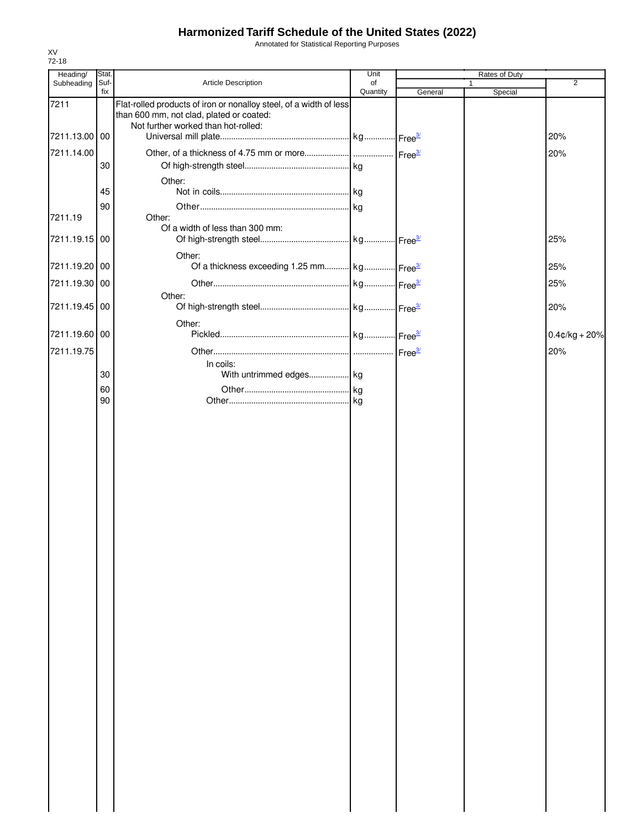Annotated for Statistical Reporting Purposes

| Heading/      | Stat.       |                                                                                                                | Unit           |         | Rates of Duty |                  |
|---------------|-------------|----------------------------------------------------------------------------------------------------------------|----------------|---------|---------------|------------------|
| Subheading    | Suf-<br>fix | Article Description                                                                                            | of<br>Quantity | General | 1<br>Special  | $\overline{2}$   |
| 7211          |             | Flat-rolled products of iron or nonalloy steel, of a width of less<br>than 600 mm, not clad, plated or coated: |                |         |               |                  |
| 7211.13.00 00 |             | Not further worked than hot-rolled:                                                                            |                |         |               | 20%              |
| 7211.14.00    |             |                                                                                                                |                |         |               | 20%              |
|               | 30          |                                                                                                                |                |         |               |                  |
|               |             | Other:                                                                                                         |                |         |               |                  |
|               | 45          |                                                                                                                |                |         |               |                  |
|               | 90          |                                                                                                                |                |         |               |                  |
| 7211.19       |             | Other:                                                                                                         |                |         |               |                  |
| 7211.19.15 00 |             | Of a width of less than 300 mm:                                                                                |                |         |               | 25%              |
| 7211.19.20 00 |             | Other:<br>Of a thickness exceeding 1.25 mm kg Free <sup>3/</sup>                                               |                |         |               | 25%              |
|               |             |                                                                                                                |                |         |               |                  |
| 7211.19.30 00 |             | Other:                                                                                                         |                |         |               | 25%              |
| 7211.19.45 00 |             |                                                                                                                |                |         |               | 20%              |
| 7211.19.60 00 |             | Other:                                                                                                         |                |         |               |                  |
|               |             |                                                                                                                |                |         |               | $0.4$ ¢/kg + 20% |
| 7211.19.75    |             |                                                                                                                |                |         |               | 20%              |
|               | 30          | In coils:<br>With untrimmed edges kg                                                                           |                |         |               |                  |
|               | 60          |                                                                                                                |                |         |               |                  |
|               | 90          |                                                                                                                |                |         |               |                  |
|               |             |                                                                                                                |                |         |               |                  |
|               |             |                                                                                                                |                |         |               |                  |
|               |             |                                                                                                                |                |         |               |                  |
|               |             |                                                                                                                |                |         |               |                  |
|               |             |                                                                                                                |                |         |               |                  |
|               |             |                                                                                                                |                |         |               |                  |
|               |             |                                                                                                                |                |         |               |                  |
|               |             |                                                                                                                |                |         |               |                  |
|               |             |                                                                                                                |                |         |               |                  |
|               |             |                                                                                                                |                |         |               |                  |
|               |             |                                                                                                                |                |         |               |                  |
|               |             |                                                                                                                |                |         |               |                  |
|               |             |                                                                                                                |                |         |               |                  |
|               |             |                                                                                                                |                |         |               |                  |
|               |             |                                                                                                                |                |         |               |                  |
|               |             |                                                                                                                |                |         |               |                  |
|               |             |                                                                                                                |                |         |               |                  |
|               |             |                                                                                                                |                |         |               |                  |
|               |             |                                                                                                                |                |         |               |                  |
|               |             |                                                                                                                |                |         |               |                  |
|               |             |                                                                                                                |                |         |               |                  |
|               |             |                                                                                                                |                |         |               |                  |
|               |             |                                                                                                                |                |         |               |                  |
|               |             |                                                                                                                |                |         |               |                  |
|               |             |                                                                                                                |                |         |               |                  |
|               |             |                                                                                                                |                |         |               |                  |
|               |             |                                                                                                                |                |         |               |                  |
|               |             |                                                                                                                |                |         |               |                  |
|               |             |                                                                                                                |                |         |               |                  |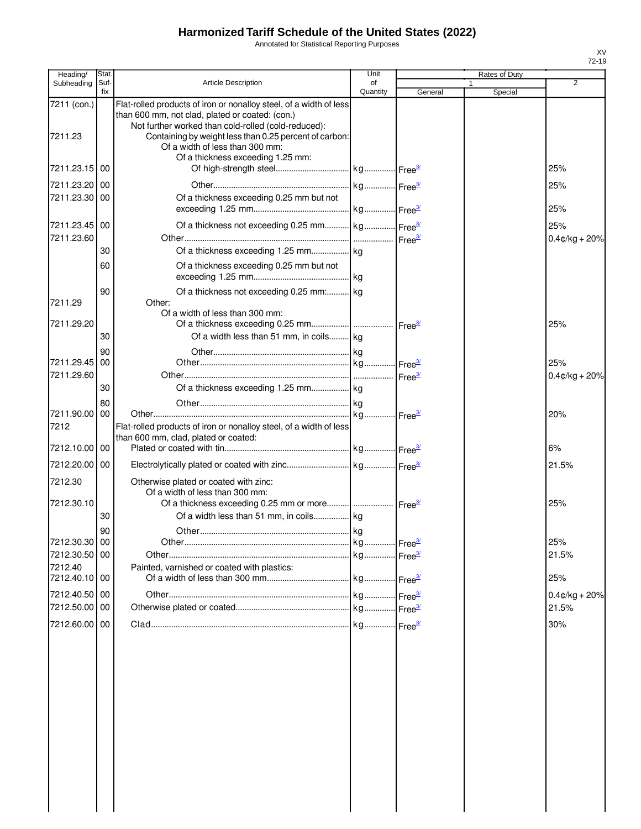Annotated for Statistical Reporting Purposes

| Heading/                       | <b>Stat</b> |                                                                                                                                                                              | Unit           |         | Rates of Duty |                  |
|--------------------------------|-------------|------------------------------------------------------------------------------------------------------------------------------------------------------------------------------|----------------|---------|---------------|------------------|
| Subheading                     | Suf-<br>fix | <b>Article Description</b>                                                                                                                                                   | of<br>Quantity | General | Special       | 2                |
| 7211 (con.)                    |             | Flat-rolled products of iron or nonalloy steel, of a width of less<br>than 600 mm, not clad, plated or coated: (con.)<br>Not further worked than cold-rolled (cold-reduced): |                |         |               |                  |
| 7211.23                        |             | Containing by weight less than 0.25 percent of carbon:<br>Of a width of less than 300 mm:<br>Of a thickness exceeding 1.25 mm:                                               |                |         |               |                  |
| 7211.23.15   00                |             |                                                                                                                                                                              |                |         |               | 25%              |
| 7211.23.20 00<br>7211.23.30 00 |             | Of a thickness exceeding 0.25 mm but not                                                                                                                                     |                |         |               | 25%              |
|                                |             |                                                                                                                                                                              |                |         |               | 25%              |
| 7211.23.45 00                  |             | Of a thickness not exceeding 0.25 mm kg Free <sup>3/</sup>                                                                                                                   |                |         |               | 25%              |
| 7211.23.60                     | 30          |                                                                                                                                                                              |                |         |               | $0.4$ ¢/kg + 20% |
|                                | 60          | Of a thickness exceeding 0.25 mm but not                                                                                                                                     |                |         |               |                  |
| 7211.29                        | 90          | Of a thickness not exceeding 0.25 mm: kg<br>Other:                                                                                                                           |                |         |               |                  |
| 7211.29.20                     |             | Of a width of less than 300 mm:                                                                                                                                              |                |         |               | 25%              |
|                                | 30          | Of a width less than 51 mm, in coils kg                                                                                                                                      |                |         |               |                  |
| 7211.29.45 00                  | 90          |                                                                                                                                                                              |                |         |               | 25%              |
| 7211.29.60                     |             |                                                                                                                                                                              |                |         |               | $0.4$ ¢/kg + 20% |
|                                | 30<br>80    |                                                                                                                                                                              |                |         |               |                  |
| 7211.90.00 00                  |             |                                                                                                                                                                              |                |         |               | 20%              |
| 7212                           |             | Flat-rolled products of iron or nonalloy steel, of a width of less<br>than 600 mm, clad, plated or coated:                                                                   |                |         |               |                  |
| 7212.10.00 00                  |             |                                                                                                                                                                              |                |         |               | 6%               |
| 7212.20.00 00                  |             |                                                                                                                                                                              |                |         |               | 21.5%            |
| 7212.30<br>7212.30.10          |             | Otherwise plated or coated with zinc:<br>Of a width of less than 300 mm:                                                                                                     |                |         |               | 25%              |
|                                | 30          | Of a width less than 51 mm, in coils kg                                                                                                                                      |                |         |               |                  |
| 7212.30.30 00                  | 90          |                                                                                                                                                                              |                |         |               | 25%              |
| 7212.30.50 00                  |             |                                                                                                                                                                              |                |         |               | 21.5%            |
| 7212.40<br>7212.40.10 00       |             | Painted, varnished or coated with plastics:                                                                                                                                  |                |         |               | 25%              |
| 7212.40.50 00                  |             |                                                                                                                                                                              |                |         |               | $0.4$ ¢/kg + 20% |
| 7212.50.00 00<br>7212.60.00 00 |             |                                                                                                                                                                              |                |         |               | 21.5%<br>30%     |
|                                |             |                                                                                                                                                                              |                |         |               |                  |
|                                |             |                                                                                                                                                                              |                |         |               |                  |
|                                |             |                                                                                                                                                                              |                |         |               |                  |
|                                |             |                                                                                                                                                                              |                |         |               |                  |
|                                |             |                                                                                                                                                                              |                |         |               |                  |
|                                |             |                                                                                                                                                                              |                |         |               |                  |
|                                |             |                                                                                                                                                                              |                |         |               |                  |
|                                |             |                                                                                                                                                                              |                |         |               |                  |
|                                |             |                                                                                                                                                                              |                |         |               |                  |
|                                |             |                                                                                                                                                                              |                |         |               |                  |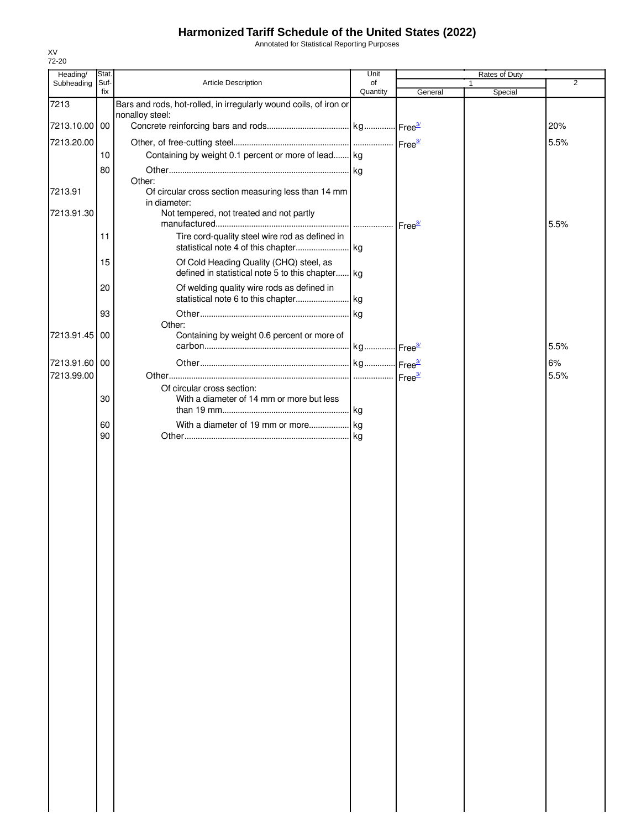Annotated for Statistical Reporting Purposes

| Heading/      | Stat.       |                                                                                             | Unit                  |         | Rates of Duty |                |
|---------------|-------------|---------------------------------------------------------------------------------------------|-----------------------|---------|---------------|----------------|
| Subheading    | Suf-<br>fix | Article Description                                                                         | of<br>Quantity        |         | 1             | $\overline{2}$ |
| 7213          |             | Bars and rods, hot-rolled, in irregularly wound coils, of iron or                           |                       | General | Special       |                |
| 7213.10.00 00 |             | nonalloy steel:                                                                             |                       |         |               | 20%            |
| 7213.20.00    |             |                                                                                             |                       |         |               | 5.5%           |
|               | 10          | Containing by weight 0.1 percent or more of lead kg                                         |                       |         |               |                |
|               | 80          |                                                                                             |                       |         |               |                |
|               |             | Other:                                                                                      |                       |         |               |                |
| 7213.91       |             | Of circular cross section measuring less than 14 mm<br>in diameter:                         |                       |         |               |                |
| 7213.91.30    |             | Not tempered, not treated and not partly                                                    |                       |         |               | 5.5%           |
|               | 11          | Tire cord-quality steel wire rod as defined in                                              |                       |         |               |                |
|               | 15          | Of Cold Heading Quality (CHQ) steel, as<br>defined in statistical note 5 to this chapter kg |                       |         |               |                |
|               |             |                                                                                             |                       |         |               |                |
|               | 20          | Of welding quality wire rods as defined in                                                  |                       |         |               |                |
|               |             |                                                                                             |                       |         |               |                |
|               | 93          | Other:                                                                                      | . kg                  |         |               |                |
| 7213.91.45 00 |             | Containing by weight 0.6 percent or more of                                                 | kg Free <sup>3/</sup> |         |               | 5.5%           |
| 7213.91.60 00 |             |                                                                                             |                       |         |               | 6%             |
| 7213.99.00    |             |                                                                                             |                       |         |               | 5.5%           |
|               |             | Of circular cross section:                                                                  |                       |         |               |                |
|               | 30          | With a diameter of 14 mm or more but less                                                   |                       |         |               |                |
|               | 60          |                                                                                             |                       |         |               |                |
|               | 90          |                                                                                             |                       |         |               |                |
|               |             |                                                                                             |                       |         |               |                |
|               |             |                                                                                             |                       |         |               |                |
|               |             |                                                                                             |                       |         |               |                |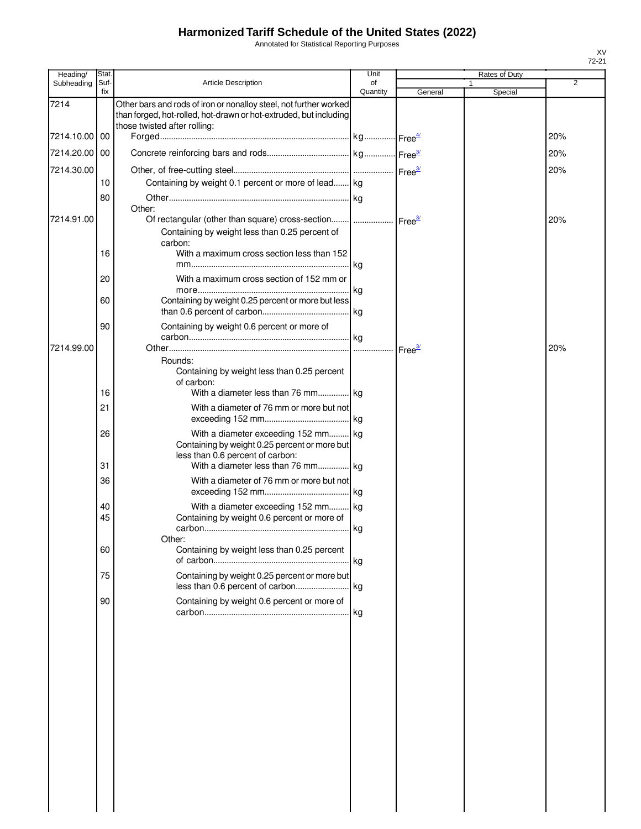Annotated for Statistical Reporting Purposes

| Heading/   | Stat.       |                                                                                                                                                                        | Unit           |         | Rates of Duty |     |
|------------|-------------|------------------------------------------------------------------------------------------------------------------------------------------------------------------------|----------------|---------|---------------|-----|
| Subheading | Suf-<br>fix | <b>Article Description</b>                                                                                                                                             | of<br>Quantity | General | Special       | 2   |
| 7214       |             | Other bars and rods of iron or nonalloy steel, not further worked<br>than forged, hot-rolled, hot-drawn or hot-extruded, but including<br>those twisted after rolling: |                |         |               |     |
| 7214.10.00 | 00          |                                                                                                                                                                        |                |         |               | 20% |
| 7214.20.00 | 00          |                                                                                                                                                                        |                |         |               | 20% |
| 7214.30.00 |             |                                                                                                                                                                        |                |         |               | 20% |
|            | 10          | Containing by weight 0.1 percent or more of lead kg                                                                                                                    |                |         |               |     |
|            | 80          |                                                                                                                                                                        |                |         |               |     |
| 7214.91.00 |             | Other:<br>Of rectangular (other than square) cross-section    Free <sup>3/</sup>                                                                                       |                |         |               | 20% |
|            |             | Containing by weight less than 0.25 percent of                                                                                                                         |                |         |               |     |
|            |             | carbon:                                                                                                                                                                |                |         |               |     |
|            | 16          | With a maximum cross section less than 152                                                                                                                             |                |         |               |     |
|            | 20          | With a maximum cross section of 152 mm or                                                                                                                              |                |         |               |     |
|            |             |                                                                                                                                                                        |                |         |               |     |
|            | 60          | Containing by weight 0.25 percent or more but less                                                                                                                     |                |         |               |     |
|            | 90          | Containing by weight 0.6 percent or more of                                                                                                                            |                |         |               |     |
| 7214.99.00 |             | Rounds:                                                                                                                                                                |                |         |               | 20% |
|            | 16          | Containing by weight less than 0.25 percent<br>of carbon:<br>With a diameter less than 76 mm kg                                                                        |                |         |               |     |
|            | 21          | With a diameter of 76 mm or more but not                                                                                                                               |                |         |               |     |
|            |             |                                                                                                                                                                        |                |         |               |     |
|            | 26          | With a diameter exceeding 152 mm kg<br>Containing by weight 0.25 percent or more but<br>less than 0.6 percent of carbon:                                               |                |         |               |     |
|            | 31          | With a diameter less than 76 mm kg                                                                                                                                     |                |         |               |     |
|            | 36          | With a diameter of 76 mm or more but not                                                                                                                               |                |         |               |     |
|            | 40<br>45    | With a diameter exceeding 152 mm kg<br>Containing by weight 0.6 percent or more of                                                                                     |                |         |               |     |
|            | 60          | Other:<br>Containing by weight less than 0.25 percent                                                                                                                  |                |         |               |     |
|            | 75          | Containing by weight 0.25 percent or more but                                                                                                                          |                |         |               |     |
|            |             |                                                                                                                                                                        |                |         |               |     |
|            | 90          | Containing by weight 0.6 percent or more of                                                                                                                            |                |         |               |     |
|            |             |                                                                                                                                                                        |                |         |               |     |
|            |             |                                                                                                                                                                        |                |         |               |     |
|            |             |                                                                                                                                                                        |                |         |               |     |
|            |             |                                                                                                                                                                        |                |         |               |     |
|            |             |                                                                                                                                                                        |                |         |               |     |
|            |             |                                                                                                                                                                        |                |         |               |     |
|            |             |                                                                                                                                                                        |                |         |               |     |
|            |             |                                                                                                                                                                        |                |         |               |     |
|            |             |                                                                                                                                                                        |                |         |               |     |
|            |             |                                                                                                                                                                        |                |         |               |     |
|            |             |                                                                                                                                                                        |                |         |               |     |
|            |             |                                                                                                                                                                        |                |         |               |     |
|            |             |                                                                                                                                                                        |                |         |               |     |
|            |             |                                                                                                                                                                        |                |         |               |     |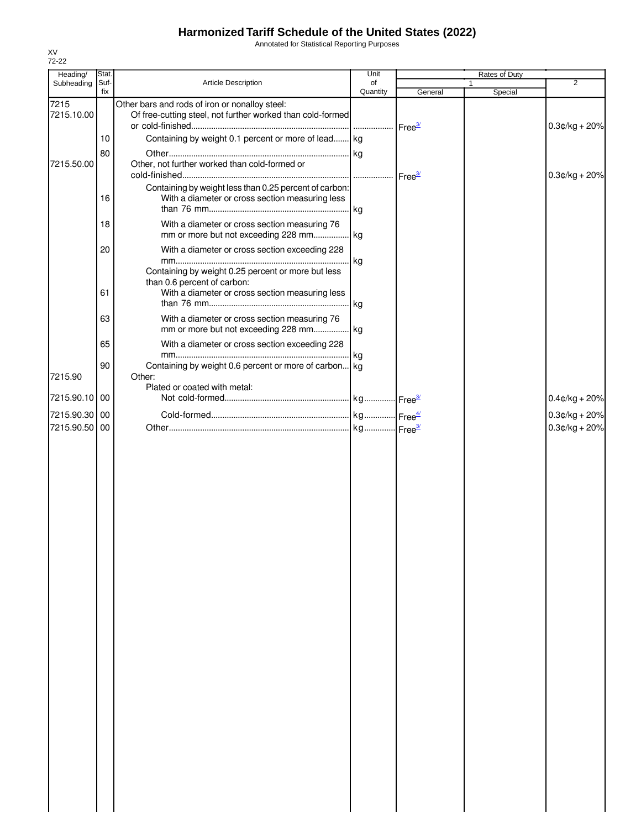Annotated for Statistical Reporting Purposes

| Heading/           | Stat.       |                                                                                                              | Unit           |         | Rates of Duty |                  |
|--------------------|-------------|--------------------------------------------------------------------------------------------------------------|----------------|---------|---------------|------------------|
| Subheading         | Suf-<br>fix | Article Description                                                                                          | of<br>Quantity | General | 1<br>Special  | $\overline{2}$   |
| 7215<br>7215.10.00 |             | Other bars and rods of iron or nonalloy steel:<br>Of free-cutting steel, not further worked than cold-formed |                |         |               | $0.3$ ¢/kg + 20% |
|                    | 10          | Containing by weight 0.1 percent or more of lead kg                                                          |                |         |               |                  |
| 7215.50.00         | 80          | Other, not further worked than cold-formed or                                                                |                |         |               |                  |
|                    |             | Containing by weight less than 0.25 percent of carbon:                                                       |                |         |               | $0.3$ ¢/kg + 20% |
|                    | 16          | With a diameter or cross section measuring less                                                              |                |         |               |                  |
|                    | 18          | With a diameter or cross section measuring 76                                                                |                |         |               |                  |
|                    | 20          | With a diameter or cross section exceeding 228                                                               | .lkg           |         |               |                  |
|                    |             | Containing by weight 0.25 percent or more but less<br>than 0.6 percent of carbon:                            |                |         |               |                  |
|                    | 61          | With a diameter or cross section measuring less                                                              |                |         |               |                  |
|                    | 63          | With a diameter or cross section measuring 76<br>mm or more but not exceeding 228 mm kg                      |                |         |               |                  |
|                    | 65          | With a diameter or cross section exceeding 228                                                               |                |         |               |                  |
| 7215.90            | 90          | Containing by weight 0.6 percent or more of carbon kg<br>Other:                                              |                |         |               |                  |
| 7215.90.10 00      |             | Plated or coated with metal:                                                                                 |                |         |               | $0.4$ ¢/kg + 20% |
| 7215.90.30 00      |             |                                                                                                              |                |         |               | $0.3$ ¢/kg + 20% |
| 7215.90.50 00      |             |                                                                                                              |                |         |               | $0.3$ ¢/kg + 20% |
|                    |             |                                                                                                              |                |         |               |                  |
|                    |             |                                                                                                              |                |         |               |                  |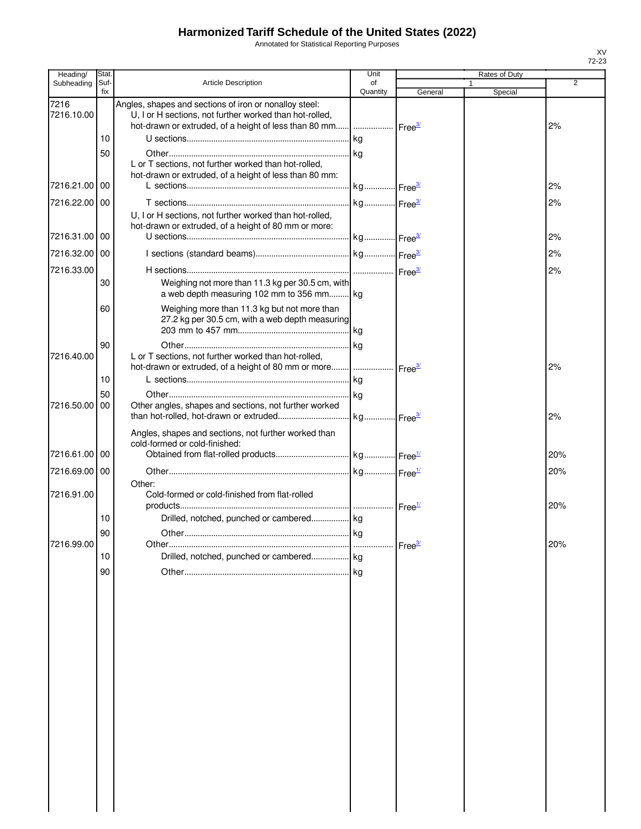Annotated for Statistical Reporting Purposes

| Heading/           | Stat. |                                                                                                                   | Unit     |                    | Rates of Duty |     |
|--------------------|-------|-------------------------------------------------------------------------------------------------------------------|----------|--------------------|---------------|-----|
| Subheading         | Suf-  | Article Description                                                                                               | of       |                    | 1             | 2   |
|                    | fix   |                                                                                                                   | Quantity | General            | Special       |     |
| 7216<br>7216.10.00 |       | Angles, shapes and sections of iron or nonalloy steel:<br>U, I or H sections, not further worked than hot-rolled, |          |                    |               |     |
|                    |       |                                                                                                                   |          |                    |               | 2%  |
|                    | 10    |                                                                                                                   | kg       |                    |               |     |
|                    | 50    |                                                                                                                   |          |                    |               |     |
|                    |       | L or T sections, not further worked than hot-rolled,                                                              |          |                    |               |     |
|                    |       | hot-drawn or extruded, of a height of less than 80 mm:                                                            |          |                    |               |     |
| 7216.21.00         | 00    |                                                                                                                   |          |                    |               | 2%  |
| 7216.22.00 00      |       |                                                                                                                   |          |                    |               | 2%  |
|                    |       | U, I or H sections, not further worked than hot-rolled,                                                           |          |                    |               |     |
|                    |       | hot-drawn or extruded, of a height of 80 mm or more:                                                              |          |                    |               |     |
| 7216.31.00 00      |       |                                                                                                                   |          |                    |               | 2%  |
| 7216.32.00 00      |       |                                                                                                                   |          |                    |               | 2%  |
| 7216.33.00         |       |                                                                                                                   |          |                    |               | 2%  |
|                    | 30    | Weighing not more than 11.3 kg per 30.5 cm, with                                                                  |          |                    |               |     |
|                    |       | a web depth measuring 102 mm to 356 mm                                                                            |          |                    |               |     |
|                    | 60    |                                                                                                                   |          |                    |               |     |
|                    |       | Weighing more than 11.3 kg but not more than<br>27.2 kg per 30.5 cm, with a web depth measuring                   |          |                    |               |     |
|                    |       |                                                                                                                   |          |                    |               |     |
|                    | 90    |                                                                                                                   |          |                    |               |     |
| 7216.40.00         |       | L or T sections, not further worked than hot-rolled,                                                              |          |                    |               |     |
|                    |       | hot-drawn or extruded, of a height of 80 mm or more                                                               |          | Free <sup>3/</sup> |               | 2%  |
|                    | 10    |                                                                                                                   |          |                    |               |     |
|                    | 50    |                                                                                                                   |          |                    |               |     |
| 7216.50.00         | 00    | Other angles, shapes and sections, not further worked                                                             |          |                    |               |     |
|                    |       |                                                                                                                   |          |                    |               | 2%  |
|                    |       | Angles, shapes and sections, not further worked than                                                              |          |                    |               |     |
|                    |       | cold-formed or cold-finished:                                                                                     |          |                    |               |     |
| 7216.61.00 00      |       |                                                                                                                   |          |                    |               | 20% |
| 7216.69.00         | 00    |                                                                                                                   |          |                    |               | 20% |
|                    |       | Other:                                                                                                            |          |                    |               |     |
| 7216.91.00         |       | Cold-formed or cold-finished from flat-rolled                                                                     |          |                    |               |     |
|                    |       |                                                                                                                   |          |                    |               | 20% |
|                    | 10    | Drilled, notched, punched or cambered kg                                                                          |          |                    |               |     |
|                    | 90    |                                                                                                                   |          |                    |               |     |
| 7216.99.00         |       |                                                                                                                   |          | Free <sup>3/</sup> |               | 20% |
|                    | 10    |                                                                                                                   |          |                    |               |     |
|                    | 90    |                                                                                                                   |          |                    |               |     |
|                    |       |                                                                                                                   |          |                    |               |     |
|                    |       |                                                                                                                   |          |                    |               |     |
|                    |       |                                                                                                                   |          |                    |               |     |
|                    |       |                                                                                                                   |          |                    |               |     |
|                    |       |                                                                                                                   |          |                    |               |     |
|                    |       |                                                                                                                   |          |                    |               |     |
|                    |       |                                                                                                                   |          |                    |               |     |
|                    |       |                                                                                                                   |          |                    |               |     |
|                    |       |                                                                                                                   |          |                    |               |     |
|                    |       |                                                                                                                   |          |                    |               |     |
|                    |       |                                                                                                                   |          |                    |               |     |
|                    |       |                                                                                                                   |          |                    |               |     |
|                    |       |                                                                                                                   |          |                    |               |     |
|                    |       |                                                                                                                   |          |                    |               |     |
|                    |       |                                                                                                                   |          |                    |               |     |
|                    |       |                                                                                                                   |          |                    |               |     |
|                    |       |                                                                                                                   |          |                    |               |     |
|                    |       |                                                                                                                   |          |                    |               |     |
|                    |       |                                                                                                                   |          |                    |               |     |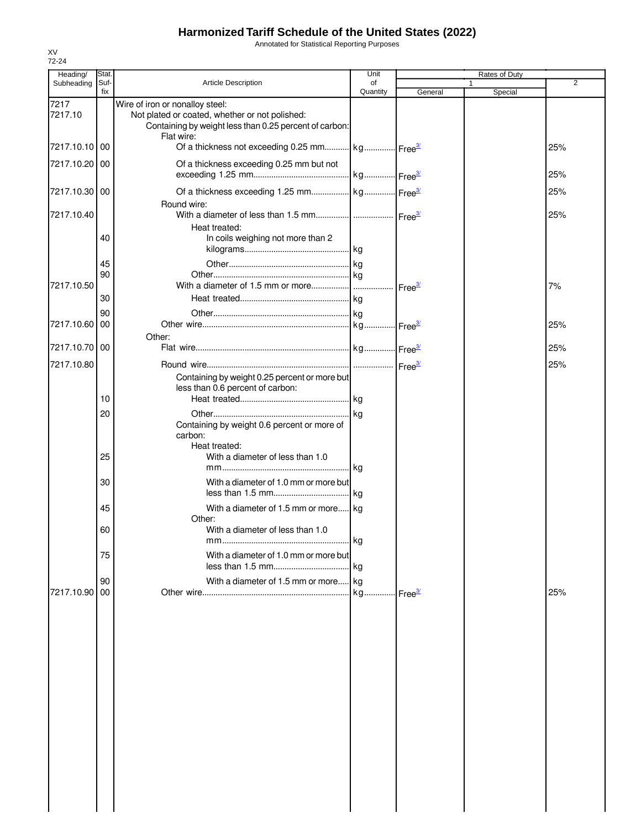Annotated for Statistical Reporting Purposes

| Heading/        | Stat.       |                                                                                                                                                           | Unit           |                    | Rates of Duty |                |
|-----------------|-------------|-----------------------------------------------------------------------------------------------------------------------------------------------------------|----------------|--------------------|---------------|----------------|
| Subheading      | Suf-<br>fix | <b>Article Description</b>                                                                                                                                | of<br>Quantity | General            | 1             | $\overline{2}$ |
| 7217<br>7217.10 |             | Wire of iron or nonalloy steel:<br>Not plated or coated, whether or not polished:<br>Containing by weight less than 0.25 percent of carbon:<br>Flat wire: |                |                    | Special       |                |
| 7217.10.10 00   |             | Of a thickness not exceeding 0.25 mm kg Free <sup>34</sup>                                                                                                |                |                    |               | 25%            |
| 7217.10.20 00   |             | Of a thickness exceeding 0.25 mm but not                                                                                                                  |                |                    |               | 25%            |
| 7217.10.30 00   |             | Round wire:                                                                                                                                               |                |                    |               | 25%            |
| 7217.10.40      |             |                                                                                                                                                           |                |                    |               | 25%            |
|                 | 40          | Heat treated:<br>In coils weighing not more than 2                                                                                                        |                |                    |               |                |
|                 | 45          |                                                                                                                                                           |                |                    |               |                |
| 7217.10.50      | 90          |                                                                                                                                                           |                |                    |               | 7%             |
|                 | 30          |                                                                                                                                                           |                | Free <sup>3/</sup> |               |                |
|                 |             |                                                                                                                                                           |                |                    |               |                |
| 7217.10.60 00   | 90          |                                                                                                                                                           |                |                    |               | 25%            |
| 7217.10.70 00   |             | Other:                                                                                                                                                    |                |                    |               | 25%            |
|                 |             |                                                                                                                                                           |                |                    |               |                |
| 7217.10.80      |             | Containing by weight 0.25 percent or more but<br>less than 0.6 percent of carbon:                                                                         |                |                    |               | 25%            |
|                 | 10          |                                                                                                                                                           |                |                    |               |                |
|                 | 20          | Containing by weight 0.6 percent or more of<br>carbon:<br>Heat treated:                                                                                   |                |                    |               |                |
|                 | 25          | With a diameter of less than 1.0                                                                                                                          |                |                    |               |                |
|                 | 30          | With a diameter of 1.0 mm or more but                                                                                                                     |                |                    |               |                |
|                 | 45          | With a diameter of 1.5 mm or more kg                                                                                                                      |                |                    |               |                |
|                 | 60          | Other:<br>With a diameter of less than 1.0                                                                                                                |                |                    |               |                |
|                 | 75          | With a diameter of 1.0 mm or more but                                                                                                                     |                |                    |               |                |
|                 | 90          | With a diameter of 1.5 mm or more kg                                                                                                                      |                |                    |               |                |
| 7217.10.90      | 00          |                                                                                                                                                           |                |                    |               | 25%            |
|                 |             |                                                                                                                                                           |                |                    |               |                |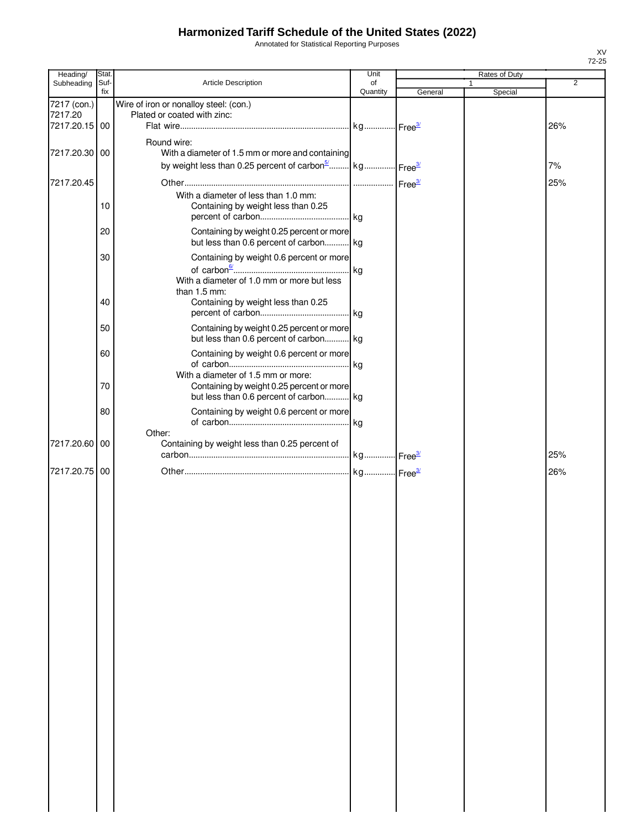Annotated for Statistical Reporting Purposes

| Heading/               | Stat.       |                                                                                     | Unit     |         | Rates of Duty |     |
|------------------------|-------------|-------------------------------------------------------------------------------------|----------|---------|---------------|-----|
| Subheading             | Suf-<br>fix | Article Description                                                                 | of       |         | 1             | 2   |
|                        |             |                                                                                     | Quantity | General | Special       |     |
| 7217 (con.)<br>7217.20 |             | Wire of iron or nonalloy steel: (con.)<br>Plated or coated with zinc:               |          |         |               |     |
| 7217.20.15 00          |             |                                                                                     |          |         |               | 26% |
|                        |             | Round wire:                                                                         |          |         |               |     |
| 7217.20.30 00          |             | With a diameter of 1.5 mm or more and containing                                    |          |         |               |     |
|                        |             | by weight less than 0.25 percent of carbon <sup>5</sup> kg Free <sup>31</sup>       |          |         |               | 7%  |
|                        |             |                                                                                     |          |         |               |     |
| 7217.20.45             |             |                                                                                     |          |         |               | 25% |
|                        |             | With a diameter of less than 1.0 mm:                                                |          |         |               |     |
|                        | 10          | Containing by weight less than 0.25                                                 |          |         |               |     |
|                        |             |                                                                                     |          |         |               |     |
|                        | 20          | Containing by weight 0.25 percent or more<br>but less than 0.6 percent of carbon kg |          |         |               |     |
|                        |             |                                                                                     |          |         |               |     |
|                        | 30          | Containing by weight 0.6 percent or more                                            |          |         |               |     |
|                        |             |                                                                                     |          |         |               |     |
|                        |             | With a diameter of 1.0 mm or more but less<br>than 1.5 mm:                          |          |         |               |     |
|                        | 40          | Containing by weight less than 0.25                                                 |          |         |               |     |
|                        |             |                                                                                     |          |         |               |     |
|                        | 50          | Containing by weight 0.25 percent or more                                           |          |         |               |     |
|                        |             | but less than 0.6 percent of carbon kg                                              |          |         |               |     |
|                        |             |                                                                                     |          |         |               |     |
|                        | 60          | Containing by weight 0.6 percent or more                                            |          |         |               |     |
|                        |             | With a diameter of 1.5 mm or more:                                                  |          |         |               |     |
|                        | 70          | Containing by weight 0.25 percent or more                                           |          |         |               |     |
|                        |             | but less than 0.6 percent of carbon kg                                              |          |         |               |     |
|                        | 80          | Containing by weight 0.6 percent or more                                            |          |         |               |     |
|                        |             |                                                                                     |          |         |               |     |
|                        |             | Other:                                                                              |          |         |               |     |
| 7217.20.60             | 00          | Containing by weight less than 0.25 percent of                                      |          |         |               |     |
|                        |             |                                                                                     |          |         |               | 25% |
| 7217.20.75 00          |             |                                                                                     |          |         |               | 26% |
|                        |             |                                                                                     |          |         |               |     |
|                        |             |                                                                                     |          |         |               |     |
|                        |             |                                                                                     |          |         |               |     |
|                        |             |                                                                                     |          |         |               |     |
|                        |             |                                                                                     |          |         |               |     |
|                        |             |                                                                                     |          |         |               |     |
|                        |             |                                                                                     |          |         |               |     |
|                        |             |                                                                                     |          |         |               |     |
|                        |             |                                                                                     |          |         |               |     |
|                        |             |                                                                                     |          |         |               |     |
|                        |             |                                                                                     |          |         |               |     |
|                        |             |                                                                                     |          |         |               |     |
|                        |             |                                                                                     |          |         |               |     |
|                        |             |                                                                                     |          |         |               |     |
|                        |             |                                                                                     |          |         |               |     |
|                        |             |                                                                                     |          |         |               |     |
|                        |             |                                                                                     |          |         |               |     |
|                        |             |                                                                                     |          |         |               |     |
|                        |             |                                                                                     |          |         |               |     |
|                        |             |                                                                                     |          |         |               |     |
|                        |             |                                                                                     |          |         |               |     |
|                        |             |                                                                                     |          |         |               |     |
|                        |             |                                                                                     |          |         |               |     |
|                        |             |                                                                                     |          |         |               |     |
|                        |             |                                                                                     |          |         |               |     |
|                        |             |                                                                                     |          |         |               |     |
|                        |             |                                                                                     |          |         |               |     |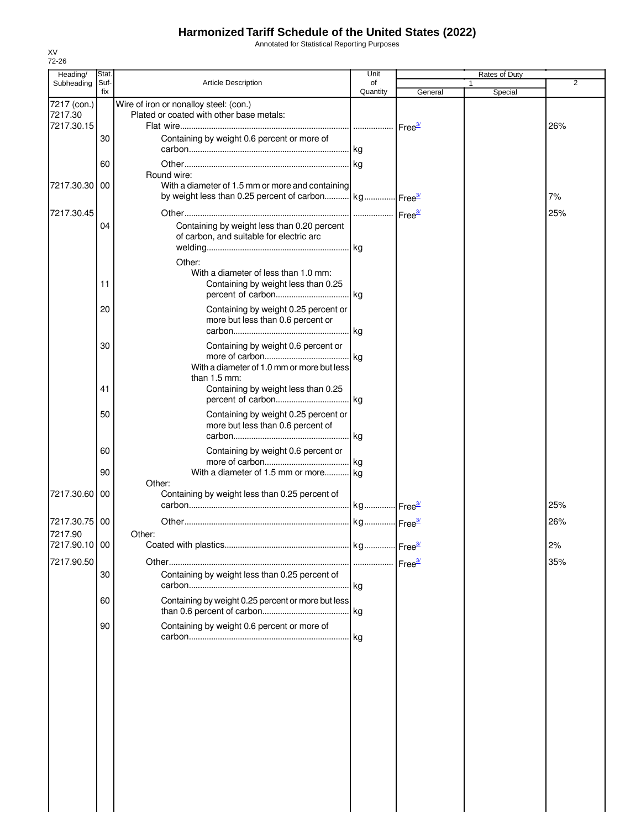Annotated for Statistical Reporting Purposes

| Heading/               | Stat. |                                                                                                                                     | Unit                  |                            | <b>Rates of Duty</b> |                |
|------------------------|-------|-------------------------------------------------------------------------------------------------------------------------------------|-----------------------|----------------------------|----------------------|----------------|
| Subheading             | Suf-  | <b>Article Description</b>                                                                                                          | of                    |                            |                      | $\overline{2}$ |
| 7217 (con.)<br>7217.30 | fix   | Wire of iron or nonalloy steel: (con.)<br>Plated or coated with other base metals:                                                  | Quantity              | General                    | Special              |                |
| 7217.30.15             |       |                                                                                                                                     |                       | Free <sup>3/</sup>         |                      | 26%            |
|                        | 30    | Containing by weight 0.6 percent or more of                                                                                         |                       |                            |                      |                |
|                        | 60    |                                                                                                                                     |                       |                            |                      |                |
| 7217.30.30             | 00    | Round wire:<br>With a diameter of 1.5 mm or more and containing<br>by weight less than 0.25 percent of carbon kg Free <sup>3/</sup> |                       |                            |                      | 7%             |
|                        |       |                                                                                                                                     |                       |                            |                      |                |
| 7217.30.45             | 04    | Containing by weight less than 0.20 percent<br>of carbon, and suitable for electric arc                                             | Free <sup>3/</sup>    |                            |                      | 25%            |
|                        |       | Other:                                                                                                                              |                       |                            |                      |                |
|                        | 11    | With a diameter of less than 1.0 mm:<br>Containing by weight less than 0.25                                                         |                       |                            |                      |                |
|                        | 20    | Containing by weight 0.25 percent or                                                                                                |                       |                            |                      |                |
|                        |       | more but less than 0.6 percent or                                                                                                   |                       |                            |                      |                |
|                        | 30    | Containing by weight 0.6 percent or<br>With a diameter of 1.0 mm or more but less<br>than $1.5$ mm:                                 |                       |                            |                      |                |
|                        | 41    | Containing by weight less than 0.25                                                                                                 |                       |                            |                      |                |
|                        | 50    | Containing by weight 0.25 percent or<br>more but less than 0.6 percent of                                                           | kg                    |                            |                      |                |
|                        | 60    | Containing by weight 0.6 percent or                                                                                                 |                       |                            |                      |                |
|                        | 90    | With a diameter of 1.5 mm or more kg                                                                                                | kg                    |                            |                      |                |
|                        |       | Other:                                                                                                                              |                       |                            |                      |                |
| 7217.30.60             | 00    | Containing by weight less than 0.25 percent of                                                                                      | kg                    | $\cdot$ Free $\frac{3}{2}$ |                      | 25%            |
| 7217.30.75             | 00    |                                                                                                                                     | kg Free <sup>3/</sup> |                            |                      | 26%            |
| 7217.90                |       | Other:                                                                                                                              |                       |                            |                      |                |
| 7217.90.10 00          |       |                                                                                                                                     |                       |                            |                      | 2%             |
| 7217.90.50             |       |                                                                                                                                     |                       |                            |                      | 35%            |
|                        | 30    | Containing by weight less than 0.25 percent of                                                                                      |                       | Free <sup>3/</sup>         |                      |                |
|                        | 60    | Containing by weight 0.25 percent or more but less                                                                                  |                       |                            |                      |                |
|                        | 90    | Containing by weight 0.6 percent or more of                                                                                         |                       |                            |                      |                |
|                        |       |                                                                                                                                     | kg                    |                            |                      |                |
|                        |       |                                                                                                                                     |                       |                            |                      |                |
|                        |       |                                                                                                                                     |                       |                            |                      |                |
|                        |       |                                                                                                                                     |                       |                            |                      |                |
|                        |       |                                                                                                                                     |                       |                            |                      |                |
|                        |       |                                                                                                                                     |                       |                            |                      |                |
|                        |       |                                                                                                                                     |                       |                            |                      |                |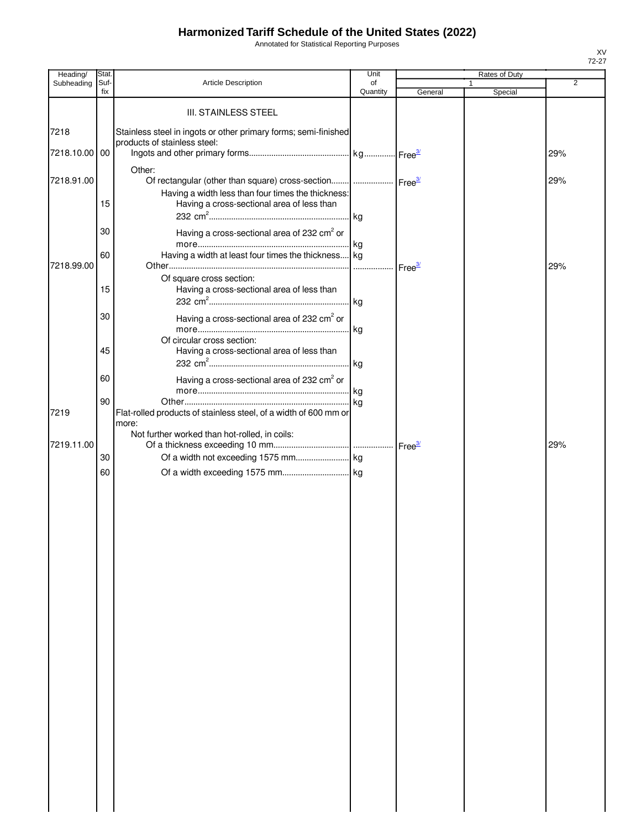Annotated for Statistical Reporting Purposes

| Heading/      | Stat.       |                                                                                                 | Unit               |         | Rates of Duty |     |
|---------------|-------------|-------------------------------------------------------------------------------------------------|--------------------|---------|---------------|-----|
| Subheading    | Suf-<br>fix | Article Description                                                                             | of<br>Quantity     | General | 1<br>Special  | 2   |
|               |             | <b>III. STAINLESS STEEL</b>                                                                     |                    |         |               |     |
|               |             |                                                                                                 |                    |         |               |     |
| 7218          |             | Stainless steel in ingots or other primary forms; semi-finished<br>products of stainless steel: |                    |         |               |     |
| 7218.10.00 00 |             |                                                                                                 |                    |         |               | 29% |
|               |             | Other:                                                                                          |                    |         |               |     |
| 7218.91.00    |             | Of rectangular (other than square) cross-section    Free3                                       |                    |         |               | 29% |
|               | 15          | Having a width less than four times the thickness:                                              |                    |         |               |     |
|               |             | Having a cross-sectional area of less than                                                      |                    |         |               |     |
|               | 30          | Having a cross-sectional area of 232 cm <sup>2</sup> or                                         |                    |         |               |     |
|               |             |                                                                                                 | . kg               |         |               |     |
|               | 60          | Having a width at least four times the thickness kg                                             |                    |         |               |     |
| 7218.99.00    |             |                                                                                                 | Free <sup>3/</sup> |         |               | 29% |
|               | 15          | Of square cross section:<br>Having a cross-sectional area of less than                          |                    |         |               |     |
|               |             |                                                                                                 |                    |         |               |     |
|               | 30          | Having a cross-sectional area of 232 cm <sup>2</sup> or                                         |                    |         |               |     |
|               |             |                                                                                                 | . kg               |         |               |     |
|               |             | Of circular cross section:                                                                      |                    |         |               |     |
|               | 45          | Having a cross-sectional area of less than                                                      | . kg               |         |               |     |
|               | 60          |                                                                                                 |                    |         |               |     |
|               |             | Having a cross-sectional area of 232 cm <sup>2</sup> or                                         | kg                 |         |               |     |
|               | 90          |                                                                                                 |                    |         |               |     |
| 7219          |             | Flat-rolled products of stainless steel, of a width of 600 mm or                                |                    |         |               |     |
|               |             | more:<br>Not further worked than hot-rolled, in coils:                                          |                    |         |               |     |
| 7219.11.00    |             |                                                                                                 |                    |         |               | 29% |
|               | 30          |                                                                                                 |                    |         |               |     |
|               | 60          |                                                                                                 |                    |         |               |     |
|               |             |                                                                                                 |                    |         |               |     |
|               |             |                                                                                                 |                    |         |               |     |
|               |             |                                                                                                 |                    |         |               |     |
|               |             |                                                                                                 |                    |         |               |     |
|               |             |                                                                                                 |                    |         |               |     |
|               |             |                                                                                                 |                    |         |               |     |
|               |             |                                                                                                 |                    |         |               |     |
|               |             |                                                                                                 |                    |         |               |     |
|               |             |                                                                                                 |                    |         |               |     |
|               |             |                                                                                                 |                    |         |               |     |
|               |             |                                                                                                 |                    |         |               |     |
|               |             |                                                                                                 |                    |         |               |     |
|               |             |                                                                                                 |                    |         |               |     |
|               |             |                                                                                                 |                    |         |               |     |
|               |             |                                                                                                 |                    |         |               |     |
|               |             |                                                                                                 |                    |         |               |     |
|               |             |                                                                                                 |                    |         |               |     |
|               |             |                                                                                                 |                    |         |               |     |
|               |             |                                                                                                 |                    |         |               |     |
|               |             |                                                                                                 |                    |         |               |     |
|               |             |                                                                                                 |                    |         |               |     |
|               |             |                                                                                                 |                    |         |               |     |
|               |             |                                                                                                 |                    |         |               |     |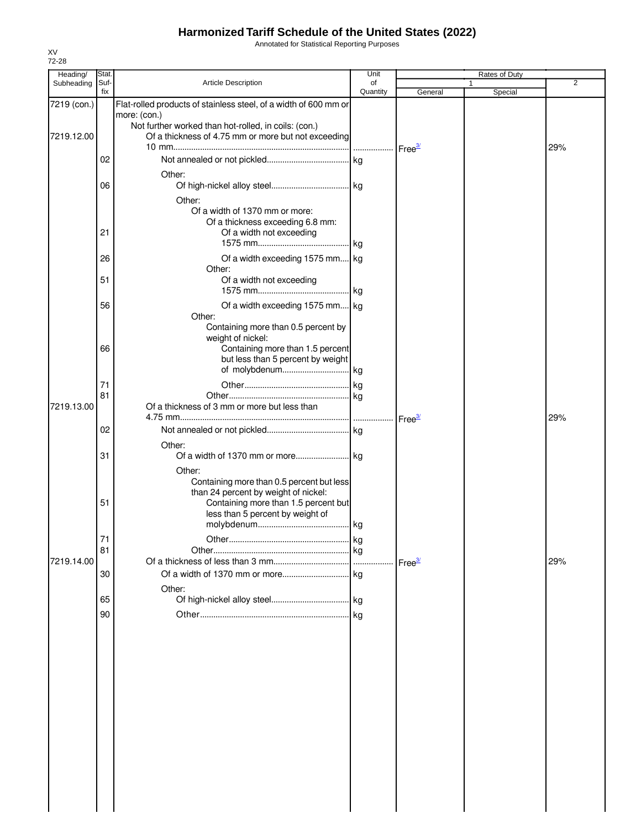Annotated for Statistical Reporting Purposes

| Heading/    | Stat.       |                                                                              | Unit           |                    | Rates of Duty |                |
|-------------|-------------|------------------------------------------------------------------------------|----------------|--------------------|---------------|----------------|
| Subheading  | Suf-<br>fix | Article Description                                                          | of<br>Quantity | General            | 1<br>Special  | $\overline{2}$ |
| 7219 (con.) |             | Flat-rolled products of stainless steel, of a width of 600 mm or             |                |                    |               |                |
|             |             | more: (con.)                                                                 |                |                    |               |                |
|             |             | Not further worked than hot-rolled, in coils: (con.)                         |                |                    |               |                |
| 7219.12.00  |             | Of a thickness of 4.75 mm or more but not exceeding                          |                |                    |               |                |
|             |             |                                                                              |                | Free <sup>3/</sup> |               | 29%            |
|             | 02          |                                                                              |                |                    |               |                |
|             |             | Other:                                                                       |                |                    |               |                |
|             | 06          |                                                                              |                |                    |               |                |
|             |             | Other:                                                                       |                |                    |               |                |
|             |             | Of a width of 1370 mm or more:                                               |                |                    |               |                |
|             |             | Of a thickness exceeding 6.8 mm:                                             |                |                    |               |                |
|             | 21          | Of a width not exceeding                                                     |                |                    |               |                |
|             |             |                                                                              |                |                    |               |                |
|             | 26          | Of a width exceeding 1575 mm kg                                              |                |                    |               |                |
|             |             | Other:                                                                       |                |                    |               |                |
|             | 51          | Of a width not exceeding                                                     |                |                    |               |                |
|             |             |                                                                              |                |                    |               |                |
|             | 56          | Of a width exceeding 1575 mm kg                                              |                |                    |               |                |
|             |             | Other:<br>Containing more than 0.5 percent by                                |                |                    |               |                |
|             |             | weight of nickel:                                                            |                |                    |               |                |
|             | 66          | Containing more than 1.5 percent                                             |                |                    |               |                |
|             |             | but less than 5 percent by weight                                            |                |                    |               |                |
|             |             |                                                                              |                |                    |               |                |
|             | 71          |                                                                              |                |                    |               |                |
|             | 81          |                                                                              |                |                    |               |                |
| 7219.13.00  |             | Of a thickness of 3 mm or more but less than                                 |                |                    |               |                |
|             |             |                                                                              |                | Free <sup>3/</sup> |               | 29%            |
|             | 02          |                                                                              |                |                    |               |                |
|             |             | Other:                                                                       |                |                    |               |                |
|             | 31          |                                                                              |                |                    |               |                |
|             |             | Other:                                                                       |                |                    |               |                |
|             |             | Containing more than 0.5 percent but less                                    |                |                    |               |                |
|             | 51          | than 24 percent by weight of nickel:<br>Containing more than 1.5 percent but |                |                    |               |                |
|             |             | less than 5 percent by weight of                                             |                |                    |               |                |
|             |             |                                                                              |                |                    |               |                |
|             | 71          |                                                                              |                |                    |               |                |
|             | 81          |                                                                              |                |                    |               |                |
| 7219.14.00  |             |                                                                              |                | Free <sup>37</sup> |               | 29%            |
|             | 30          |                                                                              |                |                    |               |                |
|             |             | Other:                                                                       |                |                    |               |                |
|             | 65          |                                                                              |                |                    |               |                |
|             | 90          |                                                                              |                |                    |               |                |
|             |             |                                                                              |                |                    |               |                |
|             |             |                                                                              |                |                    |               |                |
|             |             |                                                                              |                |                    |               |                |
|             |             |                                                                              |                |                    |               |                |
|             |             |                                                                              |                |                    |               |                |
|             |             |                                                                              |                |                    |               |                |
|             |             |                                                                              |                |                    |               |                |
|             |             |                                                                              |                |                    |               |                |
|             |             |                                                                              |                |                    |               |                |
|             |             |                                                                              |                |                    |               |                |
|             |             |                                                                              |                |                    |               |                |
|             |             |                                                                              |                |                    |               |                |
|             |             |                                                                              |                |                    |               |                |
|             |             |                                                                              |                |                    |               |                |
|             |             |                                                                              |                |                    |               |                |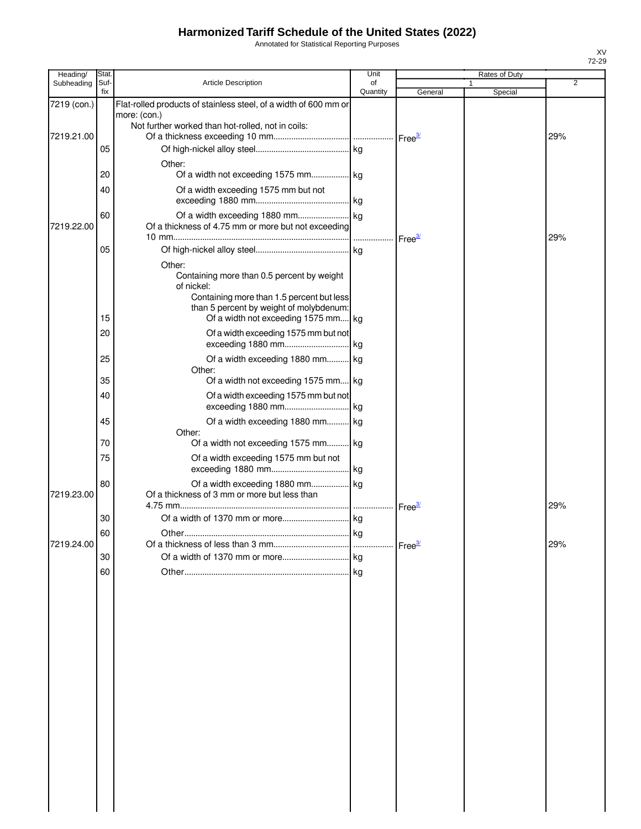Annotated for Statistical Reporting Purposes

| Heading/    | Stat        |                                                                                                                                                                                                   | Unit           |                                              | Rates of Duty |                |
|-------------|-------------|---------------------------------------------------------------------------------------------------------------------------------------------------------------------------------------------------|----------------|----------------------------------------------|---------------|----------------|
| Subheading  | Suf-<br>fix | <b>Article Description</b>                                                                                                                                                                        | of<br>Quantity | General                                      | Special       | $\overline{2}$ |
| 7219 (con.) |             | Flat-rolled products of stainless steel, of a width of 600 mm or<br>more: (con.)<br>Not further worked than hot-rolled, not in coils:                                                             |                |                                              |               |                |
| 7219.21.00  | 05          |                                                                                                                                                                                                   |                |                                              |               | 29%            |
|             |             | Other:                                                                                                                                                                                            |                |                                              |               |                |
|             | 20<br>40    | Of a width exceeding 1575 mm but not                                                                                                                                                              |                |                                              |               |                |
|             | 60          |                                                                                                                                                                                                   |                |                                              |               |                |
| 7219.22.00  |             | Of a thickness of 4.75 mm or more but not exceeding                                                                                                                                               |                | Free <sup>3</sup>                            |               | 29%            |
|             | 05          |                                                                                                                                                                                                   |                |                                              |               |                |
|             | 15          | Other:<br>Containing more than 0.5 percent by weight<br>of nickel:<br>Containing more than 1.5 percent but less<br>than 5 percent by weight of molybdenum:<br>Of a width not exceeding 1575 mm kg |                |                                              |               |                |
|             | 20          | Of a width exceeding 1575 mm but not                                                                                                                                                              |                |                                              |               |                |
|             | 25          | Of a width exceeding 1880 mm kg<br>Other:                                                                                                                                                         |                |                                              |               |                |
|             | 35          | Of a width not exceeding 1575 mm kg                                                                                                                                                               |                |                                              |               |                |
|             | 40          | Of a width exceeding 1575 mm but not                                                                                                                                                              |                |                                              |               |                |
|             | 45          | Of a width exceeding 1880 mm kg<br>Other:                                                                                                                                                         |                |                                              |               |                |
|             | 70          | Of a width not exceeding 1575 mm kg                                                                                                                                                               |                |                                              |               |                |
|             | 75          | Of a width exceeding 1575 mm but not                                                                                                                                                              | . ka           |                                              |               |                |
| 7219.23.00  | 80          | Of a width exceeding 1880 mm kg<br>Of a thickness of 3 mm or more but less than                                                                                                                   |                | $\mathsf{Free}^{\underline{\mathsf{3\ell}}}$ |               | 29%            |
|             | 30          |                                                                                                                                                                                                   | kg             |                                              |               |                |
| 7219.24.00  | 60          | kg<br>∩ther                                                                                                                                                                                       |                |                                              |               | 29%            |
|             | 30          |                                                                                                                                                                                                   |                |                                              |               |                |
|             | 60          |                                                                                                                                                                                                   |                |                                              |               |                |
|             |             |                                                                                                                                                                                                   |                |                                              |               |                |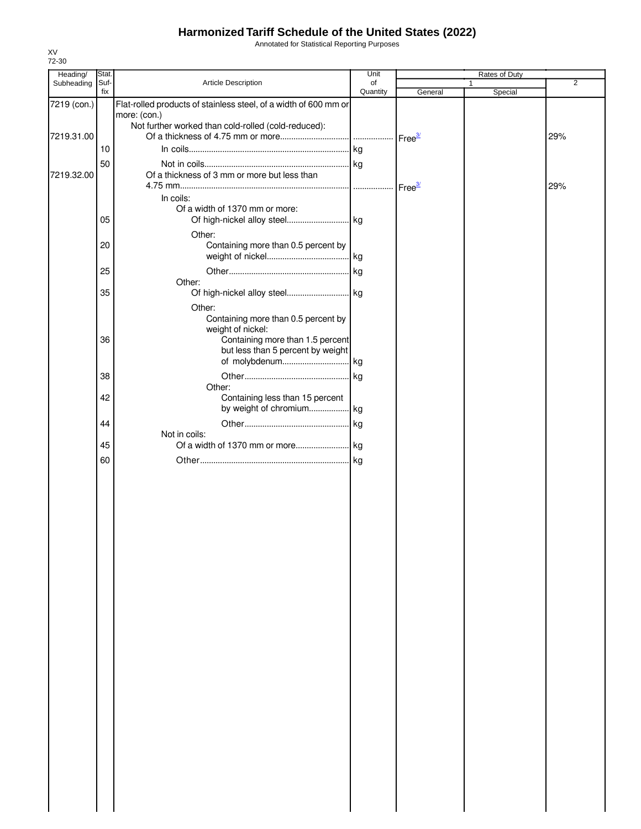Annotated for Statistical Reporting Purposes

| Heading/    | Stat. |                                                                  | Unit     |         | Rates of Duty |     |
|-------------|-------|------------------------------------------------------------------|----------|---------|---------------|-----|
| Subheading  | Suf-  | <b>Article Description</b>                                       | of       |         |               | 2   |
|             | fix   |                                                                  | Quantity | General | Special       |     |
| 7219 (con.) |       | Flat-rolled products of stainless steel, of a width of 600 mm or |          |         |               |     |
|             |       | more: (con.)                                                     |          |         |               |     |
|             |       | Not further worked than cold-rolled (cold-reduced):              |          |         |               |     |
| 7219.31.00  |       |                                                                  |          |         |               | 29% |
|             |       |                                                                  |          |         |               |     |
|             | 10    |                                                                  |          |         |               |     |
|             | 50    |                                                                  |          |         |               |     |
|             |       | Of a thickness of 3 mm or more but less than                     |          |         |               |     |
| 7219.32.00  |       |                                                                  |          |         |               |     |
|             |       |                                                                  |          |         |               | 29% |
|             |       | In coils:                                                        |          |         |               |     |
|             |       | Of a width of 1370 mm or more:                                   |          |         |               |     |
|             | 05    |                                                                  |          |         |               |     |
|             |       |                                                                  |          |         |               |     |
|             |       | Other:                                                           |          |         |               |     |
|             | 20    | Containing more than 0.5 percent by                              |          |         |               |     |
|             |       |                                                                  |          |         |               |     |
|             |       |                                                                  |          |         |               |     |
|             | 25    |                                                                  |          |         |               |     |
|             |       | Other:                                                           |          |         |               |     |
|             | 35    |                                                                  |          |         |               |     |
|             |       |                                                                  |          |         |               |     |
|             |       | Other:                                                           |          |         |               |     |
|             |       | Containing more than 0.5 percent by                              |          |         |               |     |
|             |       | weight of nickel:                                                |          |         |               |     |
|             | 36    | Containing more than 1.5 percent                                 |          |         |               |     |
|             |       | but less than 5 percent by weight                                |          |         |               |     |
|             |       |                                                                  |          |         |               |     |
|             |       |                                                                  |          |         |               |     |
|             | 38    |                                                                  |          |         |               |     |
|             |       | Other:                                                           |          |         |               |     |
|             |       |                                                                  |          |         |               |     |
|             | 42    | Containing less than 15 percent                                  |          |         |               |     |
|             |       | by weight of chromium kg                                         |          |         |               |     |
|             | 44    |                                                                  |          |         |               |     |
|             |       |                                                                  |          |         |               |     |
|             |       | Not in coils:                                                    |          |         |               |     |
|             | 45    |                                                                  |          |         |               |     |
|             | 60    |                                                                  |          |         |               |     |
|             |       |                                                                  |          |         |               |     |
|             |       |                                                                  |          |         |               |     |
|             |       |                                                                  |          |         |               |     |
|             |       |                                                                  |          |         |               |     |
|             |       |                                                                  |          |         |               |     |
|             |       |                                                                  |          |         |               |     |
|             |       |                                                                  |          |         |               |     |
|             |       |                                                                  |          |         |               |     |
|             |       |                                                                  |          |         |               |     |
|             |       |                                                                  |          |         |               |     |
|             |       |                                                                  |          |         |               |     |
|             |       |                                                                  |          |         |               |     |
|             |       |                                                                  |          |         |               |     |
|             |       |                                                                  |          |         |               |     |
|             |       |                                                                  |          |         |               |     |
|             |       |                                                                  |          |         |               |     |
|             |       |                                                                  |          |         |               |     |
|             |       |                                                                  |          |         |               |     |
|             |       |                                                                  |          |         |               |     |
|             |       |                                                                  |          |         |               |     |
|             |       |                                                                  |          |         |               |     |
|             |       |                                                                  |          |         |               |     |
|             |       |                                                                  |          |         |               |     |
|             |       |                                                                  |          |         |               |     |
|             |       |                                                                  |          |         |               |     |
|             |       |                                                                  |          |         |               |     |
|             |       |                                                                  |          |         |               |     |
|             |       |                                                                  |          |         |               |     |
|             |       |                                                                  |          |         |               |     |
|             |       |                                                                  |          |         |               |     |
|             |       |                                                                  |          |         |               |     |
|             |       |                                                                  |          |         |               |     |
|             |       |                                                                  |          |         |               |     |
|             |       |                                                                  |          |         |               |     |
|             |       |                                                                  |          |         |               |     |
|             |       |                                                                  |          |         |               |     |
|             |       |                                                                  |          |         |               |     |
|             |       |                                                                  |          |         |               |     |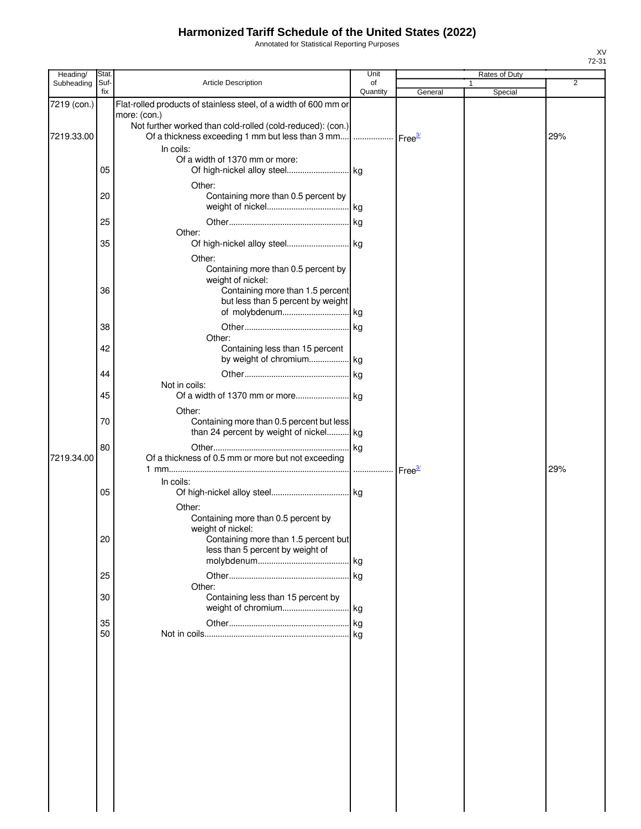Annotated for Statistical Reporting Purposes

| Heading/    | Stat        |                                                                                                                | Unit               |                   | Rates of Duty |                |
|-------------|-------------|----------------------------------------------------------------------------------------------------------------|--------------------|-------------------|---------------|----------------|
| Subheading  | Suf-<br>fix | Article Description                                                                                            | of<br>Quantity     | General           | Special       | $\overline{2}$ |
| 7219 (con.) |             | Flat-rolled products of stainless steel, of a width of 600 mm or                                               |                    |                   |               |                |
|             |             | more: (con.)                                                                                                   |                    |                   |               |                |
|             |             | Not further worked than cold-rolled (cold-reduced): (con.)<br>Of a thickness exceeding 1 mm but less than 3 mm |                    |                   |               |                |
| 7219.33.00  |             | In coils:                                                                                                      | Free <sup>3/</sup> |                   |               | 29%            |
|             |             | Of a width of 1370 mm or more:                                                                                 |                    |                   |               |                |
|             | 05          |                                                                                                                |                    |                   |               |                |
|             |             | Other:                                                                                                         |                    |                   |               |                |
|             | 20          | Containing more than 0.5 percent by                                                                            |                    |                   |               |                |
|             |             |                                                                                                                |                    |                   |               |                |
|             | 25          |                                                                                                                |                    |                   |               |                |
|             | 35          | Other:                                                                                                         |                    |                   |               |                |
|             |             |                                                                                                                |                    |                   |               |                |
|             |             | Other:<br>Containing more than 0.5 percent by                                                                  |                    |                   |               |                |
|             |             | weight of nickel:                                                                                              |                    |                   |               |                |
|             | 36          | Containing more than 1.5 percent                                                                               |                    |                   |               |                |
|             |             | but less than 5 percent by weight                                                                              |                    |                   |               |                |
|             |             |                                                                                                                |                    |                   |               |                |
|             | 38          |                                                                                                                |                    |                   |               |                |
|             | 42          | Other:<br>Containing less than 15 percent                                                                      |                    |                   |               |                |
|             |             | by weight of chromium kg                                                                                       |                    |                   |               |                |
|             | 44          |                                                                                                                |                    |                   |               |                |
|             |             | Not in coils:                                                                                                  |                    |                   |               |                |
|             | 45          |                                                                                                                |                    |                   |               |                |
|             |             | Other:                                                                                                         |                    |                   |               |                |
|             | 70          | Containing more than 0.5 percent but less                                                                      |                    |                   |               |                |
|             |             | than 24 percent by weight of nickel kg                                                                         |                    |                   |               |                |
| 7219.34.00  | 80          | Of a thickness of 0.5 mm or more but not exceeding                                                             |                    |                   |               |                |
|             |             |                                                                                                                |                    | Free <sup>3</sup> |               | 29%            |
|             |             | In coils:                                                                                                      |                    |                   |               |                |
|             | 05          |                                                                                                                |                    |                   |               |                |
|             |             | Other:                                                                                                         |                    |                   |               |                |
|             |             | Containing more than 0.5 percent by                                                                            |                    |                   |               |                |
|             | 20          | weight of nickel:<br>Containing more than 1.5 percent but                                                      |                    |                   |               |                |
|             |             | less than 5 percent by weight of                                                                               |                    |                   |               |                |
|             |             |                                                                                                                |                    |                   |               |                |
|             | 25          |                                                                                                                |                    |                   |               |                |
|             |             | Other:                                                                                                         |                    |                   |               |                |
|             | 30          | Containing less than 15 percent by                                                                             |                    |                   |               |                |
|             |             |                                                                                                                |                    |                   |               |                |
|             | 35<br>50    |                                                                                                                |                    |                   |               |                |
|             |             |                                                                                                                |                    |                   |               |                |
|             |             |                                                                                                                |                    |                   |               |                |
|             |             |                                                                                                                |                    |                   |               |                |
|             |             |                                                                                                                |                    |                   |               |                |
|             |             |                                                                                                                |                    |                   |               |                |
|             |             |                                                                                                                |                    |                   |               |                |
|             |             |                                                                                                                |                    |                   |               |                |
|             |             |                                                                                                                |                    |                   |               |                |
|             |             |                                                                                                                |                    |                   |               |                |
|             |             |                                                                                                                |                    |                   |               |                |
|             |             |                                                                                                                |                    |                   |               |                |
|             |             |                                                                                                                |                    |                   |               |                |
|             |             |                                                                                                                |                    |                   |               |                |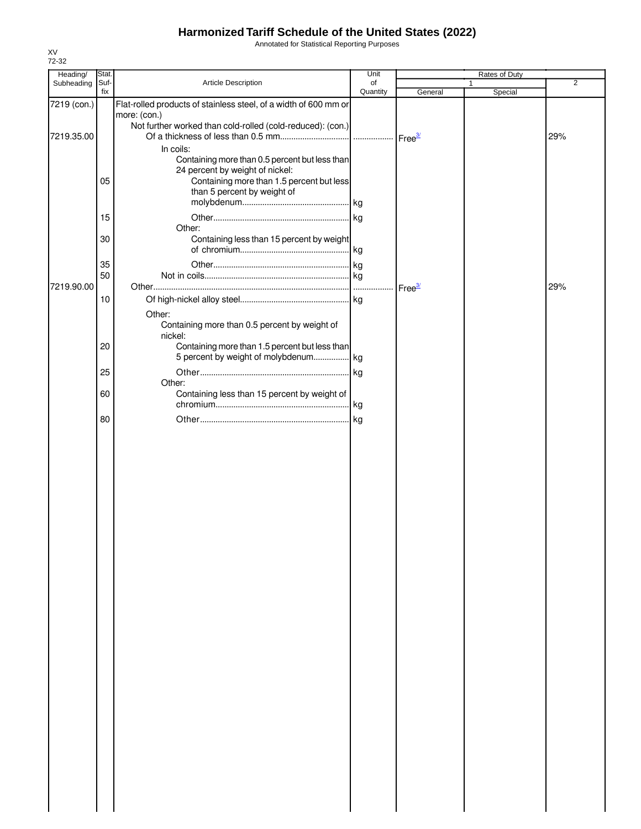Annotated for Statistical Reporting Purposes

| Heading/    | Stat. |                                                                  | Unit     |                      | Rates of Duty |     |
|-------------|-------|------------------------------------------------------------------|----------|----------------------|---------------|-----|
| Subheading  | Suf-  | Article Description                                              | of       |                      |               | 2   |
|             | fix   |                                                                  | Quantity | General              | Special       |     |
| 7219 (con.) |       | Flat-rolled products of stainless steel, of a width of 600 mm or |          |                      |               |     |
|             |       | more: (con.)                                                     |          |                      |               |     |
|             |       | Not further worked than cold-rolled (cold-reduced): (con.)       |          |                      |               |     |
| 7219.35.00  |       |                                                                  |          |                      |               | 29% |
|             |       | In coils:                                                        |          |                      |               |     |
|             |       | Containing more than 0.5 percent but less than                   |          |                      |               |     |
|             |       | 24 percent by weight of nickel:                                  |          |                      |               |     |
|             |       |                                                                  |          |                      |               |     |
|             | 05    | Containing more than 1.5 percent but less                        |          |                      |               |     |
|             |       | than 5 percent by weight of                                      |          |                      |               |     |
|             |       |                                                                  |          |                      |               |     |
|             | 15    |                                                                  |          |                      |               |     |
|             |       | Other:                                                           |          |                      |               |     |
|             | 30    | Containing less than 15 percent by weight                        |          |                      |               |     |
|             |       |                                                                  |          |                      |               |     |
|             |       |                                                                  |          |                      |               |     |
|             | 35    |                                                                  |          |                      |               |     |
|             | 50    |                                                                  |          |                      |               |     |
| 7219.90.00  |       |                                                                  |          | $Free^{\frac{3}{2}}$ |               | 29% |
|             |       |                                                                  |          |                      |               |     |
|             | 10    |                                                                  |          |                      |               |     |
|             |       | Other:                                                           |          |                      |               |     |
|             |       | Containing more than 0.5 percent by weight of                    |          |                      |               |     |
|             |       | nickel:                                                          |          |                      |               |     |
|             | 20    | Containing more than 1.5 percent but less than                   |          |                      |               |     |
|             |       | 5 percent by weight of molybdenum kg                             |          |                      |               |     |
|             |       |                                                                  |          |                      |               |     |
|             | 25    |                                                                  |          |                      |               |     |
|             |       | Other:                                                           |          |                      |               |     |
|             | 60    | Containing less than 15 percent by weight of                     |          |                      |               |     |
|             |       |                                                                  |          |                      |               |     |
|             |       |                                                                  |          |                      |               |     |
|             | 80    |                                                                  |          |                      |               |     |
|             |       |                                                                  |          |                      |               |     |
|             |       |                                                                  |          |                      |               |     |
|             |       |                                                                  |          |                      |               |     |
|             |       |                                                                  |          |                      |               |     |
|             |       |                                                                  |          |                      |               |     |
|             |       |                                                                  |          |                      |               |     |
|             |       |                                                                  |          |                      |               |     |
|             |       |                                                                  |          |                      |               |     |
|             |       |                                                                  |          |                      |               |     |
|             |       |                                                                  |          |                      |               |     |
|             |       |                                                                  |          |                      |               |     |
|             |       |                                                                  |          |                      |               |     |
|             |       |                                                                  |          |                      |               |     |
|             |       |                                                                  |          |                      |               |     |
|             |       |                                                                  |          |                      |               |     |
|             |       |                                                                  |          |                      |               |     |
|             |       |                                                                  |          |                      |               |     |
|             |       |                                                                  |          |                      |               |     |
|             |       |                                                                  |          |                      |               |     |
|             |       |                                                                  |          |                      |               |     |
|             |       |                                                                  |          |                      |               |     |
|             |       |                                                                  |          |                      |               |     |
|             |       |                                                                  |          |                      |               |     |
|             |       |                                                                  |          |                      |               |     |
|             |       |                                                                  |          |                      |               |     |
|             |       |                                                                  |          |                      |               |     |
|             |       |                                                                  |          |                      |               |     |
|             |       |                                                                  |          |                      |               |     |
|             |       |                                                                  |          |                      |               |     |
|             |       |                                                                  |          |                      |               |     |
|             |       |                                                                  |          |                      |               |     |
|             |       |                                                                  |          |                      |               |     |
|             |       |                                                                  |          |                      |               |     |
|             |       |                                                                  |          |                      |               |     |
|             |       |                                                                  |          |                      |               |     |
|             |       |                                                                  |          |                      |               |     |
|             |       |                                                                  |          |                      |               |     |
|             |       |                                                                  |          |                      |               |     |
|             |       |                                                                  |          |                      |               |     |
|             |       |                                                                  |          |                      |               |     |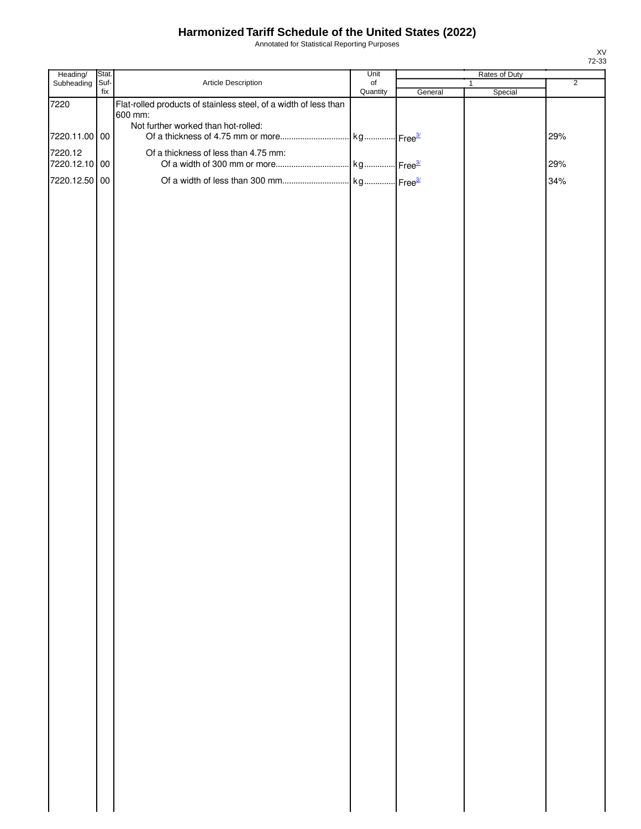Annotated for Statistical Reporting Purposes

| Heading/        | Stat. |                                                                  | Unit      |         | Rates of Duty |                |
|-----------------|-------|------------------------------------------------------------------|-----------|---------|---------------|----------------|
| Subheading Suf- |       | Article Description                                              | $\circ$ f |         | $\mathbf{1}$  | $\overline{2}$ |
|                 | fix   |                                                                  | Quantity  | General | Special       |                |
| 7220            |       | Flat-rolled products of stainless steel, of a width of less than |           |         |               |                |
|                 |       | 600 mm:                                                          |           |         |               |                |
|                 |       | Not further worked than hot-rolled:                              |           |         |               |                |
| 7220.11.00 00   |       |                                                                  |           |         |               | 29%            |
| 7220.12         |       | Of a thickness of less than 4.75 mm:                             |           |         |               |                |
| 7220.12.10 00   |       |                                                                  |           |         |               | 29%            |
| 7220.12.50 00   |       |                                                                  |           |         |               | 34%            |
|                 |       |                                                                  |           |         |               |                |
|                 |       |                                                                  |           |         |               |                |
|                 |       |                                                                  |           |         |               |                |
|                 |       |                                                                  |           |         |               |                |
|                 |       |                                                                  |           |         |               |                |
|                 |       |                                                                  |           |         |               |                |
|                 |       |                                                                  |           |         |               |                |
|                 |       |                                                                  |           |         |               |                |
|                 |       |                                                                  |           |         |               |                |
|                 |       |                                                                  |           |         |               |                |
|                 |       |                                                                  |           |         |               |                |
|                 |       |                                                                  |           |         |               |                |
|                 |       |                                                                  |           |         |               |                |
|                 |       |                                                                  |           |         |               |                |
|                 |       |                                                                  |           |         |               |                |
|                 |       |                                                                  |           |         |               |                |
|                 |       |                                                                  |           |         |               |                |
|                 |       |                                                                  |           |         |               |                |
|                 |       |                                                                  |           |         |               |                |
|                 |       |                                                                  |           |         |               |                |
|                 |       |                                                                  |           |         |               |                |
|                 |       |                                                                  |           |         |               |                |
|                 |       |                                                                  |           |         |               |                |
|                 |       |                                                                  |           |         |               |                |
|                 |       |                                                                  |           |         |               |                |
|                 |       |                                                                  |           |         |               |                |
|                 |       |                                                                  |           |         |               |                |
|                 |       |                                                                  |           |         |               |                |
|                 |       |                                                                  |           |         |               |                |
|                 |       |                                                                  |           |         |               |                |
|                 |       |                                                                  |           |         |               |                |
|                 |       |                                                                  |           |         |               |                |
|                 |       |                                                                  |           |         |               |                |
|                 |       |                                                                  |           |         |               |                |
|                 |       |                                                                  |           |         |               |                |
|                 |       |                                                                  |           |         |               |                |
|                 |       |                                                                  |           |         |               |                |
|                 |       |                                                                  |           |         |               |                |
|                 |       |                                                                  |           |         |               |                |
|                 |       |                                                                  |           |         |               |                |
|                 |       |                                                                  |           |         |               |                |
|                 |       |                                                                  |           |         |               |                |
|                 |       |                                                                  |           |         |               |                |
|                 |       |                                                                  |           |         |               |                |
|                 |       |                                                                  |           |         |               |                |
|                 |       |                                                                  |           |         |               |                |
|                 |       |                                                                  |           |         |               |                |
|                 |       |                                                                  |           |         |               |                |
|                 |       |                                                                  |           |         |               |                |
|                 |       |                                                                  |           |         |               |                |
|                 |       |                                                                  |           |         |               |                |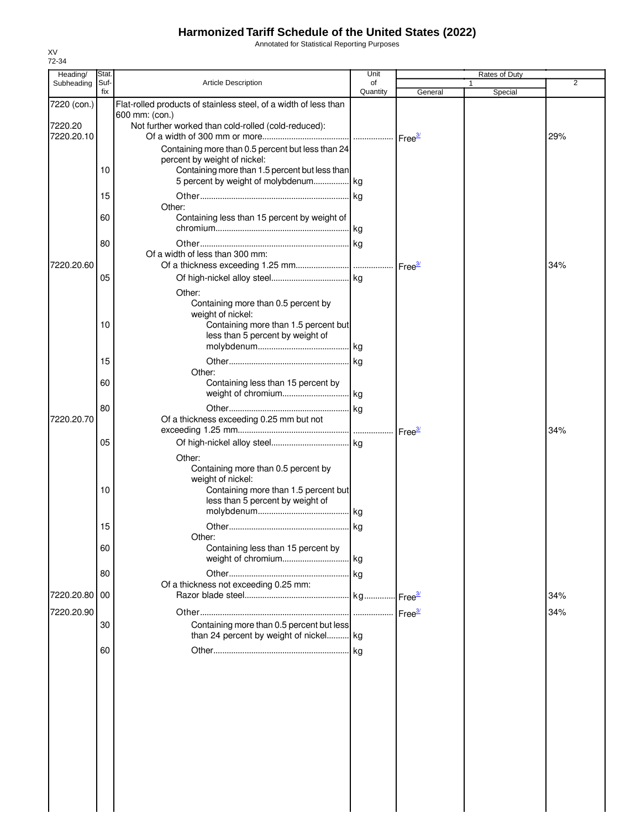Annotated for Statistical Reporting Purposes

| Heading/                    | Stat.       |                                                                                                                                                | Unit           |         | Rates of Duty |            |
|-----------------------------|-------------|------------------------------------------------------------------------------------------------------------------------------------------------|----------------|---------|---------------|------------|
| Subheading                  | Suf-<br>fix | <b>Article Description</b>                                                                                                                     | of<br>Quantity | General | Special       | 2          |
| 7220 (con.)                 |             | Flat-rolled products of stainless steel, of a width of less than<br>600 mm: (con.)                                                             |                |         |               |            |
| 7220.20<br>7220.20.10       |             | Not further worked than cold-rolled (cold-reduced):                                                                                            |                |         |               | 29%        |
|                             |             | Containing more than 0.5 percent but less than 24<br>percent by weight of nickel:                                                              |                |         |               |            |
|                             | 10          | Containing more than 1.5 percent but less than<br>5 percent by weight of molybdenum kg                                                         |                |         |               |            |
|                             | 15          | Other:                                                                                                                                         |                |         |               |            |
|                             | 60          | Containing less than 15 percent by weight of                                                                                                   |                |         |               |            |
| 7220.20.60                  | 80          | Of a width of less than 300 mm:                                                                                                                |                |         |               | 34%        |
|                             | 05          |                                                                                                                                                |                |         |               |            |
|                             | 10          | Other:<br>Containing more than 0.5 percent by<br>weight of nickel:<br>Containing more than 1.5 percent but                                     |                |         |               |            |
|                             |             | less than 5 percent by weight of                                                                                                               |                |         |               |            |
|                             | 15          | Other:                                                                                                                                         |                |         |               |            |
|                             | 60          | Containing less than 15 percent by                                                                                                             |                |         |               |            |
| 7220.20.70                  | 80          | Of a thickness exceeding 0.25 mm but not                                                                                                       |                |         |               |            |
|                             | 05          |                                                                                                                                                |                |         |               | 34%        |
|                             | 10          | Other:<br>Containing more than 0.5 percent by<br>weight of nickel:<br>Containing more than 1.5 percent but<br>less than 5 percent by weight of |                |         |               |            |
|                             | 15          | Other:                                                                                                                                         |                |         |               |            |
|                             | 60          | Containing less than 15 percent by                                                                                                             |                |         |               |            |
|                             | 80          | Of a thickness not exceeding 0.25 mm:                                                                                                          |                |         |               |            |
| 7220.20.80 00<br>7220.20.90 |             |                                                                                                                                                |                |         |               | 34%<br>34% |
|                             | 30          | Containing more than 0.5 percent but less<br>than 24 percent by weight of nickel kg                                                            |                |         |               |            |
|                             | 60          |                                                                                                                                                |                |         |               |            |
|                             |             |                                                                                                                                                |                |         |               |            |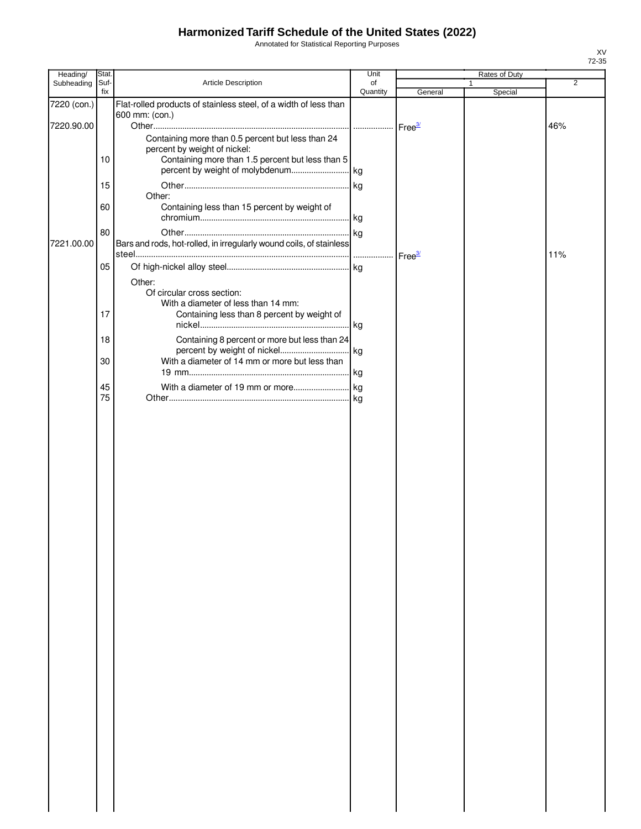Annotated for Statistical Reporting Purposes

| Heading/    | Stat.       |                                                                     | Unit           |                    | Rates of Duty |                |
|-------------|-------------|---------------------------------------------------------------------|----------------|--------------------|---------------|----------------|
| Subheading  | Suf-<br>fix | <b>Article Description</b>                                          | of<br>Quantity | General            | 1<br>Special  | $\overline{2}$ |
| 7220 (con.) |             | Flat-rolled products of stainless steel, of a width of less than    |                |                    |               |                |
|             |             | 600 mm: (con.)                                                      |                |                    |               |                |
| 7220.90.00  |             |                                                                     |                |                    |               | 46%            |
|             |             | Containing more than 0.5 percent but less than 24                   |                |                    |               |                |
|             |             | percent by weight of nickel:                                        |                |                    |               |                |
|             | 10          | Containing more than 1.5 percent but less than 5                    |                |                    |               |                |
|             |             |                                                                     |                |                    |               |                |
|             | 15          |                                                                     |                |                    |               |                |
|             | 60          | Other:<br>Containing less than 15 percent by weight of              |                |                    |               |                |
|             |             |                                                                     |                |                    |               |                |
|             |             |                                                                     |                |                    |               |                |
| 7221.00.00  | 80          | Bars and rods, hot-rolled, in irregularly wound coils, of stainless |                |                    |               |                |
|             |             |                                                                     |                | Free <sup>3/</sup> |               | 11%            |
|             | 05          |                                                                     |                |                    |               |                |
|             |             |                                                                     |                |                    |               |                |
|             |             | Other:<br>Of circular cross section:                                |                |                    |               |                |
|             |             | With a diameter of less than 14 mm:                                 |                |                    |               |                |
|             | 17          | Containing less than 8 percent by weight of                         |                |                    |               |                |
|             |             |                                                                     |                |                    |               |                |
|             | 18          | Containing 8 percent or more but less than 24                       |                |                    |               |                |
|             |             |                                                                     |                |                    |               |                |
|             | 30          | With a diameter of 14 mm or more but less than                      |                |                    |               |                |
|             |             |                                                                     |                |                    |               |                |
|             | 45          |                                                                     |                |                    |               |                |
|             | 75          |                                                                     |                |                    |               |                |
|             |             |                                                                     |                |                    |               |                |
|             |             |                                                                     |                |                    |               |                |
|             |             |                                                                     |                |                    |               |                |
|             |             |                                                                     |                |                    |               |                |
|             |             |                                                                     |                |                    |               |                |
|             |             |                                                                     |                |                    |               |                |
|             |             |                                                                     |                |                    |               |                |
|             |             |                                                                     |                |                    |               |                |
|             |             |                                                                     |                |                    |               |                |
|             |             |                                                                     |                |                    |               |                |
|             |             |                                                                     |                |                    |               |                |
|             |             |                                                                     |                |                    |               |                |
|             |             |                                                                     |                |                    |               |                |
|             |             |                                                                     |                |                    |               |                |
|             |             |                                                                     |                |                    |               |                |
|             |             |                                                                     |                |                    |               |                |
|             |             |                                                                     |                |                    |               |                |
|             |             |                                                                     |                |                    |               |                |
|             |             |                                                                     |                |                    |               |                |
|             |             |                                                                     |                |                    |               |                |
|             |             |                                                                     |                |                    |               |                |
|             |             |                                                                     |                |                    |               |                |
|             |             |                                                                     |                |                    |               |                |
|             |             |                                                                     |                |                    |               |                |
|             |             |                                                                     |                |                    |               |                |
|             |             |                                                                     |                |                    |               |                |
|             |             |                                                                     |                |                    |               |                |
|             |             |                                                                     |                |                    |               |                |
|             |             |                                                                     |                |                    |               |                |
|             |             |                                                                     |                |                    |               |                |
|             |             |                                                                     |                |                    |               |                |
|             |             |                                                                     |                |                    |               |                |
|             |             |                                                                     |                |                    |               |                |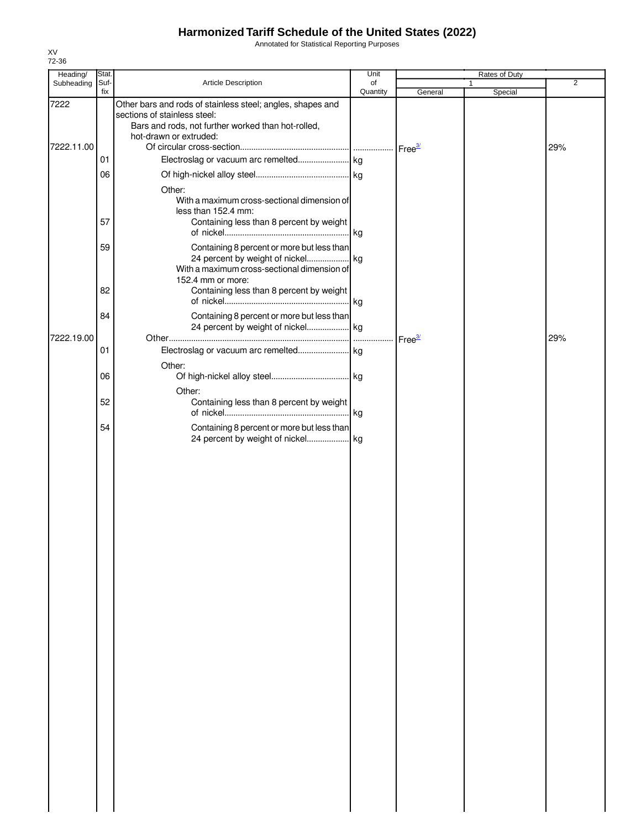Annotated for Statistical Reporting Purposes

| Heading/           | Stat.       |                                                                                                                                                                            | Unit           |                   | Rates of Duty |                |
|--------------------|-------------|----------------------------------------------------------------------------------------------------------------------------------------------------------------------------|----------------|-------------------|---------------|----------------|
| Subheading         | Suf-<br>fix | Article Description                                                                                                                                                        | of<br>Quantity | General           | 1<br>Special  | $\overline{2}$ |
| 7222<br>7222.11.00 |             | Other bars and rods of stainless steel; angles, shapes and<br>sections of stainless steel:<br>Bars and rods, not further worked than hot-rolled,<br>hot-drawn or extruded: |                |                   |               | 29%            |
|                    | 01          |                                                                                                                                                                            |                |                   |               |                |
|                    | 06          | Other:<br>With a maximum cross-sectional dimension of<br>less than 152.4 mm:                                                                                               |                |                   |               |                |
|                    | 57          | Containing less than 8 percent by weight                                                                                                                                   |                |                   |               |                |
|                    | 59          | Containing 8 percent or more but less than<br>With a maximum cross-sectional dimension of<br>152.4 mm or more:                                                             |                |                   |               |                |
|                    | 82<br>84    | Containing less than 8 percent by weight<br>Containing 8 percent or more but less than                                                                                     |                |                   |               |                |
| 7222.19.00         |             |                                                                                                                                                                            |                | Free <sup>3</sup> |               | 29%            |
|                    | 01          |                                                                                                                                                                            |                |                   |               |                |
|                    | 06          | Other:<br>Other:                                                                                                                                                           |                |                   |               |                |
|                    | 52          | Containing less than 8 percent by weight                                                                                                                                   |                |                   |               |                |
|                    | 54          | Containing 8 percent or more but less than                                                                                                                                 |                |                   |               |                |
|                    |             |                                                                                                                                                                            |                |                   |               |                |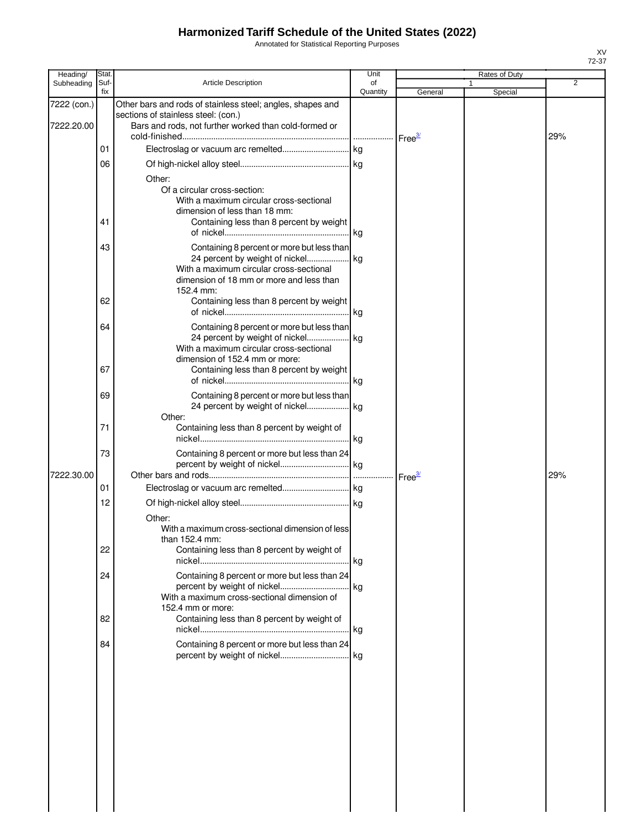Annotated for Statistical Reporting Purposes

| Heading/                  | Stat.       |                                                                                                                                                                                                          | Unit               |                    | Rates of Duty |                |
|---------------------------|-------------|----------------------------------------------------------------------------------------------------------------------------------------------------------------------------------------------------------|--------------------|--------------------|---------------|----------------|
| Subheading                | Suf-<br>fix | <b>Article Description</b>                                                                                                                                                                               | of<br>Quantity     | General            |               | $\overline{2}$ |
| 7222 (con.)<br>7222.20.00 |             | Other bars and rods of stainless steel; angles, shapes and<br>sections of stainless steel: (con.)<br>Bars and rods, not further worked than cold-formed or                                               |                    |                    | Special       |                |
|                           |             |                                                                                                                                                                                                          | Free <sup>3/</sup> |                    |               | 29%            |
|                           | 01          |                                                                                                                                                                                                          |                    |                    |               |                |
|                           | 06<br>41    | Other:<br>Of a circular cross-section:<br>With a maximum circular cross-sectional<br>dimension of less than 18 mm:<br>Containing less than 8 percent by weight                                           |                    |                    |               |                |
|                           | 43<br>62    | Containing 8 percent or more but less than<br>With a maximum circular cross-sectional<br>dimension of 18 mm or more and less than<br>152.4 mm:<br>Containing less than 8 percent by weight               |                    |                    |               |                |
|                           |             |                                                                                                                                                                                                          |                    |                    |               |                |
|                           | 64<br>67    | Containing 8 percent or more but less than<br>24 percent by weight of nickel kg<br>With a maximum circular cross-sectional<br>dimension of 152.4 mm or more:<br>Containing less than 8 percent by weight |                    |                    |               |                |
|                           |             |                                                                                                                                                                                                          |                    |                    |               |                |
|                           | 69          | Containing 8 percent or more but less than<br>24 percent by weight of nickel kg                                                                                                                          |                    |                    |               |                |
|                           | 71          | Other:<br>Containing less than 8 percent by weight of                                                                                                                                                    |                    |                    |               |                |
| 7222.30.00                | 73          | Containing 8 percent or more but less than 24                                                                                                                                                            |                    | Free <sup>3/</sup> |               | 29%            |
|                           | 01          |                                                                                                                                                                                                          |                    |                    |               |                |
|                           | 12          |                                                                                                                                                                                                          |                    |                    |               |                |
|                           | 22          | Other:<br>With a maximum cross-sectional dimension of less<br>than 152.4 mm:<br>Containing less than 8 percent by weight of<br>Containing 8 percent or more but less than 24                             |                    |                    |               |                |
|                           | 24          | With a maximum cross-sectional dimension of                                                                                                                                                              |                    |                    |               |                |
|                           | 82          | 152.4 mm or more:<br>Containing less than 8 percent by weight of                                                                                                                                         |                    |                    |               |                |
|                           | 84          | Containing 8 percent or more but less than 24                                                                                                                                                            |                    |                    |               |                |
|                           |             |                                                                                                                                                                                                          |                    |                    |               |                |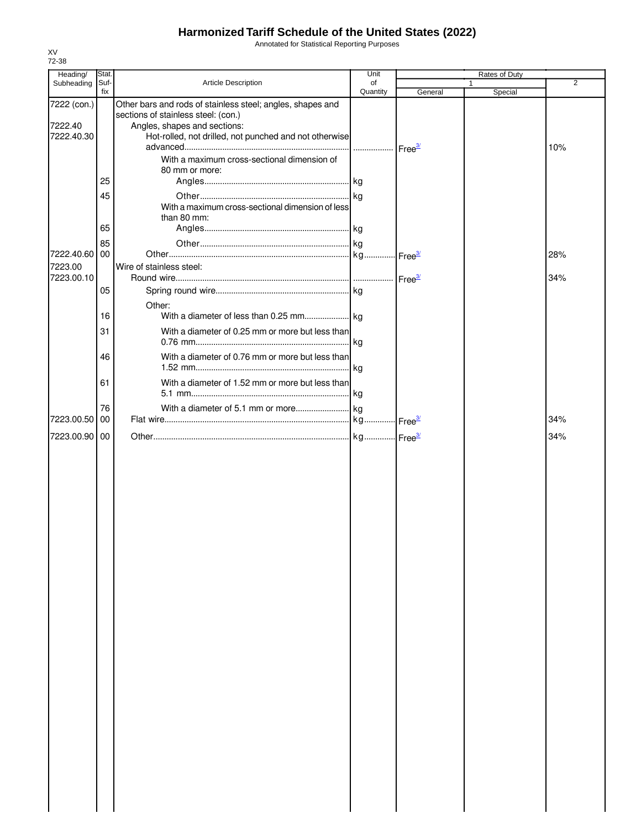Annotated for Statistical Reporting Purposes

| Heading/              | <b>Stat</b> |                                                                                                      | Unit           |         | Rates of Duty |                |
|-----------------------|-------------|------------------------------------------------------------------------------------------------------|----------------|---------|---------------|----------------|
| Subheading            | Suf-<br>fix | Article Description                                                                                  | of<br>Quantity | General | 1<br>Special  | $\overline{2}$ |
| 7222 (con.)           |             | Other bars and rods of stainless steel; angles, shapes and<br>sections of stainless steel: (con.)    |                |         |               |                |
| 7222.40<br>7222.40.30 |             | Angles, shapes and sections:<br>Hot-rolled, not drilled, not punched and not otherwise               |                |         |               | 10%            |
|                       | 25          | With a maximum cross-sectional dimension of<br>80 mm or more:                                        |                |         |               |                |
|                       |             |                                                                                                      |                |         |               |                |
|                       | 45          | With a maximum cross-sectional dimension of less<br>than 80 mm:                                      |                |         |               |                |
|                       | 65          |                                                                                                      |                |         |               |                |
| 7222.40.60 00         | 85          |                                                                                                      |                |         |               | 28%            |
| 7223.00               |             | Wire of stainless steel:                                                                             |                |         |               |                |
| 7223.00.10            |             |                                                                                                      |                |         |               | 34%            |
|                       | 05          |                                                                                                      |                |         |               |                |
|                       |             | Other:                                                                                               |                |         |               |                |
|                       | 16          |                                                                                                      |                |         |               |                |
|                       | 31<br>46    | With a diameter of 0.25 mm or more but less than<br>With a diameter of 0.76 mm or more but less than |                |         |               |                |
|                       |             |                                                                                                      |                |         |               |                |
|                       | 61          | With a diameter of 1.52 mm or more but less than                                                     |                |         |               |                |
|                       | 76          |                                                                                                      |                |         |               |                |
| 7223.00.50 00         |             |                                                                                                      |                |         |               | 34%            |
| 7223.00.90 00         |             |                                                                                                      |                |         |               | 34%            |
|                       |             |                                                                                                      |                |         |               |                |
|                       |             |                                                                                                      |                |         |               |                |
|                       |             |                                                                                                      |                |         |               |                |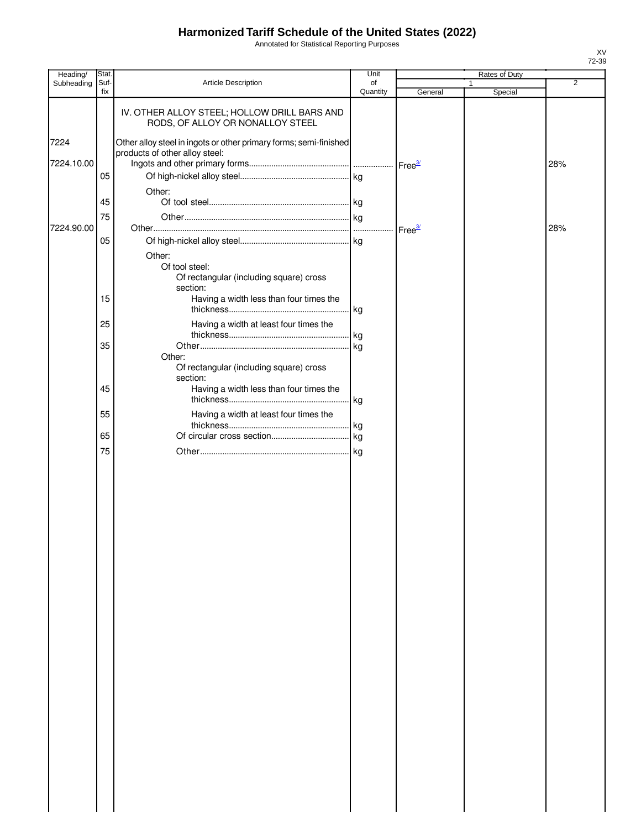Annotated for Statistical Reporting Purposes

| Heading/   | Stat.       |                                                                                                     | Unit           |                    |   | Rates of Duty |     |
|------------|-------------|-----------------------------------------------------------------------------------------------------|----------------|--------------------|---|---------------|-----|
| Subheading | Suf-<br>fix | Article Description                                                                                 | of<br>Quantity | General            | 1 | Special       | 2   |
|            |             | IV. OTHER ALLOY STEEL; HOLLOW DRILL BARS AND<br>RODS, OF ALLOY OR NONALLOY STEEL                    |                |                    |   |               |     |
| 7224       |             | Other alloy steel in ingots or other primary forms; semi-finished<br>products of other alloy steel: |                |                    |   |               |     |
| 7224.10.00 | 05          |                                                                                                     |                |                    |   |               | 28% |
|            |             | Other:                                                                                              |                |                    |   |               |     |
|            | 45          |                                                                                                     |                |                    |   |               |     |
|            | 75          |                                                                                                     |                |                    |   |               |     |
| 7224.90.00 | 05          |                                                                                                     | .              | Free <sup>3/</sup> |   |               | 28% |
|            |             | Other:                                                                                              |                |                    |   |               |     |
|            |             | Of tool steel:<br>Of rectangular (including square) cross<br>section:                               |                |                    |   |               |     |
|            | 15          | Having a width less than four times the                                                             | . kg           |                    |   |               |     |
|            | 25          | Having a width at least four times the                                                              |                |                    |   |               |     |
|            | 35          |                                                                                                     | . kg<br>. kg   |                    |   |               |     |
|            |             | Other:<br>Of rectangular (including square) cross<br>section:                                       |                |                    |   |               |     |
|            | 45          | Having a width less than four times the                                                             | kg             |                    |   |               |     |
|            | 55          | Having a width at least four times the                                                              | kg.            |                    |   |               |     |
|            | 65          |                                                                                                     |                |                    |   |               |     |
|            | 75          |                                                                                                     |                |                    |   |               |     |
|            |             |                                                                                                     |                |                    |   |               |     |
|            |             |                                                                                                     |                |                    |   |               |     |
|            |             |                                                                                                     |                |                    |   |               |     |
|            |             |                                                                                                     |                |                    |   |               |     |
|            |             |                                                                                                     |                |                    |   |               |     |
|            |             |                                                                                                     |                |                    |   |               |     |
|            |             |                                                                                                     |                |                    |   |               |     |
|            |             |                                                                                                     |                |                    |   |               |     |
|            |             |                                                                                                     |                |                    |   |               |     |
|            |             |                                                                                                     |                |                    |   |               |     |
|            |             |                                                                                                     |                |                    |   |               |     |
|            |             |                                                                                                     |                |                    |   |               |     |
|            |             |                                                                                                     |                |                    |   |               |     |
|            |             |                                                                                                     |                |                    |   |               |     |
|            |             |                                                                                                     |                |                    |   |               |     |
|            |             |                                                                                                     |                |                    |   |               |     |
|            |             |                                                                                                     |                |                    |   |               |     |
|            |             |                                                                                                     |                |                    |   |               |     |
|            |             |                                                                                                     |                |                    |   |               |     |
|            |             |                                                                                                     |                |                    |   |               |     |
|            |             |                                                                                                     |                |                    |   |               |     |
|            |             |                                                                                                     |                |                    |   |               |     |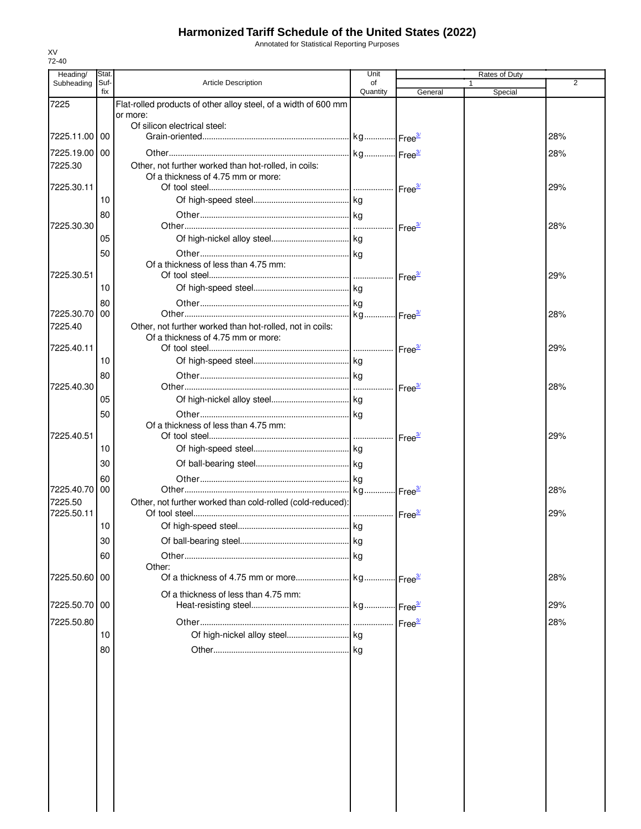Annotated for Statistical Reporting Purposes

| Heading/              | <b>Stat</b> |                                                                 | Unit           |                    | Rates of Duty |     |
|-----------------------|-------------|-----------------------------------------------------------------|----------------|--------------------|---------------|-----|
| Subheading            | Suf-<br>fix | <b>Article Description</b>                                      | of<br>Quantity | General            | 1<br>Special  | 2   |
| 7225                  |             | Flat-rolled products of other alloy steel, of a width of 600 mm |                |                    |               |     |
|                       |             | or more:<br>Of silicon electrical steel:                        |                |                    |               |     |
| 7225.11.00 00         |             |                                                                 |                |                    |               | 28% |
| 7225.19.00 00         |             |                                                                 |                |                    |               | 28% |
| 7225.30               |             | Other, not further worked than hot-rolled, in coils:            |                |                    |               |     |
|                       |             | Of a thickness of 4.75 mm or more:                              |                |                    |               |     |
| 7225.30.11            | 10          |                                                                 |                |                    |               | 29% |
|                       | 80          |                                                                 |                |                    |               |     |
| 7225.30.30            |             |                                                                 |                |                    |               | 28% |
|                       | 05          |                                                                 |                |                    |               |     |
|                       | 50          |                                                                 |                |                    |               |     |
| 7225.30.51            |             | Of a thickness of less than 4.75 mm:                            |                |                    |               | 29% |
|                       | 10          |                                                                 |                |                    |               |     |
|                       | 80          |                                                                 |                |                    |               |     |
| 7225.30.70   00       |             |                                                                 |                |                    |               | 28% |
| 7225.40               |             | Other, not further worked than hot-rolled, not in coils:        |                |                    |               |     |
| 7225.40.11            |             | Of a thickness of 4.75 mm or more:                              |                |                    |               | 29% |
|                       | 10          |                                                                 |                |                    |               |     |
|                       | 80          |                                                                 |                |                    |               |     |
| 7225.40.30            |             |                                                                 |                | Free <sup>37</sup> |               | 28% |
|                       | 05          |                                                                 |                |                    |               |     |
|                       | 50          |                                                                 |                |                    |               |     |
| 7225.40.51            |             | Of a thickness of less than 4.75 mm:                            |                | Free <sup>3/</sup> |               | 29% |
|                       | 10          |                                                                 |                |                    |               |     |
|                       | 30          |                                                                 |                |                    |               |     |
|                       | 60          |                                                                 |                |                    |               |     |
| 7225.40.70            | 00          |                                                                 |                |                    |               | 28% |
| 7225.50<br>7225.50.11 |             | Other, not further worked than cold-rolled (cold-reduced):      |                | Free <sup>3/</sup> |               | 29% |
|                       | 10          |                                                                 |                |                    |               |     |
|                       | 30          |                                                                 |                |                    |               |     |
|                       | 60          |                                                                 |                |                    |               |     |
|                       |             | Other:                                                          |                |                    |               |     |
| 7225.50.60   00       |             |                                                                 |                |                    |               | 28% |
|                       |             | Of a thickness of less than 4.75 mm:                            |                |                    |               |     |
| 7225.50.70 00         |             |                                                                 |                |                    |               | 29% |
| 7225.50.80            |             |                                                                 |                | Free <sup>3/</sup> |               | 28% |
|                       | 10          |                                                                 |                |                    |               |     |
|                       | 80          |                                                                 |                |                    |               |     |
|                       |             |                                                                 |                |                    |               |     |
|                       |             |                                                                 |                |                    |               |     |
|                       |             |                                                                 |                |                    |               |     |
|                       |             |                                                                 |                |                    |               |     |
|                       |             |                                                                 |                |                    |               |     |
|                       |             |                                                                 |                |                    |               |     |
|                       |             |                                                                 |                |                    |               |     |
|                       |             |                                                                 |                |                    |               |     |
|                       |             |                                                                 |                |                    |               |     |
|                       |             |                                                                 |                |                    |               |     |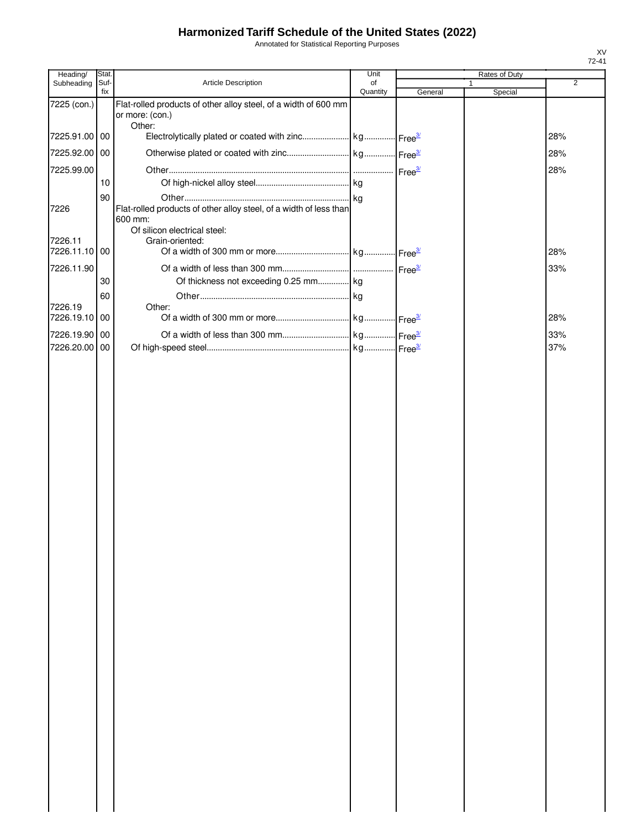Annotated for Statistical Reporting Purposes

| Heading/                 | Stat.       |                                                                                    | Unit     |         | Rates of Duty |                |
|--------------------------|-------------|------------------------------------------------------------------------------------|----------|---------|---------------|----------------|
| Subheading               | Suf-<br>fix | Article Description                                                                | of       |         |               | $\overline{2}$ |
| 7225 (con.)              |             | Flat-rolled products of other alloy steel, of a width of 600 mm<br>or more: (con.) | Quantity | General | Special       |                |
| 7225.91.00 00            |             | Other:                                                                             |          |         |               | 28%            |
| 7225.92.00 00            |             |                                                                                    |          |         |               | 28%            |
| 7225.99.00               |             |                                                                                    |          |         |               | 28%            |
|                          | 10          |                                                                                    |          |         |               |                |
| 7226                     | 90          | Flat-rolled products of other alloy steel, of a width of less than<br>600 mm:      |          |         |               |                |
| 7226.11<br>7226.11.10 00 |             | Of silicon electrical steel:<br>Grain-oriented:                                    |          |         |               | 28%            |
| 7226.11.90               |             |                                                                                    |          |         |               | 33%            |
|                          | 30          | Of thickness not exceeding 0.25 mm kg                                              |          |         |               |                |
|                          | 60          |                                                                                    |          |         |               |                |
| 7226.19                  |             | Other:                                                                             |          |         |               |                |
| 7226.19.10 00            |             |                                                                                    |          |         |               | 28%            |
| 7226.19.90 00            |             |                                                                                    |          |         |               | 33%            |
| 7226.20.00 00            |             |                                                                                    |          |         |               | 37%            |
|                          |             |                                                                                    |          |         |               |                |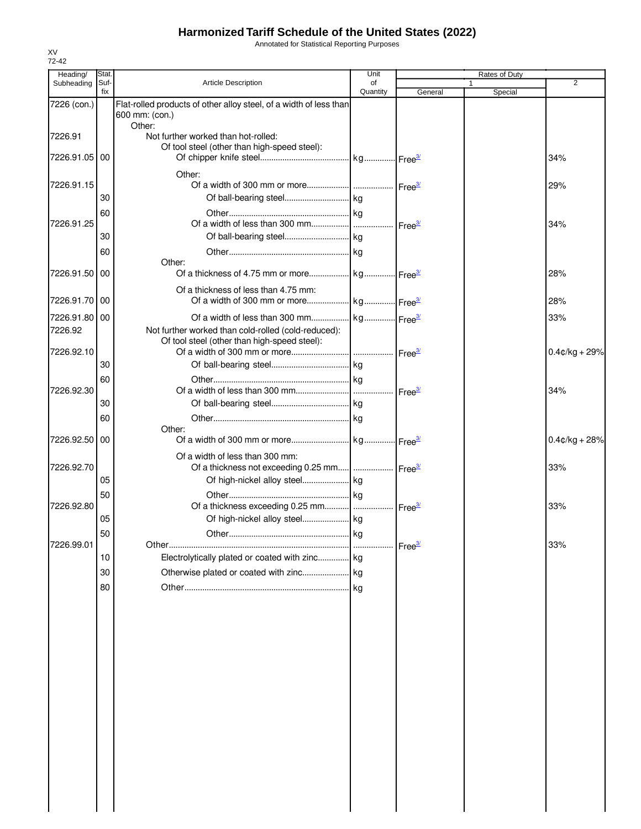Annotated for Statistical Reporting Purposes

| Heading/      | Stat.       |                                                                    | Unit           |                    | Rates of Duty           |                  |
|---------------|-------------|--------------------------------------------------------------------|----------------|--------------------|-------------------------|------------------|
| Subheading    | Suf-<br>fix | Article Description                                                | of<br>Quantity | General            | $\mathbf{1}$<br>Special | 2                |
| 7226 (con.)   |             | Flat-rolled products of other alloy steel, of a width of less than |                |                    |                         |                  |
|               |             | 600 mm: (con.)<br>Other:                                           |                |                    |                         |                  |
| 7226.91       |             | Not further worked than hot-rolled:                                |                |                    |                         |                  |
|               |             | Of tool steel (other than high-speed steel):                       |                |                    |                         |                  |
| 7226.91.05 00 |             |                                                                    |                |                    |                         | 34%              |
|               |             | Other:                                                             |                |                    |                         |                  |
| 7226.91.15    | 30          |                                                                    |                |                    |                         | 29%              |
|               | 60          |                                                                    |                |                    |                         |                  |
| 7226.91.25    |             |                                                                    | .              | Free <sup>3/</sup> |                         | 34%              |
|               | 30          |                                                                    |                |                    |                         |                  |
|               | 60          |                                                                    |                |                    |                         |                  |
|               |             | Other:                                                             |                |                    |                         |                  |
| 7226.91.50 00 |             |                                                                    |                |                    |                         | 28%              |
|               |             | Of a thickness of less than 4.75 mm:                               |                |                    |                         |                  |
| 7226.91.70 00 |             |                                                                    |                |                    |                         | 28%              |
| 7226.91.80 00 |             |                                                                    |                |                    |                         | 33%              |
| 7226.92       |             | Not further worked than cold-rolled (cold-reduced):                |                |                    |                         |                  |
| 7226.92.10    |             | Of tool steel (other than high-speed steel):                       |                |                    |                         | $0.4$ ¢/kg + 29% |
|               | 30          |                                                                    |                |                    |                         |                  |
|               | 60          |                                                                    |                |                    |                         |                  |
| 7226.92.30    |             |                                                                    |                |                    |                         | 34%              |
|               | 30          |                                                                    |                |                    |                         |                  |
|               | 60          |                                                                    |                |                    |                         |                  |
| 7226.92.50    | 00          | Other:                                                             |                |                    |                         | $0.4$ ¢/kg + 28% |
|               |             |                                                                    |                |                    |                         |                  |
| 7226.92.70    |             | Of a width of less than 300 mm:                                    |                |                    |                         | 33%              |
|               | 05          |                                                                    |                |                    |                         |                  |
|               | 50          |                                                                    |                |                    |                         |                  |
| 7226.92.80    |             | Of a thickness exceeding 0.25 mm    Free3                          |                |                    |                         | 33%              |
|               | 05          |                                                                    |                |                    |                         |                  |
|               | 50          |                                                                    |                |                    |                         |                  |
| 7226.99.01    |             |                                                                    |                | Free <sup>3/</sup> |                         | 33%              |
|               | 10          | Electrolytically plated or coated with zinc kg                     |                |                    |                         |                  |
|               | 30          |                                                                    |                |                    |                         |                  |
|               | 80          |                                                                    |                |                    |                         |                  |
|               |             |                                                                    |                |                    |                         |                  |
|               |             |                                                                    |                |                    |                         |                  |
|               |             |                                                                    |                |                    |                         |                  |
|               |             |                                                                    |                |                    |                         |                  |
|               |             |                                                                    |                |                    |                         |                  |
|               |             |                                                                    |                |                    |                         |                  |
|               |             |                                                                    |                |                    |                         |                  |
|               |             |                                                                    |                |                    |                         |                  |
|               |             |                                                                    |                |                    |                         |                  |
|               |             |                                                                    |                |                    |                         |                  |
|               |             |                                                                    |                |                    |                         |                  |
|               |             |                                                                    |                |                    |                         |                  |
|               |             |                                                                    |                |                    |                         |                  |
|               |             |                                                                    |                |                    |                         |                  |
|               |             |                                                                    |                |                    |                         |                  |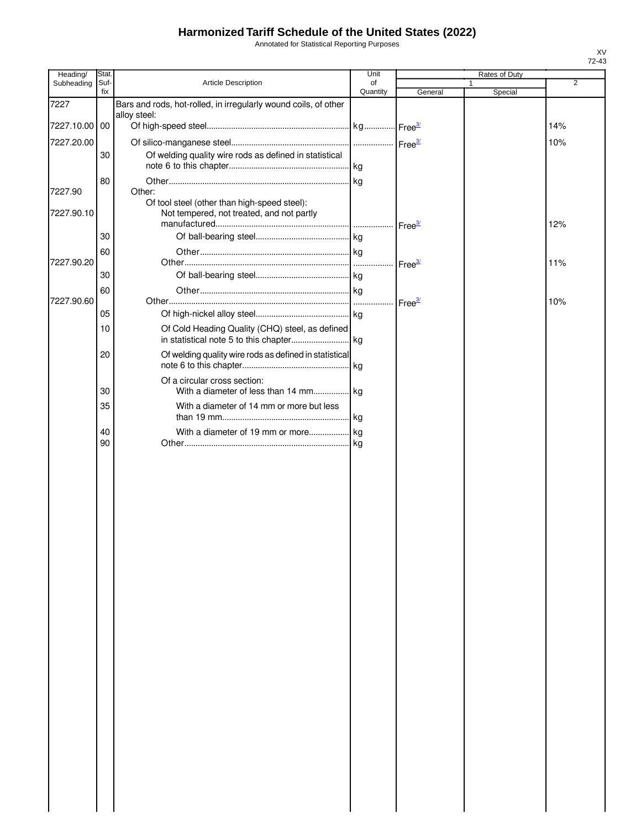Annotated for Statistical Reporting Purposes

| Heading/      | <b>Stat</b> |                                                                 | Unit           |                    | Rates of Duty |     |
|---------------|-------------|-----------------------------------------------------------------|----------------|--------------------|---------------|-----|
| Subheading    | Suf-<br>fix | Article Description                                             | of<br>Quantity | General            | 1<br>Special  | 2   |
| 7227          |             | Bars and rods, hot-rolled, in irregularly wound coils, of other |                |                    |               |     |
|               |             | alloy steel:                                                    |                |                    |               |     |
| 7227.10.00 00 |             |                                                                 |                |                    |               | 14% |
| 7227.20.00    |             |                                                                 |                | Free <sup>3/</sup> |               | 10% |
|               | 30          | Of welding quality wire rods as defined in statistical          |                |                    |               |     |
|               |             |                                                                 |                |                    |               |     |
| 7227.90       | 80          | Other:                                                          |                |                    |               |     |
|               |             | Of tool steel (other than high-speed steel):                    |                |                    |               |     |
| 7227.90.10    |             | Not tempered, not treated, and not partly                       |                |                    |               |     |
|               |             |                                                                 |                | Free <sup>3/</sup> |               | 12% |
|               | 30          |                                                                 |                |                    |               |     |
|               | 60          |                                                                 |                |                    |               |     |
| 7227.90.20    | 30          |                                                                 |                | Free $\frac{3}{2}$ |               | 11% |
|               |             |                                                                 |                |                    |               |     |
| 7227.90.60    | 60          |                                                                 |                | Free <sup>3/</sup> |               | 10% |
|               | 05          |                                                                 |                |                    |               |     |
|               | 10          | Of Cold Heading Quality (CHQ) steel, as defined                 |                |                    |               |     |
|               |             |                                                                 |                |                    |               |     |
|               | 20          | Of welding quality wire rods as defined in statistical          |                |                    |               |     |
|               |             |                                                                 |                |                    |               |     |
|               |             | Of a circular cross section:                                    |                |                    |               |     |
|               | 30          | With a diameter of less than 14 mm kg                           |                |                    |               |     |
|               | 35          | With a diameter of 14 mm or more but less                       |                |                    |               |     |
|               |             |                                                                 |                |                    |               |     |
|               | 40<br>90    |                                                                 |                |                    |               |     |
|               |             |                                                                 |                |                    |               |     |
|               |             |                                                                 |                |                    |               |     |
|               |             |                                                                 |                |                    |               |     |
|               |             |                                                                 |                |                    |               |     |
|               |             |                                                                 |                |                    |               |     |
|               |             |                                                                 |                |                    |               |     |
|               |             |                                                                 |                |                    |               |     |
|               |             |                                                                 |                |                    |               |     |
|               |             |                                                                 |                |                    |               |     |
|               |             |                                                                 |                |                    |               |     |
|               |             |                                                                 |                |                    |               |     |
|               |             |                                                                 |                |                    |               |     |
|               |             |                                                                 |                |                    |               |     |
|               |             |                                                                 |                |                    |               |     |
|               |             |                                                                 |                |                    |               |     |
|               |             |                                                                 |                |                    |               |     |
|               |             |                                                                 |                |                    |               |     |
|               |             |                                                                 |                |                    |               |     |
|               |             |                                                                 |                |                    |               |     |
|               |             |                                                                 |                |                    |               |     |
|               |             |                                                                 |                |                    |               |     |
|               |             |                                                                 |                |                    |               |     |
|               |             |                                                                 |                |                    |               |     |
|               |             |                                                                 |                |                    |               |     |
|               |             |                                                                 |                |                    |               |     |
|               |             |                                                                 |                |                    |               |     |
|               |             |                                                                 |                |                    |               |     |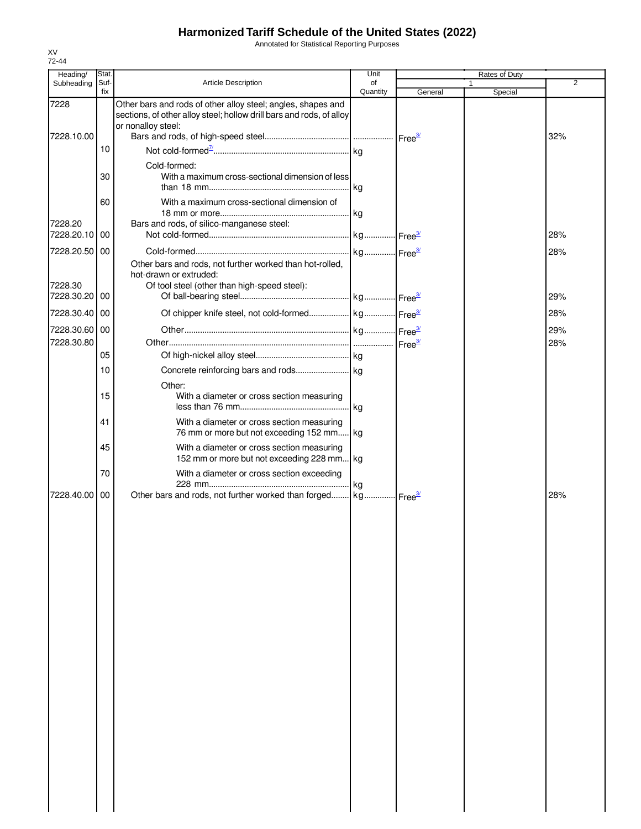Annotated for Statistical Reporting Purposes

| Heading/                    | Stat.       |                                                                                                                                                            | Unit           | Rates of Duty |              |                |
|-----------------------------|-------------|------------------------------------------------------------------------------------------------------------------------------------------------------------|----------------|---------------|--------------|----------------|
| Subheading                  | Suf-<br>fix | <b>Article Description</b>                                                                                                                                 | of<br>Quantity | General       | 1<br>Special | $\overline{2}$ |
| 7228                        |             | Other bars and rods of other alloy steel; angles, shapes and<br>sections, of other alloy steel; hollow drill bars and rods, of alloy<br>or nonalloy steel: |                |               |              |                |
| 7228.10.00                  |             |                                                                                                                                                            |                |               |              | 32%            |
|                             | 10          |                                                                                                                                                            |                |               |              |                |
|                             | 30          | Cold-formed:<br>With a maximum cross-sectional dimension of less                                                                                           |                |               |              |                |
|                             | 60          | With a maximum cross-sectional dimension of                                                                                                                |                |               |              |                |
| 7228.20<br>7228.20.10       | 00          | Bars and rods, of silico-manganese steel:                                                                                                                  |                |               |              | 28%            |
| 7228.20.50 00               |             |                                                                                                                                                            |                |               |              | 28%            |
| 7228.30<br>7228.30.20       | 00          | Other bars and rods, not further worked than hot-rolled,<br>hot-drawn or extruded:<br>Of tool steel (other than high-speed steel):                         |                |               |              | 29%            |
| 7228.30.40 00               |             |                                                                                                                                                            |                |               |              | 28%            |
|                             |             |                                                                                                                                                            |                |               |              |                |
| 7228.30.60 00<br>7228.30.80 |             |                                                                                                                                                            |                |               |              | 29%<br>28%     |
|                             | 05          |                                                                                                                                                            |                |               |              |                |
|                             | 10          |                                                                                                                                                            |                |               |              |                |
|                             | 15          | Other:<br>With a diameter or cross section measuring                                                                                                       |                |               |              |                |
|                             | 41          | With a diameter or cross section measuring<br>76 mm or more but not exceeding 152 mm kg                                                                    |                |               |              |                |
|                             | 45          | With a diameter or cross section measuring<br>152 mm or more but not exceeding 228 mm kg                                                                   |                |               |              |                |
|                             | 70          | With a diameter or cross section exceeding                                                                                                                 | .lka           |               |              |                |
| 7228.40.00                  | 00          | Other bars and rods, not further worked than forged kg Free <sup>31</sup>                                                                                  |                |               |              | 28%            |
|                             |             |                                                                                                                                                            |                |               |              |                |
|                             |             |                                                                                                                                                            |                |               |              |                |
|                             |             |                                                                                                                                                            |                |               |              |                |
|                             |             |                                                                                                                                                            |                |               |              |                |
|                             |             |                                                                                                                                                            |                |               |              |                |
|                             |             |                                                                                                                                                            |                |               |              |                |
|                             |             |                                                                                                                                                            |                |               |              |                |
|                             |             |                                                                                                                                                            |                |               |              |                |
|                             |             |                                                                                                                                                            |                |               |              |                |
|                             |             |                                                                                                                                                            |                |               |              |                |
|                             |             |                                                                                                                                                            |                |               |              |                |
|                             |             |                                                                                                                                                            |                |               |              |                |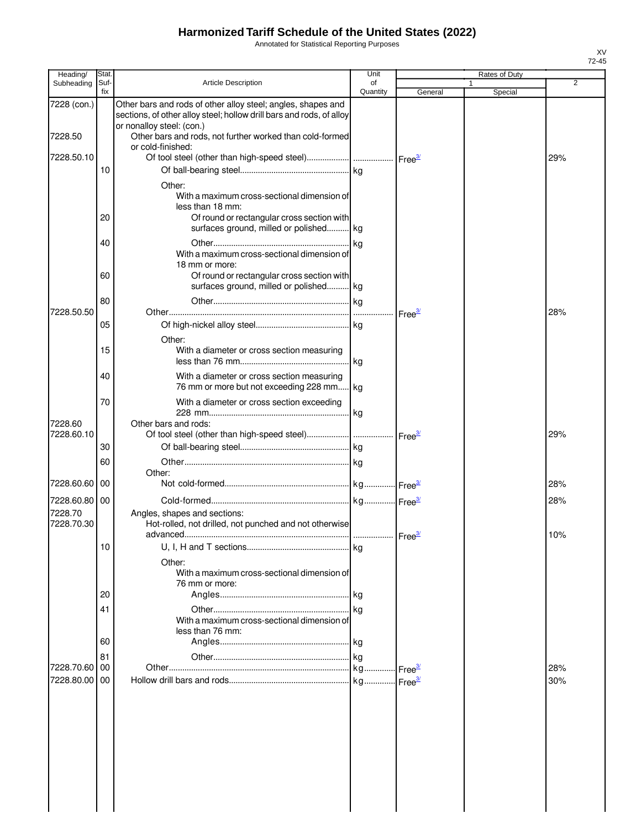Annotated for Statistical Reporting Purposes

| Heading/              | Stat        |                                                                                                                                                         | Unit           |                                                   | Rates of Duty |     |
|-----------------------|-------------|---------------------------------------------------------------------------------------------------------------------------------------------------------|----------------|---------------------------------------------------|---------------|-----|
| Subheading            | Suf-<br>fix | <b>Article Description</b>                                                                                                                              | of<br>Quantity | General                                           | 1             | 2   |
| 7228 (con.)           |             | Other bars and rods of other alloy steel; angles, shapes and<br>sections, of other alloy steel; hollow drill bars and rods, of alloy                    |                |                                                   | Special       |     |
| 7228.50               |             | or nonalloy steel: (con.)<br>Other bars and rods, not further worked than cold-formed<br>or cold-finished:                                              |                |                                                   |               |     |
| 7228.50.10            | 10          |                                                                                                                                                         |                |                                                   |               | 29% |
|                       |             | Other:                                                                                                                                                  |                |                                                   |               |     |
|                       | 20          | With a maximum cross-sectional dimension of<br>less than 18 mm:<br>Of round or rectangular cross section with<br>surfaces ground, milled or polished kg |                |                                                   |               |     |
|                       | 40          | With a maximum cross-sectional dimension of                                                                                                             |                |                                                   |               |     |
|                       | 60          | 18 mm or more:<br>Of round or rectangular cross section with<br>surfaces ground, milled or polished kg                                                  |                |                                                   |               |     |
| 7228.50.50            | 80          |                                                                                                                                                         |                |                                                   |               | 28% |
|                       | 05          |                                                                                                                                                         |                | Free <sup>3/</sup>                                |               |     |
|                       | 15          | Other:<br>With a diameter or cross section measuring                                                                                                    |                |                                                   |               |     |
|                       | 40          | With a diameter or cross section measuring<br>76 mm or more but not exceeding 228 mm kg                                                                 |                |                                                   |               |     |
| 7228.60               | 70          | With a diameter or cross section exceeding<br>Other bars and rods:                                                                                      |                |                                                   |               |     |
| 7228.60.10            | 30          |                                                                                                                                                         |                |                                                   |               | 29% |
|                       | 60          |                                                                                                                                                         |                |                                                   |               |     |
| 7228.60.60 00         |             | Other:                                                                                                                                                  |                |                                                   |               | 28% |
| 7228.60.80 00         |             |                                                                                                                                                         |                |                                                   |               | 28% |
| 7228.70<br>7228.70.30 |             | Angles, shapes and sections:<br>Hot-rolled, not drilled, not punched and not otherwise<br>advanced                                                      |                | Free <sup>3/</sup>                                |               | 10% |
|                       | 10          | Other:<br>With a maximum cross-sectional dimension of<br>76 mm or more:                                                                                 |                |                                                   |               |     |
|                       | 20          |                                                                                                                                                         |                |                                                   |               |     |
|                       | 41          | With a maximum cross-sectional dimension of<br>less than 76 mm:                                                                                         |                |                                                   |               |     |
|                       | 60          |                                                                                                                                                         |                |                                                   |               |     |
| 7228.70.60 00         | 81          |                                                                                                                                                         |                | $\mathsf{I}$ Free $^{\underline{\mathsf{3\ell}}}$ |               | 28% |
| 7228.80.00 00         |             |                                                                                                                                                         |                | Free <sup>3/</sup>                                |               | 30% |
|                       |             |                                                                                                                                                         |                |                                                   |               |     |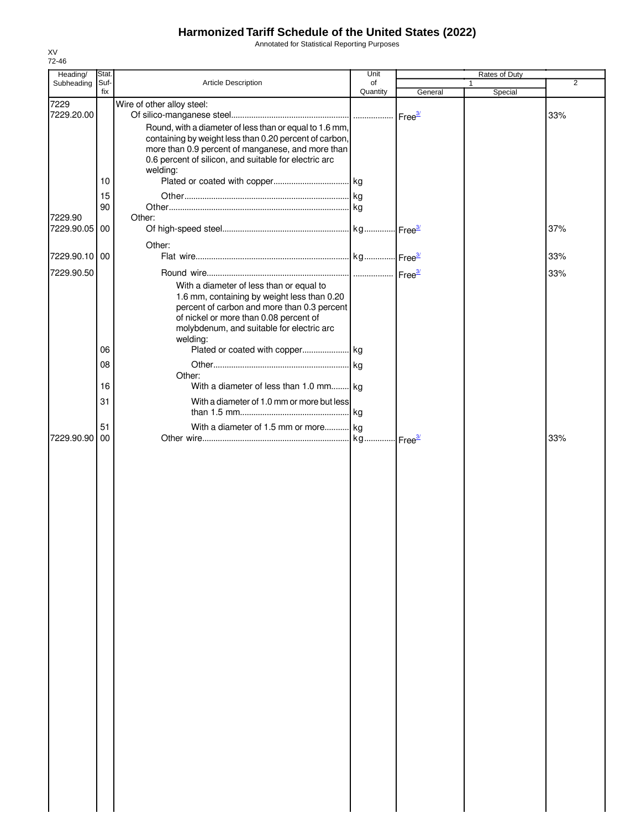Annotated for Statistical Reporting Purposes

| Heading/      | Stat. |                                                         | Unit     |         | Rates of Duty |                |
|---------------|-------|---------------------------------------------------------|----------|---------|---------------|----------------|
| Subheading    | Suf-  | Article Description                                     | of       |         | 1             | $\overline{2}$ |
|               | fix   |                                                         | Quantity | General | Special       |                |
| 7229          |       | Wire of other alloy steel:                              |          |         |               |                |
| 7229.20.00    |       |                                                         |          |         |               | 33%            |
|               |       | Round, with a diameter of less than or equal to 1.6 mm, |          |         |               |                |
|               |       | containing by weight less than 0.20 percent of carbon,  |          |         |               |                |
|               |       | more than 0.9 percent of manganese, and more than       |          |         |               |                |
|               |       | 0.6 percent of silicon, and suitable for electric arc   |          |         |               |                |
|               | 10    | welding:                                                |          |         |               |                |
|               |       |                                                         |          |         |               |                |
|               | 15    |                                                         |          |         |               |                |
|               | 90    |                                                         |          |         |               |                |
| 7229.90       |       | Other:                                                  |          |         |               |                |
| 7229.90.05 00 |       |                                                         |          |         |               | 37%            |
|               |       | Other:                                                  |          |         |               |                |
| 7229.90.10 00 |       |                                                         |          |         |               | 33%            |
|               |       |                                                         |          |         |               |                |
| 7229.90.50    |       |                                                         |          |         |               | 33%            |
|               |       | With a diameter of less than or equal to                |          |         |               |                |
|               |       | 1.6 mm, containing by weight less than 0.20             |          |         |               |                |
|               |       | percent of carbon and more than 0.3 percent             |          |         |               |                |
|               |       | of nickel or more than 0.08 percent of                  |          |         |               |                |
|               |       | molybdenum, and suitable for electric arc               |          |         |               |                |
|               |       | welding:                                                |          |         |               |                |
|               | 06    |                                                         |          |         |               |                |
|               | 08    |                                                         |          |         |               |                |
|               |       | Other:                                                  |          |         |               |                |
|               | 16    | With a diameter of less than 1.0 mm kg                  |          |         |               |                |
|               | 31    | With a diameter of 1.0 mm or more but less              |          |         |               |                |
|               |       |                                                         |          |         |               |                |
|               | 51    | With a diameter of 1.5 mm or more kg                    |          |         |               |                |
| 7229.90.90    | 00    |                                                         |          |         |               | 33%            |
|               |       |                                                         |          |         |               |                |
|               |       |                                                         |          |         |               |                |
|               |       |                                                         |          |         |               |                |
|               |       |                                                         |          |         |               |                |
|               |       |                                                         |          |         |               |                |
|               |       |                                                         |          |         |               |                |
|               |       |                                                         |          |         |               |                |
|               |       |                                                         |          |         |               |                |
|               |       |                                                         |          |         |               |                |
|               |       |                                                         |          |         |               |                |
|               |       |                                                         |          |         |               |                |
|               |       |                                                         |          |         |               |                |
|               |       |                                                         |          |         |               |                |
|               |       |                                                         |          |         |               |                |
|               |       |                                                         |          |         |               |                |
|               |       |                                                         |          |         |               |                |
|               |       |                                                         |          |         |               |                |
|               |       |                                                         |          |         |               |                |
|               |       |                                                         |          |         |               |                |
|               |       |                                                         |          |         |               |                |
|               |       |                                                         |          |         |               |                |
|               |       |                                                         |          |         |               |                |
|               |       |                                                         |          |         |               |                |
|               |       |                                                         |          |         |               |                |
|               |       |                                                         |          |         |               |                |
|               |       |                                                         |          |         |               |                |
|               |       |                                                         |          |         |               |                |
|               |       |                                                         |          |         |               |                |
|               |       |                                                         |          |         |               |                |
|               |       |                                                         |          |         |               |                |
|               |       |                                                         |          |         |               |                |
|               |       |                                                         |          |         |               |                |
|               |       |                                                         |          |         |               |                |
|               |       |                                                         |          |         |               |                |